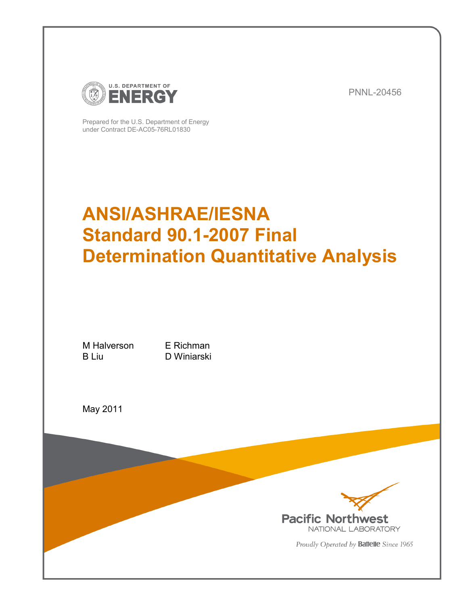

PNNL-20456

Prepared for the U.S. Department of Energy under Contract DE-AC05-76RL01830

# **ANSI/ASHRAE/IESNA Standard 90.1-2007 Final Determination Quantitative Analysis**

M Halverson E Richman B Liu D Winiarski

May 2011



Proudly Operated by Battelle Since 1965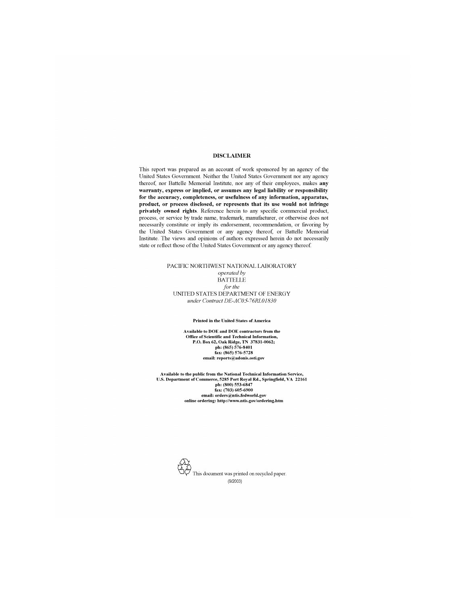#### **DISCLAIMER**

This report was prepared as an account of work sponsored by an agency of the United States Government. Neither the United States Government nor any agency thereof, nor Battelle Memorial Institute, nor any of their employees, makes any warranty, express or implied, or assumes any legal liability or responsibility for the accuracy, completeness, or usefulness of any information, apparatus, product, or process disclosed, or represents that its use would not infringe privately owned rights. Reference herein to any specific commercial product, process, or service by trade name, trademark, manufacturer, or otherwise does not necessarily constitute or imply its endorsement, recommendation, or favoring by the United States Government or any agency thereof, or Battelle Memorial Institute. The views and opinions of authors expressed herein do not necessarily state or reflect those of the United States Government or any agency thereof.

#### PACIFIC NORTHWEST NATIONAL LABORATORY operated by **BATTELLE** for the UNITED STATES DEPARTMENT OF ENERGY under Contract DE-AC05-76RL01830

#### **Printed in the United States of America**

Available to DOE and DOE contractors from the Office of Scientific and Technical Information,<br>P.O. Box 62, Oak Ridge, TN 37831-0062; ph: (865) 576-8401<br>fax: (865) 576-5728 email: reports@adonis.osti.gov

Available to the public from the National Technical Information Service, U.S. Department of Commerce, 5285 Port Royal Rd., Springfield, VA 22161<br>ph: (800) 553-6847<br>fax: (703) 605-6900 email: orders@ntis.fedworld.gov online ordering: http://www.ntis.gov/ordering.htm

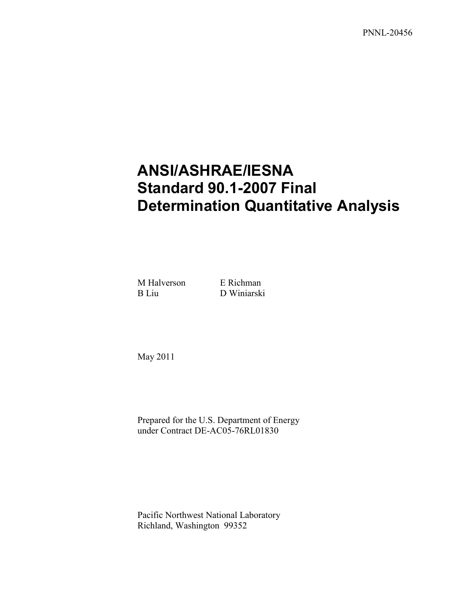PNNL-20456

# **ANSI/ASHRAE/IESNA Standard 90.1-2007 Final Determination Quantitative Analysis**

M Halverson E Richman B Liu D Winiarski

May 2011

Prepared for the U.S. Department of Energy under Contract DE-AC05-76RL01830

Pacific Northwest National Laboratory Richland, Washington 99352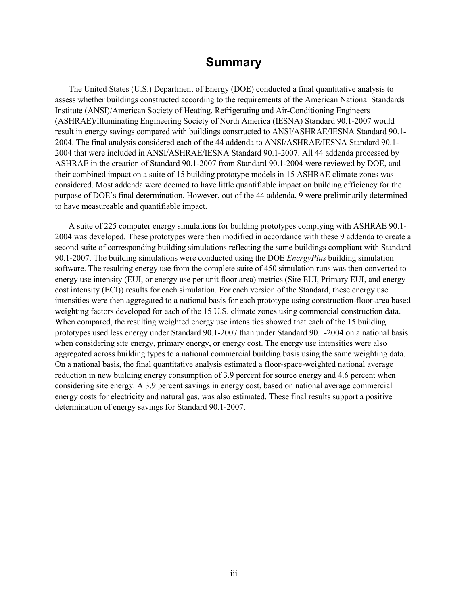#### **Summary**

<span id="page-4-0"></span>The United States (U.S.) Department of Energy (DOE) conducted a final quantitative analysis to assess whether buildings constructed according to the requirements of the American National Standards Institute (ANSI)/American Society of Heating, Refrigerating and Air-Conditioning Engineers (ASHRAE)/Illuminating Engineering Society of North America (IESNA) Standard 90.1-2007 would result in energy savings compared with buildings constructed to ANSI/ASHRAE/IESNA Standard 90.1- 2004. The final analysis considered each of the 44 addenda to ANSI/ASHRAE/IESNA Standard 90.1- 2004 that were included in ANSI/ASHRAE/IESNA Standard 90.1-2007. All 44 addenda processed by ASHRAE in the creation of Standard 90.1-2007 from Standard 90.1-2004 were reviewed by DOE, and their combined impact on a suite of 15 building prototype models in 15 ASHRAE climate zones was considered. Most addenda were deemed to have little quantifiable impact on building efficiency for the purpose of DOE's final determination. However, out of the 44 addenda, 9 were preliminarily determined to have measureable and quantifiable impact.

A suite of 225 computer energy simulations for building prototypes complying with ASHRAE 90.1- 2004 was developed. These prototypes were then modified in accordance with these 9 addenda to create a second suite of corresponding building simulations reflecting the same buildings compliant with Standard 90.1-2007. The building simulations were conducted using the DOE *EnergyPlus* building simulation software. The resulting energy use from the complete suite of 450 simulation runs was then converted to energy use intensity (EUI, or energy use per unit floor area) metrics (Site EUI, Primary EUI, and energy cost intensity (ECI)) results for each simulation. For each version of the Standard, these energy use intensities were then aggregated to a national basis for each prototype using construction-floor-area based weighting factors developed for each of the 15 U.S. climate zones using commercial construction data. When compared, the resulting weighted energy use intensities showed that each of the 15 building prototypes used less energy under Standard 90.1-2007 than under Standard 90.1-2004 on a national basis when considering site energy, primary energy, or energy cost. The energy use intensities were also aggregated across building types to a national commercial building basis using the same weighting data. On a national basis, the final quantitative analysis estimated a floor-space-weighted national average reduction in new building energy consumption of 3.9 percent for source energy and 4.6 percent when considering site energy. A 3.9 percent savings in energy cost, based on national average commercial energy costs for electricity and natural gas, was also estimated. These final results support a positive determination of energy savings for Standard 90.1-2007.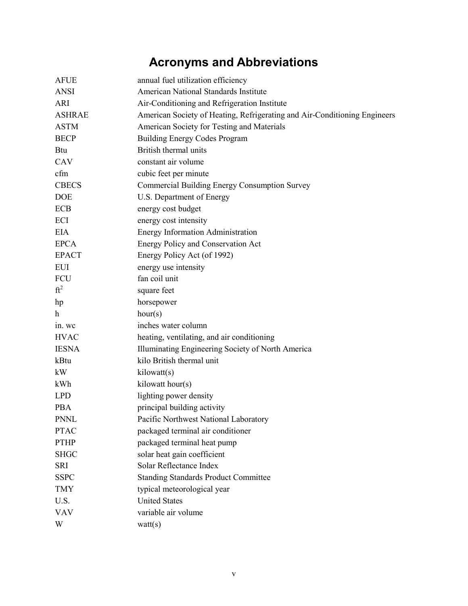# **Acronyms and Abbreviations**

<span id="page-6-0"></span>

| <b>AFUE</b>   | annual fuel utilization efficiency                                        |
|---------------|---------------------------------------------------------------------------|
| <b>ANSI</b>   | American National Standards Institute                                     |
| <b>ARI</b>    | Air-Conditioning and Refrigeration Institute                              |
| <b>ASHRAE</b> | American Society of Heating, Refrigerating and Air-Conditioning Engineers |
| <b>ASTM</b>   | American Society for Testing and Materials                                |
| <b>BECP</b>   | <b>Building Energy Codes Program</b>                                      |
| <b>Btu</b>    | British thermal units                                                     |
| CAV           | constant air volume                                                       |
| cfm           | cubic feet per minute                                                     |
| <b>CBECS</b>  | <b>Commercial Building Energy Consumption Survey</b>                      |
| <b>DOE</b>    | U.S. Department of Energy                                                 |
| <b>ECB</b>    | energy cost budget                                                        |
| ECI           | energy cost intensity                                                     |
| <b>EIA</b>    | <b>Energy Information Administration</b>                                  |
| <b>EPCA</b>   | <b>Energy Policy and Conservation Act</b>                                 |
| <b>EPACT</b>  | Energy Policy Act (of 1992)                                               |
| <b>EUI</b>    | energy use intensity                                                      |
| FCU           | fan coil unit                                                             |
| $ft^2$        | square feet                                                               |
| hp            | horsepower                                                                |
| h             | hour(s)                                                                   |
| in. wc        | inches water column                                                       |
| <b>HVAC</b>   | heating, ventilating, and air conditioning                                |
| <b>IESNA</b>  | Illuminating Engineering Society of North America                         |
| kBtu          | kilo British thermal unit                                                 |
| kW            | kilowatt(s)                                                               |
| kWh           | kilowatt hour(s)                                                          |
| <b>LPD</b>    | lighting power density                                                    |
| <b>PBA</b>    | principal building activity                                               |
| <b>PNNL</b>   | Pacific Northwest National Laboratory                                     |
| <b>PTAC</b>   | packaged terminal air conditioner                                         |
| <b>PTHP</b>   | packaged terminal heat pump                                               |
| <b>SHGC</b>   | solar heat gain coefficient                                               |
| SRI           | Solar Reflectance Index                                                   |
| <b>SSPC</b>   | <b>Standing Standards Product Committee</b>                               |
| <b>TMY</b>    | typical meteorological year                                               |
| U.S.          | <b>United States</b>                                                      |
| <b>VAV</b>    | variable air volume                                                       |
| W             | watt(s)                                                                   |
|               |                                                                           |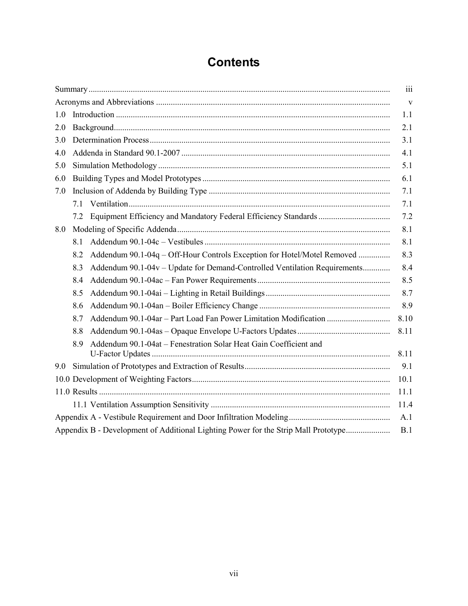# **Contents**

<span id="page-8-0"></span>

|     |      |                                                                                    | iii          |  |  |  |  |  |  |
|-----|------|------------------------------------------------------------------------------------|--------------|--|--|--|--|--|--|
|     |      |                                                                                    | $\mathbf{V}$ |  |  |  |  |  |  |
| 1.0 | 1.1  |                                                                                    |              |  |  |  |  |  |  |
| 2.0 | 2.1  |                                                                                    |              |  |  |  |  |  |  |
| 3.0 |      |                                                                                    | 3.1          |  |  |  |  |  |  |
| 4.0 |      |                                                                                    | 4.1          |  |  |  |  |  |  |
| 5.0 |      |                                                                                    | 5.1          |  |  |  |  |  |  |
| 6.0 |      |                                                                                    | 6.1          |  |  |  |  |  |  |
| 7.0 |      |                                                                                    | 7.1          |  |  |  |  |  |  |
|     |      |                                                                                    | 7.1          |  |  |  |  |  |  |
|     | 7.2  |                                                                                    | 7.2          |  |  |  |  |  |  |
| 8.0 |      |                                                                                    | 8.1          |  |  |  |  |  |  |
|     | 8.1  |                                                                                    | 8.1          |  |  |  |  |  |  |
|     | 8.2  | Addendum 90.1-04q - Off-Hour Controls Exception for Hotel/Motel Removed            | 8.3          |  |  |  |  |  |  |
|     | 8.3  | Addendum 90.1-04v - Update for Demand-Controlled Ventilation Requirements          | 8.4          |  |  |  |  |  |  |
|     | 8.4  |                                                                                    | 8.5          |  |  |  |  |  |  |
|     | 8.5  |                                                                                    | 8.7          |  |  |  |  |  |  |
|     | 8.6  |                                                                                    | 8.9          |  |  |  |  |  |  |
|     | 8.7  | Addendum 90.1-04ar - Part Load Fan Power Limitation Modification                   | 8.10         |  |  |  |  |  |  |
|     | 8.8  |                                                                                    | 8.11         |  |  |  |  |  |  |
|     | 8.9  | Addendum 90.1-04at - Fenestration Solar Heat Gain Coefficient and                  | 8.11         |  |  |  |  |  |  |
| 9.0 |      |                                                                                    | 9.1          |  |  |  |  |  |  |
|     |      |                                                                                    | 10.1         |  |  |  |  |  |  |
|     |      |                                                                                    | 11.1         |  |  |  |  |  |  |
|     | 11.4 |                                                                                    |              |  |  |  |  |  |  |
|     |      |                                                                                    | A.1          |  |  |  |  |  |  |
|     |      | Appendix B - Development of Additional Lighting Power for the Strip Mall Prototype | B.1          |  |  |  |  |  |  |
|     |      |                                                                                    |              |  |  |  |  |  |  |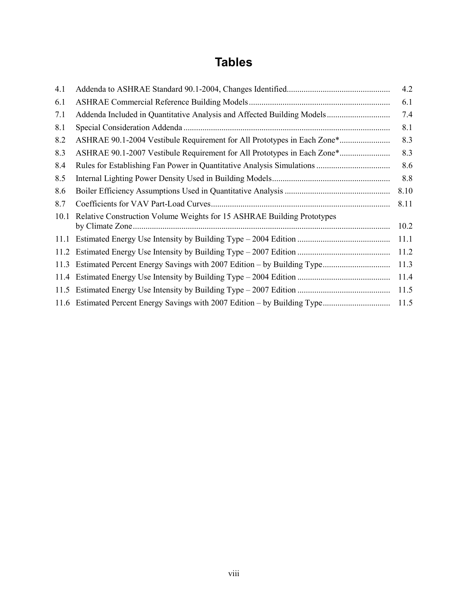## **Tables**

| 4.1  |                                                                         | 4.2  |
|------|-------------------------------------------------------------------------|------|
| 6.1  |                                                                         | 6.1  |
| 7.1  |                                                                         | 7.4  |
| 8.1  |                                                                         | 8.1  |
| 8.2  | ASHRAE 90.1-2004 Vestibule Requirement for All Prototypes in Each Zone* | 8.3  |
| 8.3  | ASHRAE 90.1-2007 Vestibule Requirement for All Prototypes in Each Zone* | 8.3  |
| 8.4  |                                                                         | 8.6  |
| 8.5  |                                                                         | 8.8  |
| 8.6  |                                                                         | 8.10 |
| 8.7  |                                                                         | 8.11 |
| 10.1 | Relative Construction Volume Weights for 15 ASHRAE Building Prototypes  | 10.2 |
|      |                                                                         | 11.1 |
|      |                                                                         | 11.2 |
|      |                                                                         | 11.3 |
|      |                                                                         | 11.4 |
| 11.5 |                                                                         | 11.5 |
|      |                                                                         | 11.5 |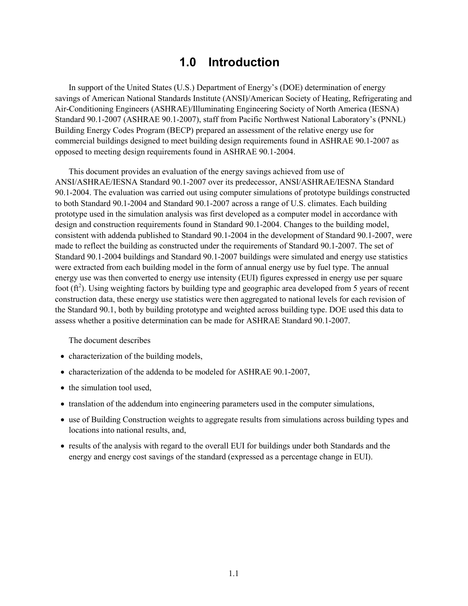## **1.0 Introduction**

<span id="page-10-0"></span>In support of the United States (U.S.) Department of Energy's (DOE) determination of energy savings of American National Standards Institute (ANSI)/American Society of Heating, Refrigerating and Air-Conditioning Engineers (ASHRAE)/Illuminating Engineering Society of North America (IESNA) Standard 90.1-2007 (ASHRAE 90.1-2007), staff from Pacific Northwest National Laboratory's (PNNL) Building Energy Codes Program (BECP) prepared an assessment of the relative energy use for commercial buildings designed to meet building design requirements found in ASHRAE 90.1-2007 as opposed to meeting design requirements found in ASHRAE 90.1-2004.

This document provides an evaluation of the energy savings achieved from use of ANSI/ASHRAE/IESNA Standard 90.1-2007 over its predecessor, ANSI/ASHRAE/IESNA Standard 90.1-2004. The evaluation was carried out using computer simulations of prototype buildings constructed to both Standard 90.1-2004 and Standard 90.1-2007 across a range of U.S. climates. Each building prototype used in the simulation analysis was first developed as a computer model in accordance with design and construction requirements found in Standard 90.1-2004. Changes to the building model, consistent with addenda published to Standard 90.1-2004 in the development of Standard 90.1-2007, were made to reflect the building as constructed under the requirements of Standard 90.1-2007. The set of Standard 90.1-2004 buildings and Standard 90.1-2007 buildings were simulated and energy use statistics were extracted from each building model in the form of annual energy use by fuel type. The annual energy use was then converted to energy use intensity (EUI) figures expressed in energy use per square foot  $(\text{ft}^2)$ . Using weighting factors by building type and geographic area developed from 5 years of recent construction data, these energy use statistics were then aggregated to national levels for each revision of the Standard 90.1, both by building prototype and weighted across building type. DOE used this data to assess whether a positive determination can be made for ASHRAE Standard 90.1-2007.

The document describes

- characterization of the building models,
- characterization of the addenda to be modeled for ASHRAE 90.1-2007,
- the simulation tool used,
- translation of the addendum into engineering parameters used in the computer simulations,
- use of Building Construction weights to aggregate results from simulations across building types and locations into national results, and,
- results of the analysis with regard to the overall EUI for buildings under both Standards and the energy and energy cost savings of the standard (expressed as a percentage change in EUI).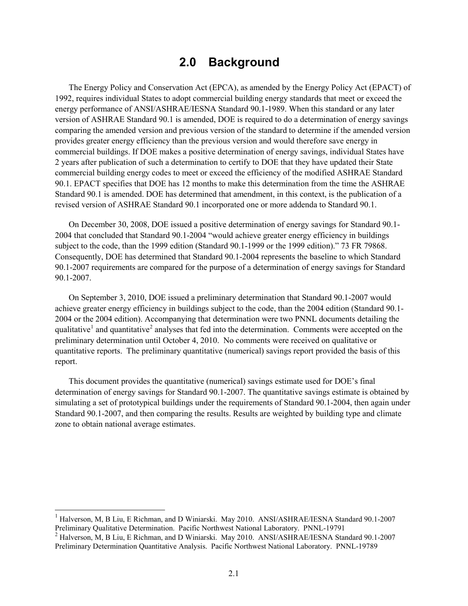### **2.0 Background**

<span id="page-12-0"></span>The Energy Policy and Conservation Act (EPCA), as amended by the Energy Policy Act (EPACT) of 1992, requires individual States to adopt commercial building energy standards that meet or exceed the energy performance of ANSI/ASHRAE/IESNA Standard 90.1-1989. When this standard or any later version of ASHRAE Standard 90.1 is amended, DOE is required to do a determination of energy savings comparing the amended version and previous version of the standard to determine if the amended version provides greater energy efficiency than the previous version and would therefore save energy in commercial buildings. If DOE makes a positive determination of energy savings, individual States have 2 years after publication of such a determination to certify to DOE that they have updated their State commercial building energy codes to meet or exceed the efficiency of the modified ASHRAE Standard 90.1. EPACT specifies that DOE has 12 months to make this determination from the time the ASHRAE Standard 90.1 is amended. DOE has determined that amendment, in this context, is the publication of a revised version of ASHRAE Standard 90.1 incorporated one or more addenda to Standard 90.1.

On December 30, 2008, DOE issued a positive determination of energy savings for Standard 90.1- 2004 that concluded that Standard 90.1-2004 "would achieve greater energy efficiency in buildings subject to the code, than the 1999 edition (Standard 90.1-1999 or the 1999 edition)." 73 FR 79868. Consequently, DOE has determined that Standard 90.1-2004 represents the baseline to which Standard 90.1-2007 requirements are compared for the purpose of a determination of energy savings for Standard 90.1-2007.

On September 3, 2010, DOE issued a preliminary determination that Standard 90.1-2007 would achieve greater energy efficiency in buildings subject to the code, than the 2004 edition (Standard 90.1- 2004 or the 2004 edition). Accompanying that determination were two PNNL documents detailing the qualitative<sup>[1](#page-8-0)</sup> and quantitative<sup>[2](#page-12-1)</sup> analyses that fed into the determination. Comments were accepted on the preliminary determination until October 4, 2010. No comments were received on qualitative or quantitative reports. The preliminary quantitative (numerical) savings report provided the basis of this report.

This document provides the quantitative (numerical) savings estimate used for DOE's final determination of energy savings for Standard 90.1-2007. The quantitative savings estimate is obtained by simulating a set of prototypical buildings under the requirements of Standard 90.1-2004, then again under Standard 90.1-2007, and then comparing the results. Results are weighted by building type and climate zone to obtain national average estimates.

 <sup>1</sup> Halverson, M, B Liu, E Richman, and D Winiarski. May 2010. ANSI/ASHRAE/IESNA Standard 90.1-2007 Preliminary Qualitative Determination. Pacific Northwest National Laboratory. PNNL-19791

<span id="page-12-2"></span><span id="page-12-1"></span><sup>&</sup>lt;sup>2</sup> Halverson, M, B Liu, E Richman, and D Winiarski. May 2010. ANSI/ASHRAE/IESNA Standard 90.1-2007 Preliminary Determination Quantitative Analysis. Pacific Northwest National Laboratory. PNNL-19789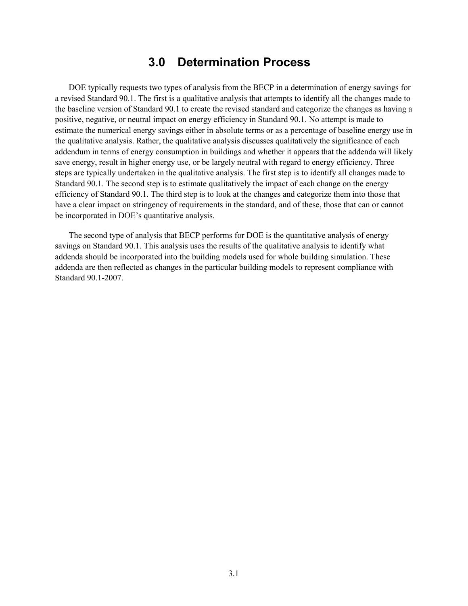### **3.0 Determination Process**

<span id="page-14-0"></span>DOE typically requests two types of analysis from the BECP in a determination of energy savings for a revised Standard 90.1. The first is a qualitative analysis that attempts to identify all the changes made to the baseline version of Standard 90.1 to create the revised standard and categorize the changes as having a positive, negative, or neutral impact on energy efficiency in Standard 90.1. No attempt is made to estimate the numerical energy savings either in absolute terms or as a percentage of baseline energy use in the qualitative analysis. Rather, the qualitative analysis discusses qualitatively the significance of each addendum in terms of energy consumption in buildings and whether it appears that the addenda will likely save energy, result in higher energy use, or be largely neutral with regard to energy efficiency. Three steps are typically undertaken in the qualitative analysis. The first step is to identify all changes made to Standard 90.1. The second step is to estimate qualitatively the impact of each change on the energy efficiency of Standard 90.1. The third step is to look at the changes and categorize them into those that have a clear impact on stringency of requirements in the standard, and of these, those that can or cannot be incorporated in DOE's quantitative analysis.

The second type of analysis that BECP performs for DOE is the quantitative analysis of energy savings on Standard 90.1. This analysis uses the results of the qualitative analysis to identify what addenda should be incorporated into the building models used for whole building simulation. These addenda are then reflected as changes in the particular building models to represent compliance with Standard 90.1-2007.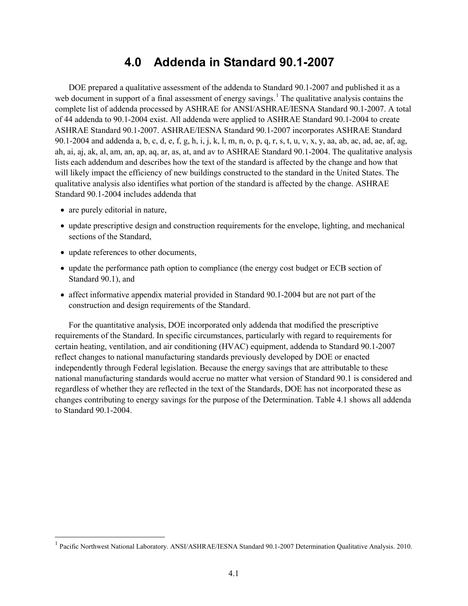## **4.0 Addenda in Standard 90.1-2007**

<span id="page-16-0"></span>DOE prepared a qualitative assessment of the addenda to Standard 90.1-2007 and published it as a web document in support of a final assessment of energy savings.<sup>[1](#page-12-2)</sup> The qualitative analysis contains the complete list of addenda processed by ASHRAE for ANSI/ASHRAE/IESNA Standard 90.1-2007. A total of 44 addenda to 90.1-2004 exist. All addenda were applied to ASHRAE Standard 90.1-2004 to create ASHRAE Standard 90.1-2007. ASHRAE/IESNA Standard 90.1-2007 incorporates ASHRAE Standard 90.1-2004 and addenda a, b, c, d, e, f, g, h, i, j, k, l, m, n, o, p, q, r, s, t, u, v, x, y, aa, ab, ac, ad, ae, af, ag, ah, ai, aj, ak, al, am, an, ap, aq, ar, as, at, and av to ASHRAE Standard 90.1-2004. The qualitative analysis lists each addendum and describes how the text of the standard is affected by the change and how that will likely impact the efficiency of new buildings constructed to the standard in the United States. The qualitative analysis also identifies what portion of the standard is affected by the change. ASHRAE Standard 90.1-2004 includes addenda that

- are purely editorial in nature,
- update prescriptive design and construction requirements for the envelope, lighting, and mechanical sections of the Standard,
- update references to other documents,
- update the performance path option to compliance (the energy cost budget or ECB section of Standard 90.1), and
- affect informative appendix material provided in Standard 90.1-2004 but are not part of the construction and design requirements of the Standard.

For the quantitative analysis, DOE incorporated only addenda that modified the prescriptive requirements of the Standard. In specific circumstances, particularly with regard to requirements for certain heating, ventilation, and air conditioning (HVAC) equipment, addenda to Standard 90.1-2007 reflect changes to national manufacturing standards previously developed by DOE or enacted independently through Federal legislation. Because the energy savings that are attributable to these national manufacturing standards would accrue no matter what version of Standard 90.1 is considered and regardless of whether they are reflected in the text of the Standards, DOE has not incorporated these as changes contributing to energy savings for the purpose of the Determination. [Table 4.1](#page-17-0) shows all addenda to Standard 90.1-2004.

<span id="page-16-1"></span> <sup>1</sup> Pacific Northwest National Laboratory. ANSI/ASHRAE/IESNA Standard 90.1-2007 Determination Qualitative Analysis. 2010.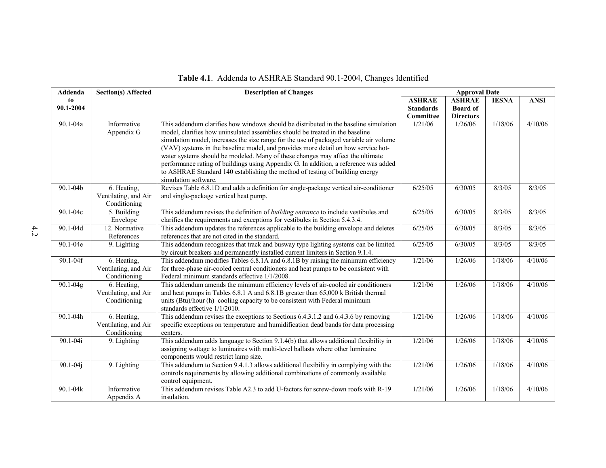<span id="page-17-0"></span>

| Addenda      | <b>Section(s) Affected</b>                          | <b>Description of Changes</b>                                                                                                                                                                                                                                                                                                                                                                                                                                                                                                                                                                                                          | <b>Approval Date</b> |                  |              |             |  |  |  |  |  |
|--------------|-----------------------------------------------------|----------------------------------------------------------------------------------------------------------------------------------------------------------------------------------------------------------------------------------------------------------------------------------------------------------------------------------------------------------------------------------------------------------------------------------------------------------------------------------------------------------------------------------------------------------------------------------------------------------------------------------------|----------------------|------------------|--------------|-------------|--|--|--|--|--|
| to           |                                                     |                                                                                                                                                                                                                                                                                                                                                                                                                                                                                                                                                                                                                                        | <b>ASHRAE</b>        | <b>ASHRAE</b>    | <b>IESNA</b> | <b>ANSI</b> |  |  |  |  |  |
| 90.1-2004    |                                                     |                                                                                                                                                                                                                                                                                                                                                                                                                                                                                                                                                                                                                                        | <b>Standards</b>     | <b>Board of</b>  |              |             |  |  |  |  |  |
|              |                                                     |                                                                                                                                                                                                                                                                                                                                                                                                                                                                                                                                                                                                                                        | Committee            | <b>Directors</b> |              |             |  |  |  |  |  |
| 90.1-04a     | Informative<br>Appendix G                           | This addendum clarifies how windows should be distributed in the baseline simulation<br>model, clarifies how uninsulated assemblies should be treated in the baseline<br>simulation model, increases the size range for the use of packaged variable air volume<br>(VAV) systems in the baseline model, and provides more detail on how service hot-<br>water systems should be modeled. Many of these changes may affect the ultimate<br>performance rating of buildings using Appendix G. In addition, a reference was added<br>to ASHRAE Standard 140 establishing the method of testing of building energy<br>simulation software. | 1/21/06              | 1/26/06          | 1/18/06      | 4/10/06     |  |  |  |  |  |
| 90.1-04b     | 6. Heating,<br>Ventilating, and Air                 | Revises Table 6.8.1D and adds a definition for single-package vertical air-conditioner<br>and single-package vertical heat pump.                                                                                                                                                                                                                                                                                                                                                                                                                                                                                                       | 6/25/05              | 6/30/05          | 8/3/05       | 8/3/05      |  |  |  |  |  |
|              | Conditioning                                        |                                                                                                                                                                                                                                                                                                                                                                                                                                                                                                                                                                                                                                        |                      |                  |              |             |  |  |  |  |  |
| 90.1-04c     | 5. Building<br>Envelope                             | This addendum revises the definition of <i>building entrance</i> to include vestibules and<br>clarifies the requirements and exceptions for vestibules in Section 5.4.3.4.                                                                                                                                                                                                                                                                                                                                                                                                                                                             | 6/25/05              | 6/30/05          | 8/3/05       | 8/3/05      |  |  |  |  |  |
| 90.1-04d     | 12. Normative<br>References                         | This addendum updates the references applicable to the building envelope and deletes<br>references that are not cited in the standard.                                                                                                                                                                                                                                                                                                                                                                                                                                                                                                 | 6/25/05              | 6/30/05          | 8/3/05       | 8/3/05      |  |  |  |  |  |
| 90.1-04e     | 9. Lighting                                         | This addendum recognizes that track and busway type lighting systems can be limited<br>by circuit breakers and permanently installed current limiters in Section 9.1.4.                                                                                                                                                                                                                                                                                                                                                                                                                                                                | 6/25/05              | 6/30/05          | 8/3/05       | 8/3/05      |  |  |  |  |  |
| 90.1-04f     | 6. Heating,<br>Ventilating, and Air<br>Conditioning | This addendum modifies Tables 6.8.1A and 6.8.1B by raising the minimum efficiency<br>for three-phase air-cooled central conditioners and heat pumps to be consistent with<br>Federal minimum standards effective 1/1/2008.                                                                                                                                                                                                                                                                                                                                                                                                             | 1/21/06              | 1/26/06          | 1/18/06      | 4/10/06     |  |  |  |  |  |
| $90.1 - 04g$ | 6. Heating,<br>Ventilating, and Air<br>Conditioning | This addendum amends the minimum efficiency levels of air-cooled air conditioners<br>and heat pumps in Tables 6.8.1 A and 6.8.1 B greater than 65,000 k British thermal<br>units (Btu)/hour (h) cooling capacity to be consistent with Federal minimum<br>standards effective 1/1/2010.                                                                                                                                                                                                                                                                                                                                                | 1/21/06              | 1/26/06          | 1/18/06      | 4/10/06     |  |  |  |  |  |
| 90.1-04h     | 6. Heating,<br>Ventilating, and Air<br>Conditioning | This addendum revises the exceptions to Sections 6.4.3.1.2 and 6.4.3.6 by removing<br>specific exceptions on temperature and humidification dead bands for data processing<br>centers.                                                                                                                                                                                                                                                                                                                                                                                                                                                 | 1/21/06              | 1/26/06          | 1/18/06      | 4/10/06     |  |  |  |  |  |
| 90.1-04i     | 9. Lighting                                         | This addendum adds language to Section 9.1.4(b) that allows additional flexibility in<br>assigning wattage to luminaires with multi-level ballasts where other luminaire<br>components would restrict lamp size.                                                                                                                                                                                                                                                                                                                                                                                                                       | 1/21/06              | 1/26/06          | 1/18/06      | 4/10/06     |  |  |  |  |  |
| $90.1 - 04j$ | 9. Lighting                                         | This addendum to Section 9.4.1.3 allows additional flexibility in complying with the<br>controls requirements by allowing additional combinations of commonly available<br>control equipment.                                                                                                                                                                                                                                                                                                                                                                                                                                          | 1/21/06              | 1/26/06          | 1/18/06      | 4/10/06     |  |  |  |  |  |
| 90.1-04k     | Informative<br>Appendix A                           | This addendum revises Table A2.3 to add U-factors for screw-down roofs with R-19<br>insulation.                                                                                                                                                                                                                                                                                                                                                                                                                                                                                                                                        | 1/21/06              | 1/26/06          | 1/18/06      | 4/10/06     |  |  |  |  |  |

### **Table 4.1**. Addenda to ASHRAE Standard 90.1-2004, Changes Identified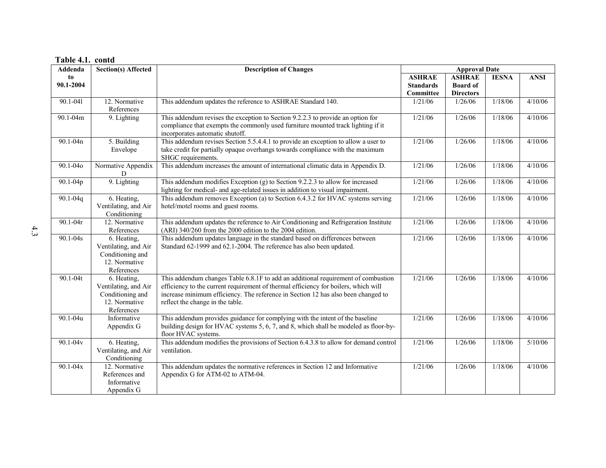| <b>Addenda</b> | <b>Section(s) Affected</b>           | <b>Description of Changes</b>                                                        | <b>Approval Date</b>          |                                     |              |             |  |  |  |  |  |
|----------------|--------------------------------------|--------------------------------------------------------------------------------------|-------------------------------|-------------------------------------|--------------|-------------|--|--|--|--|--|
| to             |                                      |                                                                                      | <b>ASHRAE</b>                 | <b>ASHRAE</b>                       | <b>IESNA</b> | <b>ANSI</b> |  |  |  |  |  |
| 90.1-2004      |                                      |                                                                                      | <b>Standards</b><br>Committee | <b>Board</b> of<br><b>Directors</b> |              |             |  |  |  |  |  |
| 90.1-041       | 12. Normative                        | This addendum updates the reference to ASHRAE Standard 140.                          | 1/21/06                       | 1/26/06                             | 1/18/06      | 4/10/06     |  |  |  |  |  |
|                | References                           |                                                                                      |                               |                                     |              |             |  |  |  |  |  |
| 90.1-04m       | 9. Lighting                          | This addendum revises the exception to Section 9.2.2.3 to provide an option for      | 1/21/06                       | 1/26/06                             | 1/18/06      | 4/10/06     |  |  |  |  |  |
|                |                                      | compliance that exempts the commonly used furniture mounted track lighting if it     |                               |                                     |              |             |  |  |  |  |  |
|                |                                      | incorporates automatic shutoff.                                                      |                               |                                     |              |             |  |  |  |  |  |
| 90.1-04n       | 5. Building                          | This addendum revises Section 5.5.4.4.1 to provide an exception to allow a user to   | 1/21/06                       | 1/26/06                             | 1/18/06      | 4/10/06     |  |  |  |  |  |
|                | Envelope                             | take credit for partially opaque overhangs towards compliance with the maximum       |                               |                                     |              |             |  |  |  |  |  |
|                |                                      | SHGC requirements.                                                                   |                               |                                     |              |             |  |  |  |  |  |
| 90.1-040       | Normative Appendix                   | This addendum increases the amount of international climatic data in Appendix D.     | 1/21/06                       | 1/26/06                             | 1/18/06      | 4/10/06     |  |  |  |  |  |
|                | D<br>9. Lighting                     | This addendum modifies Exception $(g)$ to Section 9.2.2.3 to allow for increased     | 1/21/06                       | 1/26/06                             | 1/18/06      | 4/10/06     |  |  |  |  |  |
| $90.1 - 04p$   |                                      | lighting for medical- and age-related issues in addition to visual impairment.       |                               |                                     |              |             |  |  |  |  |  |
| 90.1-04q       | 6. Heating,                          | This addendum removes Exception (a) to Section 6.4.3.2 for HVAC systems serving      | 1/21/06                       | 1/26/06                             | 1/18/06      | 4/10/06     |  |  |  |  |  |
|                | Ventilating, and Air                 | hotel/motel rooms and guest rooms.                                                   |                               |                                     |              |             |  |  |  |  |  |
|                | Conditioning                         |                                                                                      |                               |                                     |              |             |  |  |  |  |  |
| $90.1 - 04r$   | 12. Normative                        | This addendum updates the reference to Air Conditioning and Refrigeration Institute  | 1/21/06                       | 1/26/06                             | 1/18/06      | 4/10/06     |  |  |  |  |  |
|                | References                           | (ARI) 340/260 from the 2000 edition to the 2004 edition.                             |                               |                                     |              |             |  |  |  |  |  |
| $90.1 - 04s$   | 6. Heating,                          | This addendum updates language in the standard based on differences between          | 1/21/06                       | 1/26/06                             | 1/18/06      | 4/10/06     |  |  |  |  |  |
|                | Ventilating, and Air                 | Standard 62-1999 and 62.1-2004. The reference has also been updated.                 |                               |                                     |              |             |  |  |  |  |  |
|                | Conditioning and                     |                                                                                      |                               |                                     |              |             |  |  |  |  |  |
|                | 12. Normative                        |                                                                                      |                               |                                     |              |             |  |  |  |  |  |
| 90.1-04t       | References<br>6. Heating,            | This addendum changes Table 6.8.1F to add an additional requirement of combustion    | 1/21/06                       | 1/26/06                             | 1/18/06      | 4/10/06     |  |  |  |  |  |
|                | Ventilating, and Air                 | efficiency to the current requirement of thermal efficiency for boilers, which will  |                               |                                     |              |             |  |  |  |  |  |
|                | Conditioning and                     | increase minimum efficiency. The reference in Section 12 has also been changed to    |                               |                                     |              |             |  |  |  |  |  |
|                | 12. Normative                        | reflect the change in the table.                                                     |                               |                                     |              |             |  |  |  |  |  |
|                | References                           |                                                                                      |                               |                                     |              |             |  |  |  |  |  |
| $90.1 - 04u$   | Informative                          | This addendum provides guidance for complying with the intent of the baseline        | 1/21/06                       | 1/26/06                             | 1/18/06      | 4/10/06     |  |  |  |  |  |
|                | Appendix G                           | building design for HVAC systems 5, 6, 7, and 8, which shall be modeled as floor-by- |                               |                                     |              |             |  |  |  |  |  |
|                |                                      | floor HVAC systems.                                                                  |                               |                                     |              |             |  |  |  |  |  |
| $90.1 - 04v$   | 6. Heating,                          | This addendum modifies the provisions of Section 6.4.3.8 to allow for demand control | 1/21/06                       | 1/26/06                             | 1/18/06      | 5/10/06     |  |  |  |  |  |
|                | Ventilating, and Air<br>Conditioning | ventilation.                                                                         |                               |                                     |              |             |  |  |  |  |  |
| $90.1 - 04x$   | 12. Normative                        | This addendum updates the normative references in Section 12 and Informative         | 1/21/06                       | 1/26/06                             | 1/18/06      | 4/10/06     |  |  |  |  |  |
|                | References and                       | Appendix G for ATM-02 to ATM-04.                                                     |                               |                                     |              |             |  |  |  |  |  |
|                | Informative                          |                                                                                      |                               |                                     |              |             |  |  |  |  |  |
|                | Appendix G                           |                                                                                      |                               |                                     |              |             |  |  |  |  |  |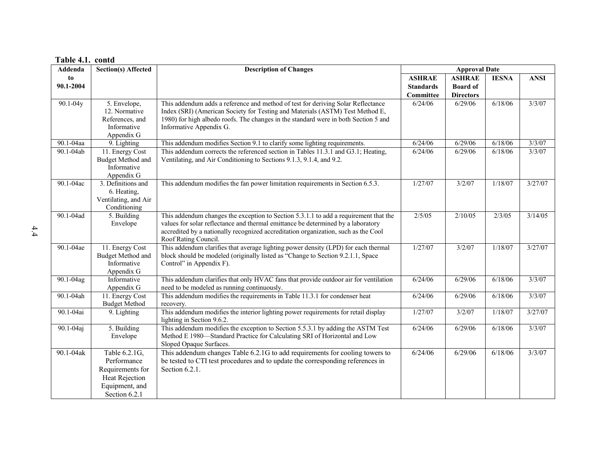| L UNIV TILI<br>Addenda | <b>Section(s) Affected</b> | <b>Description of Changes</b>                                                                                                                                            |                  | <b>Approval Date</b> |              |             |
|------------------------|----------------------------|--------------------------------------------------------------------------------------------------------------------------------------------------------------------------|------------------|----------------------|--------------|-------------|
| to                     |                            |                                                                                                                                                                          | <b>ASHRAE</b>    | <b>ASHRAE</b>        | <b>IESNA</b> | <b>ANSI</b> |
| 90.1-2004              |                            |                                                                                                                                                                          | <b>Standards</b> | <b>Board</b> of      |              |             |
|                        |                            |                                                                                                                                                                          | Committee        | <b>Directors</b>     |              |             |
| 90.1-04y               | 5. Envelope,               | This addendum adds a reference and method of test for deriving Solar Reflectance                                                                                         | 6/24/06          | 6/29/06              | 6/18/06      | 3/3/07      |
|                        | 12. Normative              | Index (SRI) (American Society for Testing and Materials (ASTM) Test Method E,                                                                                            |                  |                      |              |             |
|                        | References, and            | 1980) for high albedo roofs. The changes in the standard were in both Section 5 and                                                                                      |                  |                      |              |             |
|                        | Informative                | Informative Appendix G.                                                                                                                                                  |                  |                      |              |             |
|                        | Appendix G                 |                                                                                                                                                                          |                  |                      |              |             |
| 90.1-04aa              | 9. Lighting                | This addendum modifies Section 9.1 to clarify some lighting requirements.                                                                                                | 6/24/06          | 6/29/06              | 6/18/06      | 3/3/07      |
| 90.1-04ab              | 11. Energy Cost            | This addendum corrects the referenced section in Tables 11.3.1 and G3.1; Heating,                                                                                        | 6/24/06          | 6/29/06              | 6/18/06      | 3/3/07      |
|                        | Budget Method and          | Ventilating, and Air Conditioning to Sections 9.1.3, 9.1.4, and 9.2.                                                                                                     |                  |                      |              |             |
|                        | Informative                |                                                                                                                                                                          |                  |                      |              |             |
|                        | Appendix G                 |                                                                                                                                                                          |                  |                      |              |             |
| 90.1-04ac              | 3. Definitions and         | This addendum modifies the fan power limitation requirements in Section 6.5.3.                                                                                           | 1/27/07          | 3/2/07               | 1/18/07      | 3/27/07     |
|                        | 6. Heating,                |                                                                                                                                                                          |                  |                      |              |             |
|                        | Ventilating, and Air       |                                                                                                                                                                          |                  |                      |              |             |
|                        | Conditioning               |                                                                                                                                                                          | 2/5/05           |                      |              |             |
| 90.1-04ad              | 5. Building                | This addendum changes the exception to Section 5.3.1.1 to add a requirement that the<br>values for solar reflectance and thermal emittance be determined by a laboratory |                  | 2/10/05              | 2/3/05       | 3/14/05     |
|                        | Envelope                   | accredited by a nationally recognized accreditation organization, such as the Cool                                                                                       |                  |                      |              |             |
|                        |                            | Roof Rating Council.                                                                                                                                                     |                  |                      |              |             |
| 90.1-04ae              | 11. Energy Cost            | This addendum clarifies that average lighting power density (LPD) for each thermal                                                                                       | 1/27/07          | 3/2/07               | 1/18/07      | 3/27/07     |
|                        | <b>Budget Method and</b>   | block should be modeled (originally listed as "Change to Section 9.2.1.1, Space                                                                                          |                  |                      |              |             |
|                        | Informative                | Control" in Appendix F).                                                                                                                                                 |                  |                      |              |             |
|                        | Appendix G                 |                                                                                                                                                                          |                  |                      |              |             |
| 90.1-04ag              | Informative                | This addendum clarifies that only HVAC fans that provide outdoor air for ventilation                                                                                     | $\sqrt{6/24/06}$ | 6/29/06              | 6/18/06      | 3/3/07      |
|                        | Appendix G                 | need to be modeled as running continuously.                                                                                                                              |                  |                      |              |             |
| 90.1-04ah              | 11. Energy Cost            | This addendum modifies the requirements in Table 11.3.1 for condenser heat                                                                                               | 6/24/06          | 6/29/06              | 6/18/06      | 3/3/07      |
|                        | <b>Budget Method</b>       | recovery.                                                                                                                                                                |                  |                      |              |             |
| 90.1-04ai              | 9. Lighting                | This addendum modifies the interior lighting power requirements for retail display                                                                                       | 1/27/07          | 3/2/07               | 1/18/07      | 3/27/07     |
|                        |                            | lighting in Section 9.6.2.                                                                                                                                               |                  |                      |              |             |
| 90.1-04aj              | 5. Building                | This addendum modifies the exception to Section 5.5.3.1 by adding the ASTM Test                                                                                          | 6/24/06          | 6/29/06              | 6/18/06      | 3/3/07      |
|                        | Envelope                   | Method E 1980-Standard Practice for Calculating SRI of Horizontal and Low                                                                                                |                  |                      |              |             |
|                        |                            | Sloped Opaque Surfaces.                                                                                                                                                  |                  |                      |              |             |
| 90.1-04ak              | Table 6.2.1G,              | This addendum changes Table 6.2.1G to add requirements for cooling towers to                                                                                             | 6/24/06          | 6/29/06              | 6/18/06      | 3/3/07      |
|                        | Performance                | be tested to CTI test procedures and to update the corresponding references in                                                                                           |                  |                      |              |             |
|                        | Requirements for           | Section $6.2.1$ .                                                                                                                                                        |                  |                      |              |             |
|                        | <b>Heat Rejection</b>      |                                                                                                                                                                          |                  |                      |              |             |
|                        | Equipment, and             |                                                                                                                                                                          |                  |                      |              |             |
|                        | Section 6.2.1              |                                                                                                                                                                          |                  |                      |              |             |

#### **Table 4.1. contd**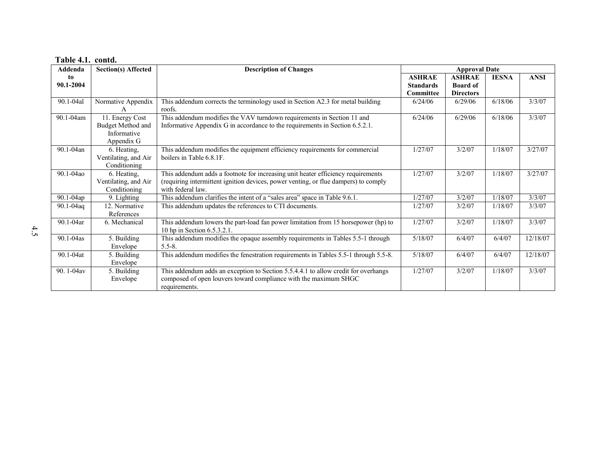| Table 4.1. contd. |  |  |
|-------------------|--|--|
|-------------------|--|--|

| Addenda                 | <b>Section(s) Affected</b>                                        | <b>Description of Changes</b>                                                                                                                                                                | <b>Approval Date</b> |                  |              |             |  |  |  |  |  |
|-------------------------|-------------------------------------------------------------------|----------------------------------------------------------------------------------------------------------------------------------------------------------------------------------------------|----------------------|------------------|--------------|-------------|--|--|--|--|--|
| to                      |                                                                   |                                                                                                                                                                                              | <b>ASHRAE</b>        | <b>ASHRAE</b>    | <b>IESNA</b> | <b>ANSI</b> |  |  |  |  |  |
| 90.1-2004               |                                                                   |                                                                                                                                                                                              | <b>Standards</b>     | <b>Board of</b>  |              |             |  |  |  |  |  |
|                         |                                                                   |                                                                                                                                                                                              | Committee            | <b>Directors</b> |              |             |  |  |  |  |  |
| 90.1-04al               | Normative Appendix                                                | This addendum corrects the terminology used in Section A2.3 for metal building<br>roofs.                                                                                                     | 6/24/06              | 6/29/06          | 6/18/06      | 3/3/07      |  |  |  |  |  |
| 90.1-04am               | 11. Energy Cost<br>Budget Method and<br>Informative<br>Appendix G | This addendum modifies the VAV turndown requirements in Section 11 and<br>Informative Appendix G in accordance to the requirements in Section 6.5.2.1.                                       | 6/24/06              | 6/29/06          | 6/18/06      | 3/3/07      |  |  |  |  |  |
| 90.1-04an               | 6. Heating,<br>Ventilating, and Air<br>Conditioning               | This addendum modifies the equipment efficiency requirements for commercial<br>boilers in Table 6.8.1F.                                                                                      | 1/27/07              | 3/2/07           | 1/18/07      | 3/27/07     |  |  |  |  |  |
| 90.1-04ao               | 6. Heating,<br>Ventilating, and Air<br>Conditioning               | This addendum adds a footnote for increasing unit heater efficiency requirements<br>(requiring intermittent ignition devices, power venting, or flue dampers) to comply<br>with federal law. | 1/27/07              | 3/2/07           | 1/18/07      | 3/27/07     |  |  |  |  |  |
| $\overline{90.1}$ -04ap | 9. Lighting                                                       | This addendum clarifies the intent of a "sales area" space in Table 9.6.1.                                                                                                                   | 1/27/07              | 3/2/07           | 1/18/07      | 3/3/07      |  |  |  |  |  |
| 90.1-04aq               | 12. Normative<br>References                                       | This addendum updates the references to CTI documents.                                                                                                                                       | 1/27/07              | 3/2/07           | 1/18/07      | 3/3/07      |  |  |  |  |  |
| 90.1-04ar               | 6. Mechanical                                                     | This addendum lowers the part-load fan power limitation from 15 horsepower (hp) to<br>10 hp in Section 6.5.3.2.1.                                                                            | 1/27/07              | 3/2/07           | 1/18/07      | 3/3/07      |  |  |  |  |  |
| 90.1-04as               | 5. Building<br>Envelope                                           | This addendum modifies the opaque assembly requirements in Tables 5.5-1 through<br>$5.5 - 8.$                                                                                                | 5/18/07              | 6/4/07           | 6/4/07       | 12/18/07    |  |  |  |  |  |
| 90.1-04at               | 5. Building<br>Envelope                                           | This addendum modifies the fenestration requirements in Tables 5.5-1 through 5.5-8.                                                                                                          | 5/18/07              | 6/4/07           | 6/4/07       | 12/18/07    |  |  |  |  |  |
| 90.1-04av               | 5. Building<br>Envelope                                           | This addendum adds an exception to Section 5.5.4.4.1 to allow credit for overhangs<br>composed of open louvers toward compliance with the maximum SHGC<br>requirements.                      | 1/27/07              | 3/2/07           | 1/18/07      | 3/3/07      |  |  |  |  |  |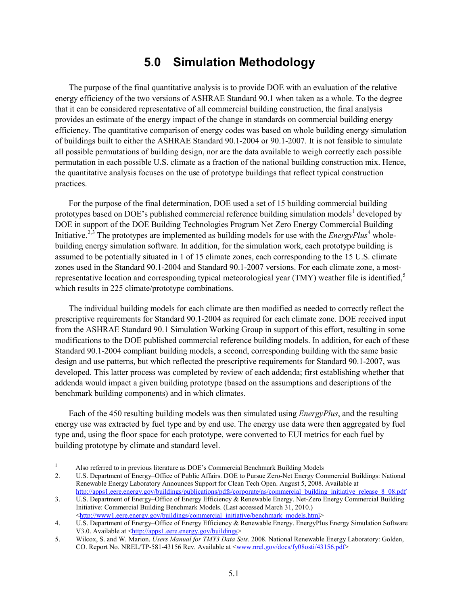## **5.0 Simulation Methodology**

<span id="page-22-0"></span>The purpose of the final quantitative analysis is to provide DOE with an evaluation of the relative energy efficiency of the two versions of ASHRAE Standard 90.1 when taken as a whole. To the degree that it can be considered representative of all commercial building construction, the final analysis provides an estimate of the energy impact of the change in standards on commercial building energy efficiency. The quantitative comparison of energy codes was based on whole building energy simulation of buildings built to either the ASHRAE Standard 90.1-2004 or 90.1-2007. It is not feasible to simulate all possible permutations of building design, nor are the data available to weigh correctly each possible permutation in each possible U.S. climate as a fraction of the national building construction mix. Hence, the quantitative analysis focuses on the use of prototype buildings that reflect typical construction practices.

For the purpose of the final determination, DOE used a set of 15 building commercial building prototypes based on DOE's published commercial reference building simulation models<sup>[1](#page-16-1)</sup> developed by DOE in support of the DOE Building Technologies Program Net Zero Energy Commercial Building Initiative.<sup>[2](#page-22-1),[3](#page-22-2)</sup> The prototypes are implemented as building models for use with the *EnergyPlus*<sup>[4](#page-22-3)</sup> wholebuilding energy simulation software. In addition, for the simulation work, each prototype building is assumed to be potentially situated in 1 of 15 climate zones, each corresponding to the 15 U.S. climate zones used in the Standard 90.1-2004 and Standard 90.1-2007 versions. For each climate zone, a most-representative location and corresponding typical meteorological year (TMY) weather file is identified,<sup>[5](#page-22-4)</sup> which results in 225 climate/prototype combinations.

The individual building models for each climate are then modified as needed to correctly reflect the prescriptive requirements for Standard 90.1-2004 as required for each climate zone. DOE received input from the ASHRAE Standard 90.1 Simulation Working Group in support of this effort, resulting in some modifications to the DOE published commercial reference building models. In addition, for each of these Standard 90.1-2004 compliant building models, a second, corresponding building with the same basic design and use patterns, but which reflected the prescriptive requirements for Standard 90.1-2007, was developed. This latter process was completed by review of each addenda; first establishing whether that addenda would impact a given building prototype (based on the assumptions and descriptions of the benchmark building components) and in which climates.

Each of the 450 resulting building models was then simulated using *EnergyPlus*, and the resulting energy use was extracted by fuel type and by end use. The energy use data were then aggregated by fuel type and, using the floor space for each prototype, were converted to EUI metrics for each fuel by building prototype by climate and standard level.

<sup>&</sup>lt;sup>1</sup> Also referred to in previous literature as DOE's Commercial Benchmark Building Models<br>2. U.S. Department of Energy–Office of Public Affairs. DOE to Pursue Zero-Net Energy Cor

<span id="page-22-1"></span><sup>2.</sup> U.S. Department of Energy–Office of Public Affairs. DOE to Pursue Zero-Net Energy Commercial Buildings: National Renewable Energy Laboratory Announces Support for Clean Tech Open. August 5, 2008. Available at [http://apps1.eere.energy.gov/buildings/publications/pdfs/corporate/ns/commercial\\_building\\_initiative\\_release\\_8\\_08.pdf](http://apps1.eere.energy.gov/buildings/publications/pdfs/corporate/ns/commercial_building_initiative_release_8_08.pdf)

<span id="page-22-5"></span><span id="page-22-2"></span><sup>3.</sup> U.S. Department of Energy–Office of Energy Efficiency & Renewable Energy. Net-Zero Energy Commercial Building Initiative: Commercial Building Benchmark Models. (Last accessed March 31, 2010.) [<http://www1.eere.energy.gov/buildings/commercial\\_initiative/benchmark\\_models.html>](http://www1.eere.energy.gov/buildings/commercial_initiative/benchmark_models.html)

<span id="page-22-3"></span><sup>4.</sup> U.S. Department of Energy–Office of Energy Efficiency & Renewable Energy. EnergyPlus Energy Simulation Software V3.0. Available at [<http://apps1.eere.energy.gov/buildings>](http://apps1.eere.energy.gov/buildings)

<span id="page-22-4"></span><sup>5.</sup> Wilcox, S. and W. Marion. *Users Manual for TMY3 Data Sets*. 2008. National Renewable Energy Laboratory: Golden, CO. Report No. NREL/TP-581-43156 Rev. Available at [<www.nrel.gov/docs/fy08osti/43156.pdf>](http://www.nrel.gov/docs/fy08osti/43156.pdf)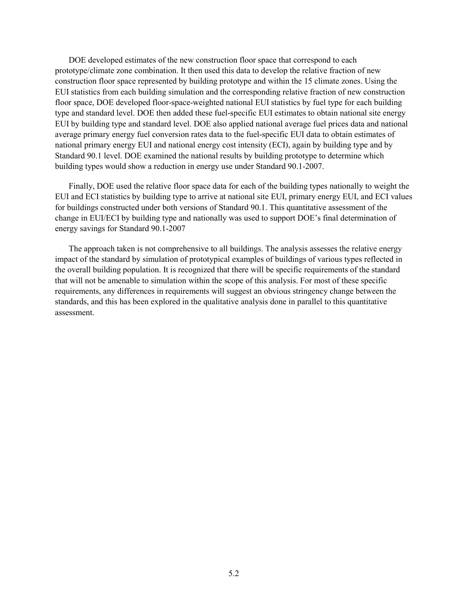DOE developed estimates of the new construction floor space that correspond to each prototype/climate zone combination. It then used this data to develop the relative fraction of new construction floor space represented by building prototype and within the 15 climate zones. Using the EUI statistics from each building simulation and the corresponding relative fraction of new construction floor space, DOE developed floor-space-weighted national EUI statistics by fuel type for each building type and standard level. DOE then added these fuel-specific EUI estimates to obtain national site energy EUI by building type and standard level. DOE also applied national average fuel prices data and national average primary energy fuel conversion rates data to the fuel-specific EUI data to obtain estimates of national primary energy EUI and national energy cost intensity (ECI), again by building type and by Standard 90.1 level. DOE examined the national results by building prototype to determine which building types would show a reduction in energy use under Standard 90.1-2007.

Finally, DOE used the relative floor space data for each of the building types nationally to weight the EUI and ECI statistics by building type to arrive at national site EUI, primary energy EUI, and ECI values for buildings constructed under both versions of Standard 90.1. This quantitative assessment of the change in EUI/ECI by building type and nationally was used to support DOE's final determination of energy savings for Standard 90.1-2007

The approach taken is not comprehensive to all buildings. The analysis assesses the relative energy impact of the standard by simulation of prototypical examples of buildings of various types reflected in the overall building population. It is recognized that there will be specific requirements of the standard that will not be amenable to simulation within the scope of this analysis. For most of these specific requirements, any differences in requirements will suggest an obvious stringency change between the standards, and this has been explored in the qualitative analysis done in parallel to this quantitative assessment.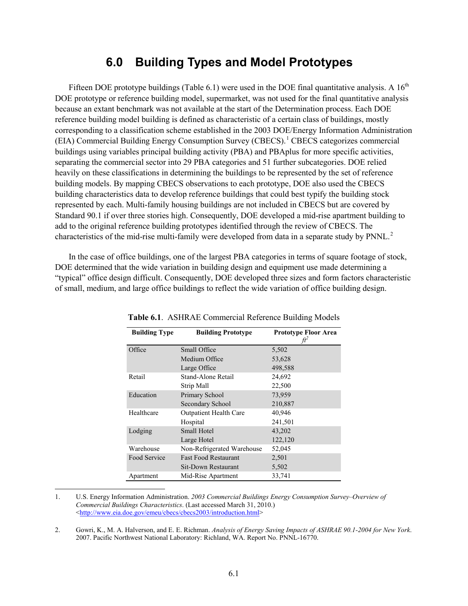### **6.0 Building Types and Model Prototypes**

<span id="page-24-0"></span>Fifteen DOE prototype buildings [\(Table 6.1\)](#page-24-1) were used in the DOE final quantitative analysis. A  $16<sup>th</sup>$ DOE prototype or reference building model, supermarket, was not used for the final quantitative analysis because an extant benchmark was not available at the start of the Determination process. Each DOE reference building model building is defined as characteristic of a certain class of buildings, mostly corresponding to a classification scheme established in the 2003 DOE/Energy Information Administration (EIA) Commercial Building Energy Consumption Survey (CBECS).[1](#page-22-5) CBECS categorizes commercial buildings using variables principal building activity (PBA) and PBAplus for more specific activities, separating the commercial sector into 29 PBA categories and 51 further subcategories. DOE relied heavily on these classifications in determining the buildings to be represented by the set of reference building models. By mapping CBECS observations to each prototype, DOE also used the CBECS building characteristics data to develop reference buildings that could best typify the building stock represented by each. Multi-family housing buildings are not included in CBECS but are covered by Standard 90.1 if over three stories high. Consequently, DOE developed a mid-rise apartment building to add to the original reference building prototypes identified through the review of CBECS. The characteristics of the mid-rise multi-family were developed from data in a separate study by  $PNNL<sup>2</sup>$  $PNNL<sup>2</sup>$  $PNNL<sup>2</sup>$ .

<span id="page-24-1"></span>In the case of office buildings, one of the largest PBA categories in terms of square footage of stock, DOE determined that the wide variation in building design and equipment use made determining a "typical" office design difficult. Consequently, DOE developed three sizes and form factors characteristic of small, medium, and large office buildings to reflect the wide variation of office building design.

| <b>Building Type</b> | <b>Building Prototype</b>     | <b>Prototype Floor Area</b><br>fť |
|----------------------|-------------------------------|-----------------------------------|
| Office               | Small Office                  | 5,502                             |
|                      | Medium Office                 | 53,628                            |
|                      | Large Office                  | 498,588                           |
| Retail               | Stand-Alone Retail            | 24,692                            |
|                      | Strip Mall                    | 22,500                            |
| Education            | Primary School                | 73,959                            |
|                      | Secondary School              | 210,887                           |
| Healthcare           | <b>Outpatient Health Care</b> | 40,946                            |
|                      | Hospital                      | 241,501                           |
| Lodging              | Small Hotel                   | 43,202                            |
|                      | Large Hotel                   | 122,120                           |
| Warehouse            | Non-Refrigerated Warehouse    | 52,045                            |
| Food Service         | <b>Fast Food Restaurant</b>   | 2,501                             |
|                      | Sit-Down Restaurant           | 5,502                             |
| Apartment            | Mid-Rise Apartment            | 33,741                            |

**Table 6.1**. ASHRAE Commercial Reference Building Models

 1. U.S. Energy Information Administration. *2003 Commercial Buildings Energy Consumption Survey–Overview of Commercial Buildings Characteristics*. (Last accessed March 31, 2010.) [<http://www.eia.doe.gov/emeu/cbecs/cbecs2003/introduction.html>](http://www.eia.doe.gov/emeu/cbecs/cbecs2003/introduction.html)

<span id="page-24-3"></span><span id="page-24-2"></span>2. Gowri, K., M. A. Halverson, and E. E. Richman. *Analysis of Energy Saving Impacts of ASHRAE 90.1-2004 for New York*. 2007. Pacific Northwest National Laboratory: Richland, WA. Report No. PNNL-16770.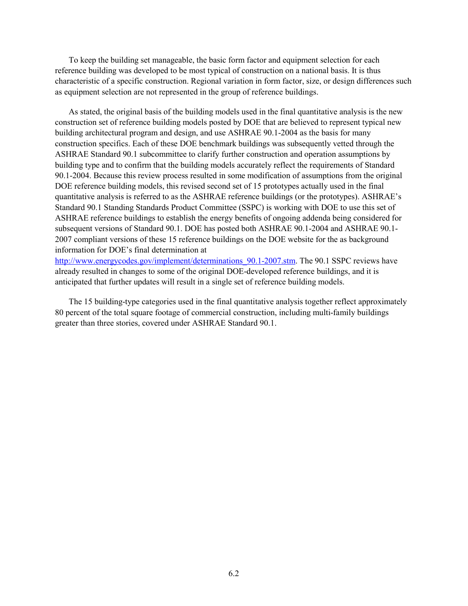To keep the building set manageable, the basic form factor and equipment selection for each reference building was developed to be most typical of construction on a national basis. It is thus characteristic of a specific construction. Regional variation in form factor, size, or design differences such as equipment selection are not represented in the group of reference buildings.

As stated, the original basis of the building models used in the final quantitative analysis is the new construction set of reference building models posted by DOE that are believed to represent typical new building architectural program and design, and use ASHRAE 90.1-2004 as the basis for many construction specifics. Each of these DOE benchmark buildings was subsequently vetted through the ASHRAE Standard 90.1 subcommittee to clarify further construction and operation assumptions by building type and to confirm that the building models accurately reflect the requirements of Standard 90.1-2004. Because this review process resulted in some modification of assumptions from the original DOE reference building models, this revised second set of 15 prototypes actually used in the final quantitative analysis is referred to as the ASHRAE reference buildings (or the prototypes). ASHRAE's Standard 90.1 Standing Standards Product Committee (SSPC) is working with DOE to use this set of ASHRAE reference buildings to establish the energy benefits of ongoing addenda being considered for subsequent versions of Standard 90.1. DOE has posted both ASHRAE 90.1-2004 and ASHRAE 90.1- 2007 compliant versions of these 15 reference buildings on the DOE website for the as background information for DOE's final determination at

http://www.energycodes.gov/implement/determinations 90.1-2007.stm. The 90.1 SSPC reviews have already resulted in changes to some of the original DOE-developed reference buildings, and it is anticipated that further updates will result in a single set of reference building models.

The 15 building-type categories used in the final quantitative analysis together reflect approximately 80 percent of the total square footage of commercial construction, including multi-family buildings greater than three stories, covered under ASHRAE Standard 90.1.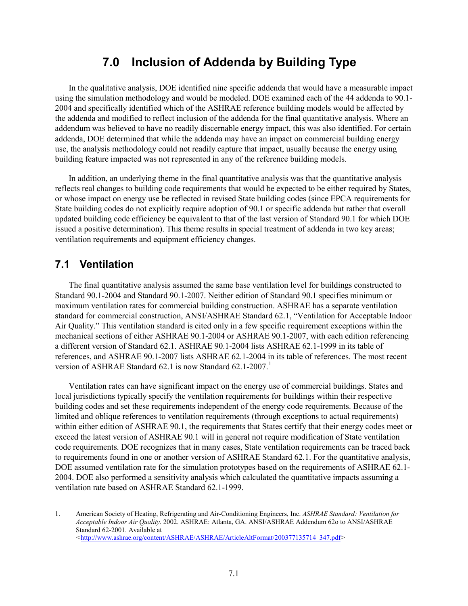## **7.0 Inclusion of Addenda by Building Type**

<span id="page-26-0"></span>In the qualitative analysis, DOE identified nine specific addenda that would have a measurable impact using the simulation methodology and would be modeled. DOE examined each of the 44 addenda to 90.1- 2004 and specifically identified which of the ASHRAE reference building models would be affected by the addenda and modified to reflect inclusion of the addenda for the final quantitative analysis. Where an addendum was believed to have no readily discernable energy impact, this was also identified. For certain addenda, DOE determined that while the addenda may have an impact on commercial building energy use, the analysis methodology could not readily capture that impact, usually because the energy using building feature impacted was not represented in any of the reference building models.

In addition, an underlying theme in the final quantitative analysis was that the quantitative analysis reflects real changes to building code requirements that would be expected to be either required by States, or whose impact on energy use be reflected in revised State building codes (since EPCA requirements for State building codes do not explicitly require adoption of 90.1 or specific addenda but rather that overall updated building code efficiency be equivalent to that of the last version of Standard 90.1 for which DOE issued a positive determination). This theme results in special treatment of addenda in two key areas; ventilation requirements and equipment efficiency changes.

#### <span id="page-26-1"></span>**7.1 Ventilation**

The final quantitative analysis assumed the same base ventilation level for buildings constructed to Standard 90.1-2004 and Standard 90.1-2007. Neither edition of Standard 90.1 specifies minimum or maximum ventilation rates for commercial building construction. ASHRAE has a separate ventilation standard for commercial construction, ANSI/ASHRAE Standard 62.1, "Ventilation for Acceptable Indoor Air Quality." This ventilation standard is cited only in a few specific requirement exceptions within the mechanical sections of either ASHRAE 90.1-2004 or ASHRAE 90.1-2007, with each edition referencing a different version of Standard 62.1. ASHRAE 90.1-2004 lists ASHRAE 62.1-1999 in its table of references, and ASHRAE 90.1-2007 lists ASHRAE 62.1-2004 in its table of references. The most recent version of ASHRAE Standard 62.[1](#page-24-3) is now Standard 62.1-2007.<sup>1</sup>

Ventilation rates can have significant impact on the energy use of commercial buildings. States and local jurisdictions typically specify the ventilation requirements for buildings within their respective building codes and set these requirements independent of the energy code requirements. Because of the limited and oblique references to ventilation requirements (through exceptions to actual requirements) within either edition of ASHRAE 90.1, the requirements that States certify that their energy codes meet or exceed the latest version of ASHRAE 90.1 will in general not require modification of State ventilation code requirements. DOE recognizes that in many cases, State ventilation requirements can be traced back to requirements found in one or another version of ASHRAE Standard 62.1. For the quantitative analysis, DOE assumed ventilation rate for the simulation prototypes based on the requirements of ASHRAE 62.1- 2004. DOE also performed a sensitivity analysis which calculated the quantitative impacts assuming a ventilation rate based on ASHRAE Standard 62.1-1999.

 <sup>1.</sup> American Society of Heating, Refrigerating and Air-Conditioning Engineers, Inc. *ASHRAE Standard: Ventilation for Acceptable Indoor Air Quality*. 2002. ASHRAE: Atlanta, GA. ANSI/ASHRAE Addendum 62o to ANSI/ASHRAE Standard 62-2001. Available at *<*[http://www.ashrae.org/content/ASHRAE/ASHRAE/ArticleAltFormat/200377135714\\_347.pdf](http://www.ashrae.org/content/ASHRAE/ASHRAE/ArticleAltFormat/200377135714_347.pdf)*>*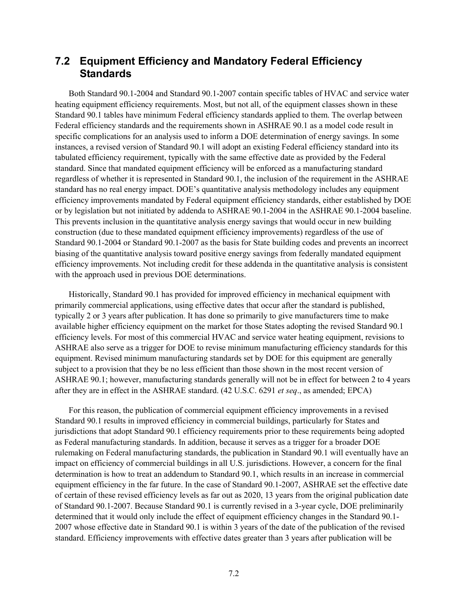#### <span id="page-27-0"></span>**7.2 Equipment Efficiency and Mandatory Federal Efficiency Standards**

Both Standard 90.1-2004 and Standard 90.1-2007 contain specific tables of HVAC and service water heating equipment efficiency requirements. Most, but not all, of the equipment classes shown in these Standard 90.1 tables have minimum Federal efficiency standards applied to them. The overlap between Federal efficiency standards and the requirements shown in ASHRAE 90.1 as a model code result in specific complications for an analysis used to inform a DOE determination of energy savings. In some instances, a revised version of Standard 90.1 will adopt an existing Federal efficiency standard into its tabulated efficiency requirement, typically with the same effective date as provided by the Federal standard. Since that mandated equipment efficiency will be enforced as a manufacturing standard regardless of whether it is represented in Standard 90.1, the inclusion of the requirement in the ASHRAE standard has no real energy impact. DOE's quantitative analysis methodology includes any equipment efficiency improvements mandated by Federal equipment efficiency standards, either established by DOE or by legislation but not initiated by addenda to ASHRAE 90.1-2004 in the ASHRAE 90.1-2004 baseline. This prevents inclusion in the quantitative analysis energy savings that would occur in new building construction (due to these mandated equipment efficiency improvements) regardless of the use of Standard 90.1-2004 or Standard 90.1-2007 as the basis for State building codes and prevents an incorrect biasing of the quantitative analysis toward positive energy savings from federally mandated equipment efficiency improvements. Not including credit for these addenda in the quantitative analysis is consistent with the approach used in previous DOE determinations.

Historically, Standard 90.1 has provided for improved efficiency in mechanical equipment with primarily commercial applications, using effective dates that occur after the standard is published, typically 2 or 3 years after publication. It has done so primarily to give manufacturers time to make available higher efficiency equipment on the market for those States adopting the revised Standard 90.1 efficiency levels. For most of this commercial HVAC and service water heating equipment, revisions to ASHRAE also serve as a trigger for DOE to revise minimum manufacturing efficiency standards for this equipment. Revised minimum manufacturing standards set by DOE for this equipment are generally subject to a provision that they be no less efficient than those shown in the most recent version of ASHRAE 90.1; however, manufacturing standards generally will not be in effect for between 2 to 4 years after they are in effect in the ASHRAE standard. (42 U.S.C. 6291 *et seq*., as amended; EPCA)

For this reason, the publication of commercial equipment efficiency improvements in a revised Standard 90.1 results in improved efficiency in commercial buildings, particularly for States and jurisdictions that adopt Standard 90.1 efficiency requirements prior to these requirements being adopted as Federal manufacturing standards. In addition, because it serves as a trigger for a broader DOE rulemaking on Federal manufacturing standards, the publication in Standard 90.1 will eventually have an impact on efficiency of commercial buildings in all U.S. jurisdictions. However, a concern for the final determination is how to treat an addendum to Standard 90.1, which results in an increase in commercial equipment efficiency in the far future. In the case of Standard 90.1-2007, ASHRAE set the effective date of certain of these revised efficiency levels as far out as 2020, 13 years from the original publication date of Standard 90.1-2007. Because Standard 90.1 is currently revised in a 3-year cycle, DOE preliminarily determined that it would only include the effect of equipment efficiency changes in the Standard 90.1- 2007 whose effective date in Standard 90.1 is within 3 years of the date of the publication of the revised standard. Efficiency improvements with effective dates greater than 3 years after publication will be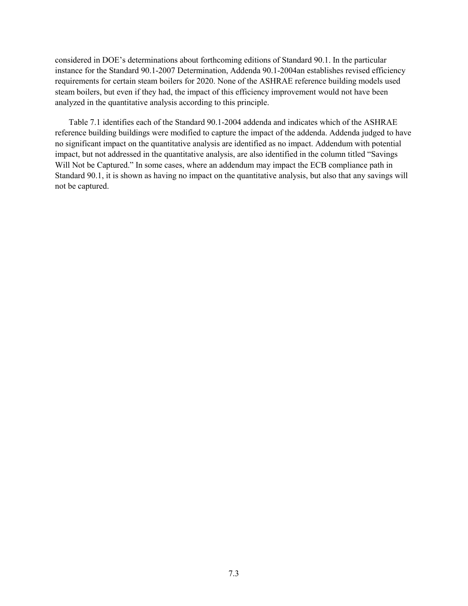considered in DOE's determinations about forthcoming editions of Standard 90.1. In the particular instance for the Standard 90.1-2007 Determination, Addenda 90.1-2004an establishes revised efficiency requirements for certain steam boilers for 2020. None of the ASHRAE reference building models used steam boilers, but even if they had, the impact of this efficiency improvement would not have been analyzed in the quantitative analysis according to this principle.

[Table 7.1](#page-29-0) identifies each of the Standard 90.1-2004 addenda and indicates which of the ASHRAE reference building buildings were modified to capture the impact of the addenda. Addenda judged to have no significant impact on the quantitative analysis are identified as no impact. Addendum with potential impact, but not addressed in the quantitative analysis, are also identified in the column titled "Savings Will Not be Captured." In some cases, where an addendum may impact the ECB compliance path in Standard 90.1, it is shown as having no impact on the quantitative analysis, but also that any savings will not be captured.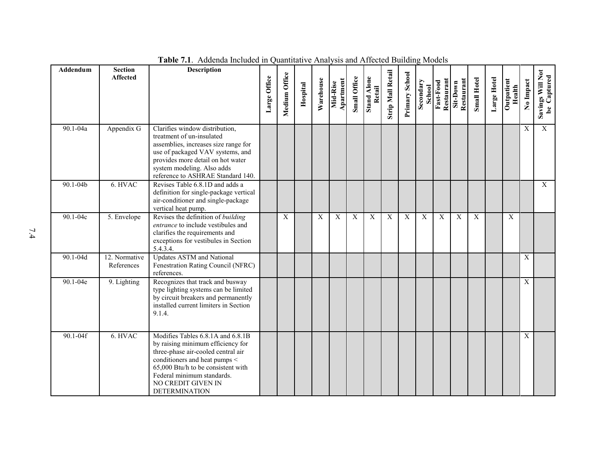<span id="page-29-0"></span>

| Addendum     | <b>Section</b><br><b>Affected</b> | <b>Description</b>                                                                                                                                                                                                                                              | Large Office | Medium Office | Hospital | Warehouse | Apartment<br>Mid-Rise | Small Office | <b>Stand Alone</b><br>Retail | <b>Strip Mall Retail</b> | Primary School | Secondary<br>School | Restaurant<br>Fast-Food | Restaurant<br>Sit-Down | <b>Small Hotel</b> | Large Hotel | Outpatient<br>Health | No Impact        | Savings Will Not<br>be Captured |
|--------------|-----------------------------------|-----------------------------------------------------------------------------------------------------------------------------------------------------------------------------------------------------------------------------------------------------------------|--------------|---------------|----------|-----------|-----------------------|--------------|------------------------------|--------------------------|----------------|---------------------|-------------------------|------------------------|--------------------|-------------|----------------------|------------------|---------------------------------|
| 90.1-04a     | Appendix G                        | Clarifies window distribution,<br>treatment of un-insulated<br>assemblies, increases size range for<br>use of packaged VAV systems, and<br>provides more detail on hot water<br>system modeling. Also adds<br>reference to ASHRAE Standard 140.                 |              |               |          |           |                       |              |                              |                          |                |                     |                         |                        |                    |             |                      | X                | $\overline{X}$                  |
| $90.1 - 04b$ | 6. HVAC                           | Revises Table 6.8.1D and adds a<br>definition for single-package vertical<br>air-conditioner and single-package<br>vertical heat pump.                                                                                                                          |              |               |          |           |                       |              |                              |                          |                |                     |                         |                        |                    |             |                      |                  | $\mathbf{X}$                    |
| $90.1 - 04c$ | 5. Envelope                       | Revises the definition of building<br><i>entrance</i> to include vestibules and<br>clarifies the requirements and<br>exceptions for vestibules in Section<br>5.4.3.4.                                                                                           |              | X             |          | X         | X                     | X            | X                            | $\mathbf X$              | X              | X                   | $\mathbf X$             | X                      | X                  |             | X                    |                  |                                 |
| 90.1-04d     | 12. Normative<br>References       | <b>Updates ASTM</b> and National<br>Fenestration Rating Council (NFRC)<br>references.                                                                                                                                                                           |              |               |          |           |                       |              |                              |                          |                |                     |                         |                        |                    |             |                      | $\boldsymbol{X}$ |                                 |
| 90.1-04e     | 9. Lighting                       | Recognizes that track and busway<br>type lighting systems can be limited<br>by circuit breakers and permanently<br>installed current limiters in Section<br>9.1.4.                                                                                              |              |               |          |           |                       |              |                              |                          |                |                     |                         |                        |                    |             |                      | $\overline{X}$   |                                 |
| $90.1 - 04f$ | 6. HVAC                           | Modifies Tables 6.8.1A and 6.8.1B<br>by raising minimum efficiency for<br>three-phase air-cooled central air<br>conditioners and heat pumps <<br>65,000 Btu/h to be consistent with<br>Federal minimum standards.<br>NO CREDIT GIVEN IN<br><b>DETERMINATION</b> |              |               |          |           |                       |              |                              |                          |                |                     |                         |                        |                    |             |                      | $\overline{X}$   |                                 |

**Table 7.1**. Addenda Included in Quantitative Analysis and Affected Building Models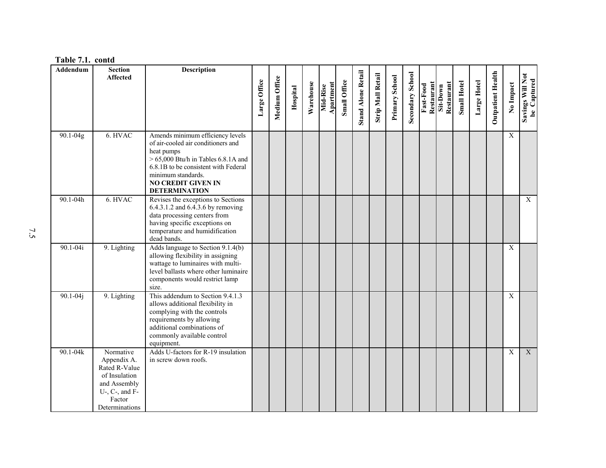|  | Table 7.1. contd |
|--|------------------|
|--|------------------|

| Addendum     | <b>Section</b>                                                                                                                    | <b>Description</b>                                                                                                                                                                                        |              |               |          |           |                       |              |                           |                          |                |                  |                         |                        |                    |             |                          |                           |                                 |
|--------------|-----------------------------------------------------------------------------------------------------------------------------------|-----------------------------------------------------------------------------------------------------------------------------------------------------------------------------------------------------------|--------------|---------------|----------|-----------|-----------------------|--------------|---------------------------|--------------------------|----------------|------------------|-------------------------|------------------------|--------------------|-------------|--------------------------|---------------------------|---------------------------------|
|              | <b>Affected</b>                                                                                                                   |                                                                                                                                                                                                           |              | Medium Office |          |           |                       |              | <b>Stand Alone Retail</b> | <b>Strip Mall Retail</b> | Primary School | Secondary School |                         |                        |                    |             | <b>Outpatient Health</b> |                           | Savings Will Not<br>be Captured |
|              |                                                                                                                                   |                                                                                                                                                                                                           | Large Office |               | Hospital | Warehouse | Apartment<br>Mid-Rise | Small Office |                           |                          |                |                  | Restaurant<br>Fast-Food | Restaurant<br>Sit-Down | <b>Small Hotel</b> | Large Hotel |                          | No Impact                 |                                 |
|              |                                                                                                                                   |                                                                                                                                                                                                           |              |               |          |           |                       |              |                           |                          |                |                  |                         |                        |                    |             |                          |                           |                                 |
|              |                                                                                                                                   |                                                                                                                                                                                                           |              |               |          |           |                       |              |                           |                          |                |                  |                         |                        |                    |             |                          |                           |                                 |
| 90.1-04g     | 6. HVAC                                                                                                                           | Amends minimum efficiency levels<br>of air-cooled air conditioners and<br>heat pumps<br>$> 65,000$ Btu/h in Tables 6.8.1A and                                                                             |              |               |          |           |                       |              |                           |                          |                |                  |                         |                        |                    |             |                          | X                         |                                 |
|              |                                                                                                                                   | 6.8.1B to be consistent with Federal<br>minimum standards.<br><b>NO CREDIT GIVEN IN</b><br><b>DETERMINATION</b>                                                                                           |              |               |          |           |                       |              |                           |                          |                |                  |                         |                        |                    |             |                          |                           |                                 |
| 90.1-04h     | 6. HVAC                                                                                                                           | Revises the exceptions to Sections<br>6.4.3.1.2 and 6.4.3.6 by removing<br>data processing centers from<br>having specific exceptions on                                                                  |              |               |          |           |                       |              |                           |                          |                |                  |                         |                        |                    |             |                          |                           | $\overline{X}$                  |
|              |                                                                                                                                   | temperature and humidification<br>dead bands.                                                                                                                                                             |              |               |          |           |                       |              |                           |                          |                |                  |                         |                        |                    |             |                          |                           |                                 |
| 90.1-04i     | 9. Lighting                                                                                                                       | Adds language to Section 9.1.4(b)<br>allowing flexibility in assigning<br>wattage to luminaires with multi-<br>level ballasts where other luminaire<br>components would restrict lamp<br>size.            |              |               |          |           |                       |              |                           |                          |                |                  |                         |                        |                    |             |                          | $\boldsymbol{\mathrm{X}}$ |                                 |
| $90.1 - 04j$ | 9. Lighting                                                                                                                       | This addendum to Section 9.4.1.3<br>allows additional flexibility in<br>complying with the controls<br>requirements by allowing<br>additional combinations of<br>commonly available control<br>equipment. |              |               |          |           |                       |              |                           |                          |                |                  |                         |                        |                    |             |                          | X                         |                                 |
| 90.1-04k     | Normative<br>Appendix A.<br>Rated R-Value<br>of Insulation<br>and Assembly<br>$U$ -, $C$ -, and $F$ -<br>Factor<br>Determinations | Adds U-factors for R-19 insulation<br>in screw down roofs.                                                                                                                                                |              |               |          |           |                       |              |                           |                          |                |                  |                         |                        |                    |             |                          | X                         | $\overline{X}$                  |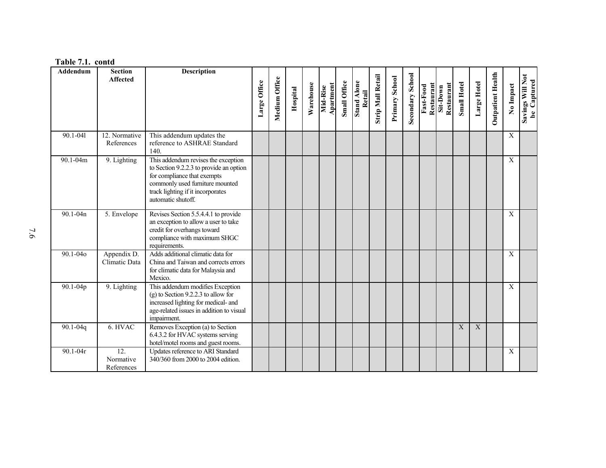|--|

| Addendum     | <b>Section</b>                 | <b>Description</b>                                                                                                                                                                                          |              |               |          |           |                       |              |                              |                          |                |                  |                         |                        |                    |             |                          |             |                                 |
|--------------|--------------------------------|-------------------------------------------------------------------------------------------------------------------------------------------------------------------------------------------------------------|--------------|---------------|----------|-----------|-----------------------|--------------|------------------------------|--------------------------|----------------|------------------|-------------------------|------------------------|--------------------|-------------|--------------------------|-------------|---------------------------------|
|              | <b>Affected</b>                |                                                                                                                                                                                                             | Large Office | Medium Office | Hospital | Warehouse | Apartment<br>Mid-Rise | Small Office | <b>Stand Alone</b><br>Retail | <b>Strip Mall Retail</b> | Primary School | Secondary School | Restaurant<br>Fast-Food | Restaurant<br>Sit-Down | <b>Small Hotel</b> | Large Hotel | <b>Outpatient Health</b> | No Impact   | Savings Will Not<br>be Captured |
| 90.1-041     | 12. Normative<br>References    | This addendum updates the<br>reference to ASHRAE Standard<br>140.                                                                                                                                           |              |               |          |           |                       |              |                              |                          |                |                  |                         |                        |                    |             |                          | $\mathbf X$ |                                 |
| 90.1-04m     | 9. Lighting                    | This addendum revises the exception<br>to Section 9.2.2.3 to provide an option<br>for compliance that exempts<br>commonly used furniture mounted<br>track lighting if it incorporates<br>automatic shutoff. |              |               |          |           |                       |              |                              |                          |                |                  |                         |                        |                    |             |                          | $\mathbf X$ |                                 |
| 90.1-04n     | 5. Envelope                    | Revises Section 5.5.4.4.1 to provide<br>an exception to allow a user to take<br>credit for overhangs toward<br>compliance with maximum SHGC<br>requirements.                                                |              |               |          |           |                       |              |                              |                          |                |                  |                         |                        |                    |             |                          | X           |                                 |
| 90.1-040     | Appendix D.<br>Climatic Data   | Adds additional climatic data for<br>China and Taiwan and corrects errors<br>for climatic data for Malaysia and<br>Mexico.                                                                                  |              |               |          |           |                       |              |                              |                          |                |                  |                         |                        |                    |             |                          | $\mathbf X$ |                                 |
| 90.1-04p     | 9. Lighting                    | This addendum modifies Exception<br>$(g)$ to Section 9.2.2.3 to allow for<br>increased lighting for medical- and<br>age-related issues in addition to visual<br>impairment.                                 |              |               |          |           |                       |              |                              |                          |                |                  |                         |                        |                    |             |                          | $\mathbf X$ |                                 |
| $90.1 - 04q$ | 6. HVAC                        | Removes Exception (a) to Section<br>6.4.3.2 for HVAC systems serving<br>hotel/motel rooms and guest rooms.                                                                                                  |              |               |          |           |                       |              |                              |                          |                |                  |                         |                        | X                  | X           |                          |             |                                 |
| $90.1 - 04r$ | 12.<br>Normative<br>References | Updates reference to ARI Standard<br>340/360 from 2000 to 2004 edition.                                                                                                                                     |              |               |          |           |                       |              |                              |                          |                |                  |                         |                        |                    |             |                          | X           |                                 |

7.6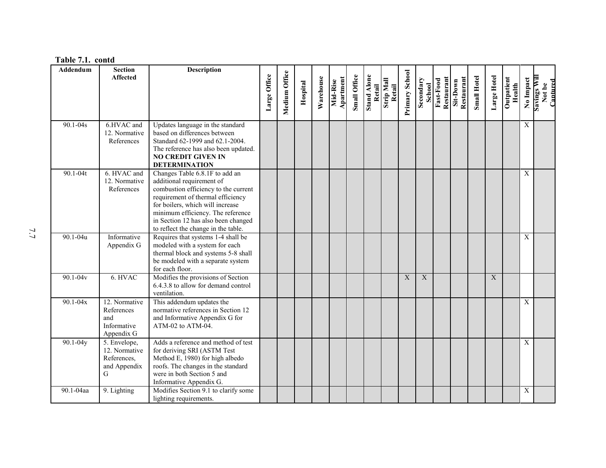| Addendum     | <b>Section</b>               | <b>Description</b>                                          |              |               |          |           |                       |              |                       |                             |                |                     |                         |                        |                    |             |                      |             |                                    |
|--------------|------------------------------|-------------------------------------------------------------|--------------|---------------|----------|-----------|-----------------------|--------------|-----------------------|-----------------------------|----------------|---------------------|-------------------------|------------------------|--------------------|-------------|----------------------|-------------|------------------------------------|
|              | <b>Affected</b>              |                                                             |              |               |          |           |                       |              |                       |                             |                |                     |                         |                        |                    |             |                      |             |                                    |
|              |                              |                                                             |              |               |          |           |                       |              |                       |                             |                |                     |                         |                        |                    |             |                      |             |                                    |
|              |                              |                                                             | Large Office | Medium Office | Hospital | Warehouse | Apartment<br>Mid-Rise | Small Office | Stand Alone<br>Retail | <b>Strip Mall</b><br>Retail | Primary School | Secondary<br>School | Restaurant<br>Fast-Food | Restaurant<br>Sit-Down | <b>Small Hotel</b> | Large Hotel | Outpatient<br>Health | No Impact   | Savings Will<br>Not be<br>Cantured |
|              |                              |                                                             |              |               |          |           |                       |              |                       |                             |                |                     |                         |                        |                    |             |                      |             |                                    |
|              |                              |                                                             |              |               |          |           |                       |              |                       |                             |                |                     |                         |                        |                    |             |                      |             |                                    |
| 90.1-04s     | 6.HVAC and                   | Updates language in the standard                            |              |               |          |           |                       |              |                       |                             |                |                     |                         |                        |                    |             |                      | X           |                                    |
|              | 12. Normative                | based on differences between                                |              |               |          |           |                       |              |                       |                             |                |                     |                         |                        |                    |             |                      |             |                                    |
|              | References                   | Standard 62-1999 and 62.1-2004.                             |              |               |          |           |                       |              |                       |                             |                |                     |                         |                        |                    |             |                      |             |                                    |
|              |                              | The reference has also been updated.                        |              |               |          |           |                       |              |                       |                             |                |                     |                         |                        |                    |             |                      |             |                                    |
|              |                              | <b>NO CREDIT GIVEN IN</b>                                   |              |               |          |           |                       |              |                       |                             |                |                     |                         |                        |                    |             |                      |             |                                    |
|              |                              | <b>DETERMINATION</b>                                        |              |               |          |           |                       |              |                       |                             |                |                     |                         |                        |                    |             |                      |             |                                    |
| $90.1 - 04t$ | 6. HVAC and<br>12. Normative | Changes Table 6.8.1F to add an<br>additional requirement of |              |               |          |           |                       |              |                       |                             |                |                     |                         |                        |                    |             |                      | X           |                                    |
|              | References                   | combustion efficiency to the current                        |              |               |          |           |                       |              |                       |                             |                |                     |                         |                        |                    |             |                      |             |                                    |
|              |                              | requirement of thermal efficiency                           |              |               |          |           |                       |              |                       |                             |                |                     |                         |                        |                    |             |                      |             |                                    |
|              |                              | for boilers, which will increase                            |              |               |          |           |                       |              |                       |                             |                |                     |                         |                        |                    |             |                      |             |                                    |
|              |                              | minimum efficiency. The reference                           |              |               |          |           |                       |              |                       |                             |                |                     |                         |                        |                    |             |                      |             |                                    |
|              |                              | in Section 12 has also been changed                         |              |               |          |           |                       |              |                       |                             |                |                     |                         |                        |                    |             |                      |             |                                    |
|              |                              | to reflect the change in the table.                         |              |               |          |           |                       |              |                       |                             |                |                     |                         |                        |                    |             |                      |             |                                    |
| $90.1 - 04u$ | Informative                  | Requires that systems 1-4 shall be                          |              |               |          |           |                       |              |                       |                             |                |                     |                         |                        |                    |             |                      | X           |                                    |
|              | Appendix G                   | modeled with a system for each                              |              |               |          |           |                       |              |                       |                             |                |                     |                         |                        |                    |             |                      |             |                                    |
|              |                              | thermal block and systems 5-8 shall                         |              |               |          |           |                       |              |                       |                             |                |                     |                         |                        |                    |             |                      |             |                                    |
|              |                              | be modeled with a separate system                           |              |               |          |           |                       |              |                       |                             |                |                     |                         |                        |                    |             |                      |             |                                    |
|              |                              | for each floor.                                             |              |               |          |           |                       |              |                       |                             |                |                     |                         |                        |                    |             |                      |             |                                    |
| $90.1 - 04v$ | 6. HVAC                      | Modifies the provisions of Section                          |              |               |          |           |                       |              |                       |                             | X              | $\mathbf X$         |                         |                        |                    | $\mathbf X$ |                      |             |                                    |
|              |                              | 6.4.3.8 to allow for demand control<br>ventilation.         |              |               |          |           |                       |              |                       |                             |                |                     |                         |                        |                    |             |                      |             |                                    |
| $90.1 - 04x$ | 12. Normative                | This addendum updates the                                   |              |               |          |           |                       |              |                       |                             |                |                     |                         |                        |                    |             |                      | $\mathbf X$ |                                    |
|              | References                   | normative references in Section 12                          |              |               |          |           |                       |              |                       |                             |                |                     |                         |                        |                    |             |                      |             |                                    |
|              | and                          | and Informative Appendix G for                              |              |               |          |           |                       |              |                       |                             |                |                     |                         |                        |                    |             |                      |             |                                    |
|              | Informative                  | ATM-02 to ATM-04.                                           |              |               |          |           |                       |              |                       |                             |                |                     |                         |                        |                    |             |                      |             |                                    |
|              | Appendix G                   |                                                             |              |               |          |           |                       |              |                       |                             |                |                     |                         |                        |                    |             |                      |             |                                    |
| $90.1 - 04y$ | 5. Envelope,                 | Adds a reference and method of test                         |              |               |          |           |                       |              |                       |                             |                |                     |                         |                        |                    |             |                      | X           |                                    |
|              | 12. Normative                | for deriving SRI (ASTM Test                                 |              |               |          |           |                       |              |                       |                             |                |                     |                         |                        |                    |             |                      |             |                                    |
|              | References,                  | Method E, 1980) for high albedo                             |              |               |          |           |                       |              |                       |                             |                |                     |                         |                        |                    |             |                      |             |                                    |
|              | and Appendix                 | roofs. The changes in the standard                          |              |               |          |           |                       |              |                       |                             |                |                     |                         |                        |                    |             |                      |             |                                    |
|              | G                            | were in both Section 5 and                                  |              |               |          |           |                       |              |                       |                             |                |                     |                         |                        |                    |             |                      |             |                                    |
|              |                              | Informative Appendix G.                                     |              |               |          |           |                       |              |                       |                             |                |                     |                         |                        |                    |             |                      |             |                                    |
| 90.1-04aa    | 9. Lighting                  | Modifies Section 9.1 to clarify some                        |              |               |          |           |                       |              |                       |                             |                |                     |                         |                        |                    |             |                      | $\mathbf X$ |                                    |
|              |                              | lighting requirements.                                      |              |               |          |           |                       |              |                       |                             |                |                     |                         |                        |                    |             |                      |             |                                    |

#### **Table 7.1. contd**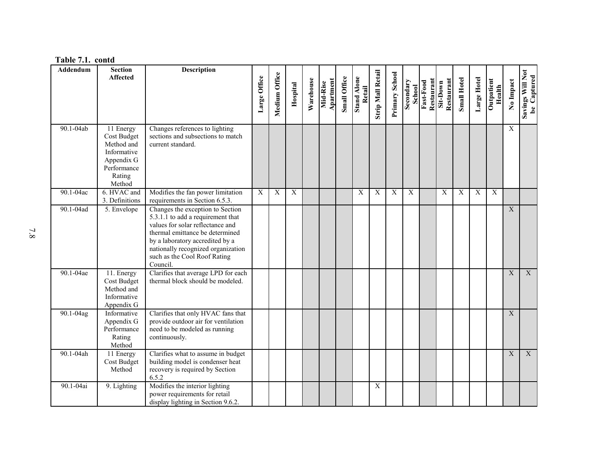| Addendum  | <b>Section</b><br><b>Affected</b>                                                                      | Description                                                                                                                                                                                                                                                       | Large Office | Medium Office | Hospital    | Warehouse | Apartment<br>Mid-Rise | <b>Small Office</b> | <b>Stand Alone</b><br>Retail | <b>Strip Mall Retail</b> | Primary School | Secondary<br><b>School</b> | Fast-Food<br>Restaurant | Restaurant<br>Sit-Down | <b>Small Hotel</b> | Large Hotel | Outpatient<br>Health | No Impact        | Savings Will Not<br>be Captured |
|-----------|--------------------------------------------------------------------------------------------------------|-------------------------------------------------------------------------------------------------------------------------------------------------------------------------------------------------------------------------------------------------------------------|--------------|---------------|-------------|-----------|-----------------------|---------------------|------------------------------|--------------------------|----------------|----------------------------|-------------------------|------------------------|--------------------|-------------|----------------------|------------------|---------------------------------|
| 90.1-04ab | 11 Energy<br>Cost Budget<br>Method and<br>Informative<br>Appendix G<br>Performance<br>Rating<br>Method | Changes references to lighting<br>sections and subsections to match<br>current standard.                                                                                                                                                                          |              |               |             |           |                       |                     |                              |                          |                |                            |                         |                        |                    |             |                      | $\mathbf X$      |                                 |
| 90.1-04ac | 6. HVAC and<br>3. Definitions                                                                          | Modifies the fan power limitation<br>requirements in Section 6.5.3.                                                                                                                                                                                               | $\mathbf X$  | $\mathbf X$   | $\mathbf X$ |           |                       |                     | X                            | X                        | $\mathbf X$    | $\mathbf X$                |                         | $\mathbf X$            | X                  | X           | X                    |                  |                                 |
| 90.1-04ad | 5. Envelope                                                                                            | Changes the exception to Section<br>5.3.1.1 to add a requirement that<br>values for solar reflectance and<br>thermal emittance be determined<br>by a laboratory accredited by a<br>nationally recognized organization<br>such as the Cool Roof Rating<br>Council. |              |               |             |           |                       |                     |                              |                          |                |                            |                         |                        |                    |             |                      | $\overline{X}$   |                                 |
| 90.1-04ae | 11. Energy<br>Cost Budget<br>Method and<br>Informative<br>Appendix G                                   | Clarifies that average LPD for each<br>thermal block should be modeled.                                                                                                                                                                                           |              |               |             |           |                       |                     |                              |                          |                |                            |                         |                        |                    |             |                      | $\boldsymbol{X}$ | $\overline{\text{X}}$           |
| 90.1-04ag | Informative<br>Appendix G<br>Performance<br>Rating<br>Method                                           | Clarifies that only HVAC fans that<br>provide outdoor air for ventilation<br>need to be modeled as running<br>continuously.                                                                                                                                       |              |               |             |           |                       |                     |                              |                          |                |                            |                         |                        |                    |             |                      | $\overline{X}$   |                                 |
| 90.1-04ah | 11 Energy<br>Cost Budget<br>Method                                                                     | Clarifies what to assume in budget<br>building model is condenser heat<br>recovery is required by Section<br>6.5.2                                                                                                                                                |              |               |             |           |                       |                     |                              |                          |                |                            |                         |                        |                    |             |                      | $\mathbf X$      | $\overline{\textbf{X}}$         |
| 90.1-04ai | 9. Lighting                                                                                            | Modifies the interior lighting<br>power requirements for retail<br>display lighting in Section 9.6.2.                                                                                                                                                             |              |               |             |           |                       |                     |                              | $\mathbf X$              |                |                            |                         |                        |                    |             |                      |                  |                                 |

#### **Table 7.1. contd**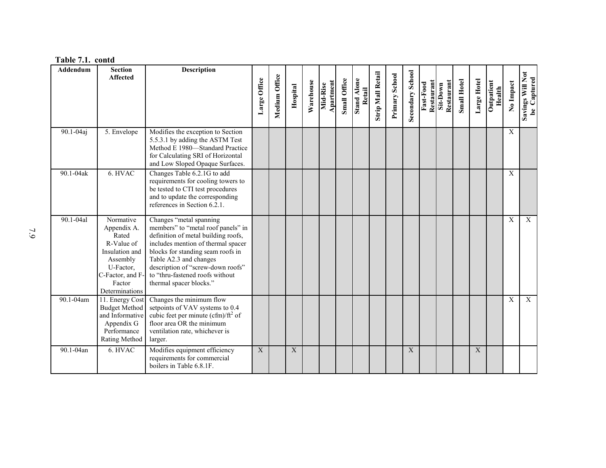|  | Table 7.1. contd |
|--|------------------|
|--|------------------|

| Addendum  | <b>Section</b><br><b>Affected</b>                                                                                                          | <b>Description</b>                                                                                                                                                                                                                                                                                           | Large Office | Medium Office | Hospital    | Warehouse | Apartment<br>Mid-Rise | <b>Small Office</b> | <b>Stand Alone</b><br>Retail | <b>Strip Mall Retail</b> | Primary School | Secondary School | Restaurant<br>Fast-Food | Restaurant<br>Sit-Down | <b>Small Hotel</b> | Large Hotel | Outpatient<br>Health | No Impact   | Savings Will Not<br>be Captured |
|-----------|--------------------------------------------------------------------------------------------------------------------------------------------|--------------------------------------------------------------------------------------------------------------------------------------------------------------------------------------------------------------------------------------------------------------------------------------------------------------|--------------|---------------|-------------|-----------|-----------------------|---------------------|------------------------------|--------------------------|----------------|------------------|-------------------------|------------------------|--------------------|-------------|----------------------|-------------|---------------------------------|
| 90.1-04aj | 5. Envelope                                                                                                                                | Modifies the exception to Section<br>5.5.3.1 by adding the ASTM Test<br>Method E 1980-Standard Practice<br>for Calculating SRI of Horizontal<br>and Low Sloped Opaque Surfaces.                                                                                                                              |              |               |             |           |                       |                     |                              |                          |                |                  |                         |                        |                    |             |                      | $\mathbf X$ |                                 |
| 90.1-04ak | 6. HVAC                                                                                                                                    | Changes Table 6.2.1G to add<br>requirements for cooling towers to<br>be tested to CTI test procedures<br>and to update the corresponding<br>references in Section 6.2.1.                                                                                                                                     |              |               |             |           |                       |                     |                              |                          |                |                  |                         |                        |                    |             |                      | X           |                                 |
| 90.1-04al | Normative<br>Appendix A.<br>Rated<br>R-Value of<br>Insulation and<br>Assembly<br>U-Factor,<br>C-Factor, and F-<br>Factor<br>Determinations | Changes "metal spanning<br>members" to "metal roof panels" in<br>definition of metal building roofs,<br>includes mention of thermal spacer<br>blocks for standing seam roofs in<br>Table A2.3 and changes<br>description of "screw-down roofs"<br>to "thru-fastened roofs without<br>thermal spacer blocks." |              |               |             |           |                       |                     |                              |                          |                |                  |                         |                        |                    |             |                      | $\mathbf X$ | $\mathbf X$                     |
| 90.1-04am | 11. Energy Cost<br><b>Budget Method</b><br>and Informative<br>Appendix G<br>Performance<br>Rating Method                                   | Changes the minimum flow<br>setpoints of VAV systems to 0.4<br>cubic feet per minute (cfm)/ $\text{ft}^2$ of<br>floor area OR the minimum<br>ventilation rate, whichever is<br>larger.                                                                                                                       |              |               |             |           |                       |                     |                              |                          |                |                  |                         |                        |                    |             |                      | $\mathbf X$ | $\overline{X}$                  |
| 90.1-04an | 6. HVAC                                                                                                                                    | Modifies equipment efficiency<br>requirements for commercial<br>boilers in Table 6.8.1F.                                                                                                                                                                                                                     | X            |               | $\mathbf X$ |           |                       |                     |                              |                          |                | X                |                         |                        |                    | X           |                      |             |                                 |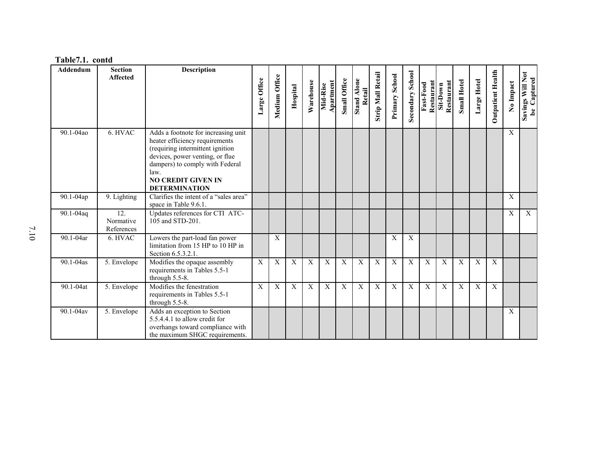| Table7.1. contd |  |
|-----------------|--|
|-----------------|--|

| <b>Addendum</b> | <b>Section</b>                 | <b>Description</b>                                                                                                                                                                                                                           |              |               |                |             |                       |                     |                              |                          |                |                         |                         |                        |                    |             |                          |              |                                    |
|-----------------|--------------------------------|----------------------------------------------------------------------------------------------------------------------------------------------------------------------------------------------------------------------------------------------|--------------|---------------|----------------|-------------|-----------------------|---------------------|------------------------------|--------------------------|----------------|-------------------------|-------------------------|------------------------|--------------------|-------------|--------------------------|--------------|------------------------------------|
|                 | <b>Affected</b>                |                                                                                                                                                                                                                                              | Large Office | Medium Office | Hospital       | Warehouse   | Apartment<br>Mid-Rise | <b>Small Office</b> | <b>Stand Alone</b><br>Retail | <b>Strip Mall Retail</b> | Primary School | <b>Secondary School</b> | Restaurant<br>Fast-Food | Restaurant<br>Sit-Down | <b>Small Hotel</b> | Large Hotel | <b>Outpatient Health</b> | No Impact    | Savings Will Not<br>Captured<br>be |
| 90.1-04ao       | 6. HVAC                        | Adds a footnote for increasing unit<br>heater efficiency requirements<br>(requiring intermittent ignition<br>devices, power venting, or flue<br>dampers) to comply with Federal<br>law.<br><b>NO CREDIT GIVEN IN</b><br><b>DETERMINATION</b> |              |               |                |             |                       |                     |                              |                          |                |                         |                         |                        |                    |             |                          | $\mathbf{X}$ |                                    |
| 90.1-04ap       | 9. Lighting                    | Clarifies the intent of a "sales area"<br>space in Table 9.6.1.                                                                                                                                                                              |              |               |                |             |                       |                     |                              |                          |                |                         |                         |                        |                    |             |                          | X            |                                    |
| 90.1-04aq       | 12.<br>Normative<br>References | Updates references for CTI ATC-<br>105 and STD-201.                                                                                                                                                                                          |              |               |                |             |                       |                     |                              |                          |                |                         |                         |                        |                    |             |                          | X            | $\mathbf X$                        |
| 90.1-04ar       | 6. HVAC                        | Lowers the part-load fan power<br>limitation from 15 HP to 10 HP in<br>Section 6.5.3.2.1.                                                                                                                                                    |              | $\mathbf X$   |                |             |                       |                     |                              |                          | X              | $\mathbf X$             |                         |                        |                    |             |                          |              |                                    |
| 90.1-04as       | 5. Envelope                    | Modifies the opaque assembly<br>requirements in Tables 5.5-1<br>through 5.5-8.                                                                                                                                                               | X            | $\mathbf X$   | $\overline{X}$ | X           | $\mathbf X$           | $\mathbf X$         | X                            | X                        | $\mathbf X$    | $\mathbf X$             | $\boldsymbol{X}$        | $\overline{X}$         | X                  | X           | $\overline{X}$           |              |                                    |
| 90.1-04at       | 5. Envelope                    | Modifies the fenestration<br>requirements in Tables 5.5-1<br>through 5.5-8.                                                                                                                                                                  | X            | $\mathbf{X}$  | $\mathbf X$    | $\mathbf X$ | $\mathbf{X}$          | $\mathbf{X}$        | X                            | X                        | $\mathbf{X}$   | $\mathbf{X}$            | X                       | $\overline{X}$         | $\mathbf X$        | X           | $\mathbf{X}$             |              |                                    |
| 90.1-04av       | 5. Envelope                    | Adds an exception to Section<br>5.5.4.4.1 to allow credit for<br>overhangs toward compliance with<br>the maximum SHGC requirements.                                                                                                          |              |               |                |             |                       |                     |                              |                          |                |                         |                         |                        |                    |             |                          | X            |                                    |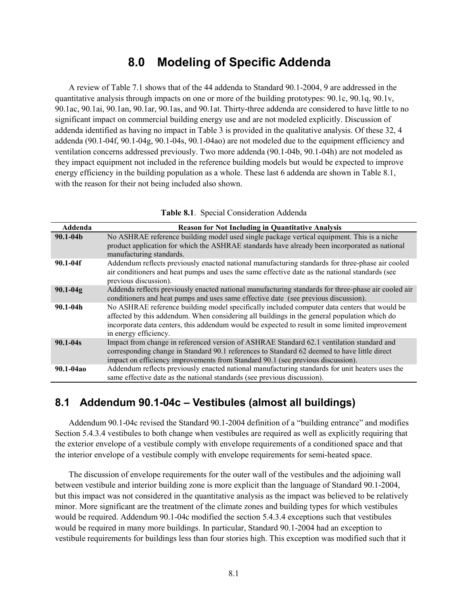### **8.0 Modeling of Specific Addenda**

A review of [Table 7.1](#page-29-0) shows that of the 44 addenda to Standard 90.1-2004, 9 are addressed in the quantitative analysis through impacts on one or more of the building prototypes: 90.1c, 90.1q, 90.1v, 90.1ac, 90.1ai, 90.1an, 90.1ar, 90.1as, and 90.1at. Thirty-three addenda are considered to have little to no significant impact on commercial building energy use and are not modeled explicitly. Discussion of addenda identified as having no impact in Table 3 is provided in the qualitative analysis. Of these 32, 4 addenda (90.1-04f, 90.1-04g, 90.1-04s, 90.1-04ao) are not modeled due to the equipment efficiency and ventilation concerns addressed previously. Two more addenda (90.1-04b, 90.1-04h) are not modeled as they impact equipment not included in the reference building models but would be expected to improve energy efficiency in the building population as a whole. These last 6 addenda are shown i[n Table 8.1,](#page-36-0) with the reason for their not being included also shown.

<span id="page-36-0"></span>

| Addenda      | <b>Reason for Not Including in Quantitative Analysis</b>                                                                                                                                                                                                                                                                 |
|--------------|--------------------------------------------------------------------------------------------------------------------------------------------------------------------------------------------------------------------------------------------------------------------------------------------------------------------------|
| $90.1 - 04b$ | No ASHRAE reference building model used single package vertical equipment. This is a niche<br>product application for which the ASHRAE standards have already been incorporated as national<br>manufacturing standards.                                                                                                  |
| $90.1 - 04f$ | Addendum reflects previously enacted national manufacturing standards for three-phase air cooled<br>air conditioners and heat pumps and uses the same effective date as the national standards (see<br>previous discussion).                                                                                             |
| $90.1 - 04g$ | Addenda reflects previously enacted national manufacturing standards for three-phase air cooled air<br>conditioners and heat pumps and uses same effective date (see previous discussion).                                                                                                                               |
| $90.1 - 04h$ | No ASHRAE reference building model specifically included computer data centers that would be<br>affected by this addendum. When considering all buildings in the general population which do<br>incorporate data centers, this addendum would be expected to result in some limited improvement<br>in energy efficiency. |
| $90.1 - 04s$ | Impact from change in referenced version of ASHRAE Standard 62.1 ventilation standard and<br>corresponding change in Standard 90.1 references to Standard 62 deemed to have little direct<br>impact on efficiency improvements from Standard 90.1 (see previous discussion).                                             |
| 90.1-04ao    | Addendum reflects previously enacted national manufacturing standards for unit heaters uses the<br>same effective date as the national standards (see previous discussion).                                                                                                                                              |

**Table 8.1**. Special Consideration Addenda

#### **8.1 Addendum 90.1-04c – Vestibules (almost all buildings)**

Addendum 90.1-04c revised the Standard 90.1-2004 definition of a "building entrance" and modifies Section 5.4.3.4 vestibules to both change when vestibules are required as well as explicitly requiring that the exterior envelope of a vestibule comply with envelope requirements of a conditioned space and that the interior envelope of a vestibule comply with envelope requirements for semi-heated space.

The discussion of envelope requirements for the outer wall of the vestibules and the adjoining wall between vestibule and interior building zone is more explicit than the language of Standard 90.1-2004, but this impact was not considered in the quantitative analysis as the impact was believed to be relatively minor. More significant are the treatment of the climate zones and building types for which vestibules would be required. Addendum 90.1-04c modified the section 5.4.3.4 exceptions such that vestibules would be required in many more buildings. In particular, Standard 90.1-2004 had an exception to vestibule requirements for buildings less than four stories high. This exception was modified such that it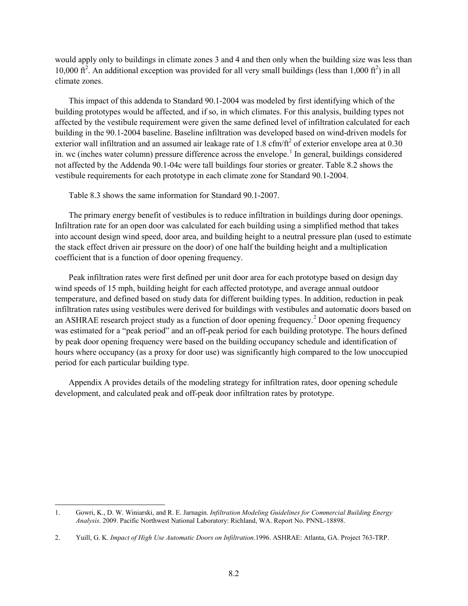would apply only to buildings in climate zones 3 and 4 and then only when the building size was less than 10,000 ft<sup>2</sup>. An additional exception was provided for all very small buildings (less than 1,000 ft<sup>2</sup>) in all climate zones.

This impact of this addenda to Standard 90.1-2004 was modeled by first identifying which of the building prototypes would be affected, and if so, in which climates. For this analysis, building types not affected by the vestibule requirement were given the same defined level of infiltration calculated for each building in the 90.1-2004 baseline. Baseline infiltration was developed based on wind-driven models for exterior wall infiltration and an assumed air leakage rate of 1.8 cfm/ft<sup>2</sup> of exterior envelope area at 0.30 in. wc (inches water column) pressure difference across the envelope.<sup>[1](#page-26-0)</sup> In general, buildings considered not affected by the Addenda 90.1-04c were tall buildings four stories or greater. [Table 8.2](#page-38-0) shows the vestibule requirements for each prototype in each climate zone for Standard 90.1-2004.

[Table](#page-38-1) 8.3 shows the same information for Standard 90.1-2007.

The primary energy benefit of vestibules is to reduce infiltration in buildings during door openings. Infiltration rate for an open door was calculated for each building using a simplified method that takes into account design wind speed, door area, and building height to a neutral pressure plan (used to estimate the stack effect driven air pressure on the door) of one half the building height and a multiplication coefficient that is a function of door opening frequency.

Peak infiltration rates were first defined per unit door area for each prototype based on design day wind speeds of 15 mph, building height for each affected prototype, and average annual outdoor temperature, and defined based on study data for different building types. In addition, reduction in peak infiltration rates using vestibules were derived for buildings with vestibules and automatic doors based on an ASHRAE research project study as a function of door opening frequency.<sup>[2](#page-37-0)</sup> Door opening frequency was estimated for a "peak period" and an off-peak period for each building prototype. The hours defined by peak door opening frequency were based on the building occupancy schedule and identification of hours where occupancy (as a proxy for door use) was significantly high compared to the low unoccupied period for each particular building type.

Appendix A provides details of the modeling strategy for infiltration rates, door opening schedule development, and calculated peak and off-peak door infiltration rates by prototype.

<span id="page-37-1"></span> <sup>1.</sup> Gowri, K., D. W. Winiarski, and R. E. Jarnagin. *Infiltration Modeling Guidelines for Commercial Building Energy Analysis*. 2009. Pacific Northwest National Laboratory: Richland, WA. Report No. PNNL-18898.

<span id="page-37-0"></span><sup>2.</sup> Yuill, G. K. *Impact of High Use Automatic Doors on Infiltration*.1996. ASHRAE: Atlanta, GA. Project 763-TRP.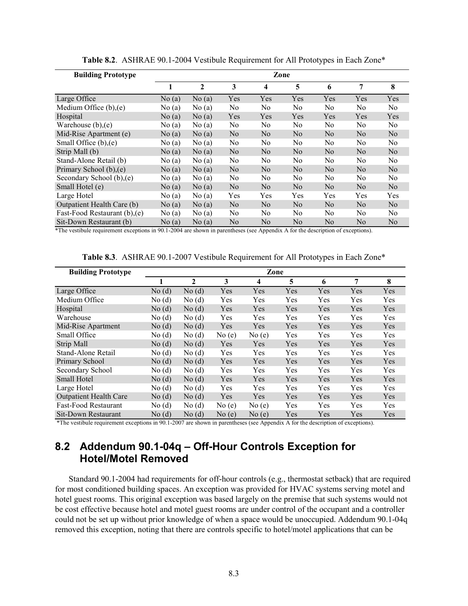<span id="page-38-0"></span>

| <b>Building Prototype</b>     | Zone  |              |                |                         |                |                |                |                |  |  |
|-------------------------------|-------|--------------|----------------|-------------------------|----------------|----------------|----------------|----------------|--|--|
|                               | 1     | $\mathbf{2}$ | 3              | $\overline{\mathbf{4}}$ | 5              | 6              | 7              | 8              |  |  |
| Large Office                  | No(a) | No(a)        | Yes            | Yes                     | Yes            | Yes            | Yes            | Yes            |  |  |
| Medium Office (b), (e)        | No(a) | No(a)        | N <sub>0</sub> | N <sub>0</sub>          | No.            | N <sub>0</sub> | N <sub>0</sub> | N <sub>0</sub> |  |  |
| Hospital                      | No(a) | No(a)        | Yes            | Yes                     | Yes            | Yes            | Yes            | Yes            |  |  |
| Warehouse $(b)$ , $(e)$       | No(a) | No(a)        | No.            | N <sub>0</sub>          | No.            | N <sub>0</sub> | No.            | No             |  |  |
| Mid-Rise Apartment (e)        | No(a) | No(a)        | N <sub>o</sub> | N <sub>0</sub>          | N <sub>0</sub> | No             | No             | N <sub>0</sub> |  |  |
| Small Office $(b)$ , $(e)$    | No(a) | No(a)        | No             | No                      | No             | No             | No             | No.            |  |  |
| Strip Mall (b)                | No(a) | No(a)        | N <sub>0</sub> | N <sub>0</sub>          | N <sub>0</sub> | N <sub>0</sub> | No.            | N <sub>0</sub> |  |  |
| Stand-Alone Retail (b)        | No(a) | No(a)        | N <sub>0</sub> | N <sub>0</sub>          | No             | N <sub>0</sub> | No.            | No.            |  |  |
| Primary School (b), (e)       | No(a) | No(a)        | N <sub>0</sub> | N <sub>0</sub>          | N <sub>0</sub> | N <sub>0</sub> | N <sub>0</sub> | N <sub>0</sub> |  |  |
| Secondary School (b), (e)     | No(a) | No(a)        | N <sub>0</sub> | N <sub>0</sub>          | N <sub>0</sub> | No.            | No.            | No             |  |  |
| Small Hotel (e)               | No(a) | No(a)        | N <sub>0</sub> | No                      | N <sub>0</sub> | No             | No             | No             |  |  |
| Large Hotel                   | No(a) | No(a)        | Yes            | Yes                     | Yes            | Yes            | Yes            | Yes            |  |  |
| Outpatient Health Care (b)    | No(a) | No(a)        | N <sub>0</sub> | N <sub>0</sub>          | N <sub>0</sub> | N <sub>0</sub> | N <sub>0</sub> | N <sub>0</sub> |  |  |
| Fast-Food Restaurant (b), (e) | No(a) | No(a)        | N <sub>0</sub> | N <sub>0</sub>          | No.            | N <sub>0</sub> | No.            | N <sub>0</sub> |  |  |
| Sit-Down Restaurant (b)       | No(a) | No(a)        | N <sub>0</sub> | N <sub>0</sub>          | N <sub>0</sub> | N <sub>0</sub> | N <sub>0</sub> | No             |  |  |

**Table 8.2**. ASHRAE 90.1-2004 Vestibule Requirement for All Prototypes in Each Zone\*

<span id="page-38-1"></span>\*The vestibule requirement exceptions in 90.1-2004 are shown in parentheses (see Appendix A for the description of exceptions).

| <b>Building Prototype</b>     |       |              |       | Zone  |     |     |     |     |
|-------------------------------|-------|--------------|-------|-------|-----|-----|-----|-----|
|                               |       | $\mathbf{2}$ | 3     | 4     | 5   | 6   | 7   | 8   |
| Large Office                  | No(d) | No(d)        | Yes   | Yes   | Yes | Yes | Yes | Yes |
| Medium Office                 | No(d) | No(d)        | Yes   | Yes   | Yes | Yes | Yes | Yes |
| Hospital                      | No(d) | No(d)        | Yes   | Yes   | Yes | Yes | Yes | Yes |
| Warehouse                     | No(d) | No(d)        | Yes   | Yes   | Yes | Yes | Yes | Yes |
| Mid-Rise Apartment            | No(d) | No(d)        | Yes   | Yes   | Yes | Yes | Yes | Yes |
| Small Office                  | No(d) | No(d)        | No(e) | No(e) | Yes | Yes | Yes | Yes |
| <b>Strip Mall</b>             | No(d) | No(d)        | Yes   | Yes   | Yes | Yes | Yes | Yes |
| Stand-Alone Retail            | No(d) | No(d)        | Yes   | Yes   | Yes | Yes | Yes | Yes |
| Primary School                | No(d) | No(d)        | Yes   | Yes   | Yes | Yes | Yes | Yes |
| Secondary School              | No(d) | No(d)        | Yes   | Yes   | Yes | Yes | Yes | Yes |
| Small Hotel                   | No(d) | No(d)        | Yes   | Yes   | Yes | Yes | Yes | Yes |
| Large Hotel                   | No(d) | No(d)        | Yes   | Yes   | Yes | Yes | Yes | Yes |
| <b>Outpatient Health Care</b> | No(d) | No(d)        | Yes   | Yes   | Yes | Yes | Yes | Yes |
| <b>Fast-Food Restaurant</b>   | No(d) | No(d)        | No(e) | No(e) | Yes | Yes | Yes | Yes |
| Sit-Down Restaurant           | No(d) | No(d)        | No(e) | No(e) | Yes | Yes | Yes | Yes |

**Table 8.3**. ASHRAE 90.1-2007 Vestibule Requirement for All Prototypes in Each Zone\*

\*The vestibule requirement exceptions in 90.1-2007 are shown in parentheses (see Appendix A for the description of exceptions).

### **8.2 Addendum 90.1-04q – Off-Hour Controls Exception for Hotel/Motel Removed**

Standard 90.1-2004 had requirements for off-hour controls (e.g., thermostat setback) that are required for most conditioned building spaces. An exception was provided for HVAC systems serving motel and hotel guest rooms. This original exception was based largely on the premise that such systems would not be cost effective because hotel and motel guest rooms are under control of the occupant and a controller could not be set up without prior knowledge of when a space would be unoccupied. Addendum 90.1-04q removed this exception, noting that there are controls specific to hotel/motel applications that can be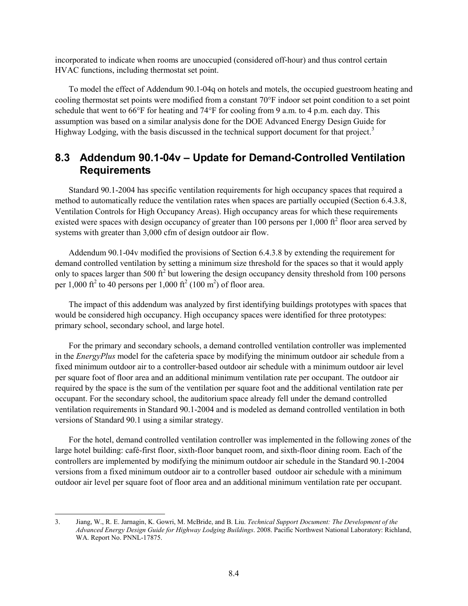incorporated to indicate when rooms are unoccupied (considered off-hour) and thus control certain HVAC functions, including thermostat set point.

To model the effect of Addendum 90.1-04q on hotels and motels, the occupied guestroom heating and cooling thermostat set points were modified from a constant 70°F indoor set point condition to a set point schedule that went to  $66^{\circ}$ F for heating and  $74^{\circ}$ F for cooling from 9 a.m. to 4 p.m. each day. This assumption was based on a similar analysis done for the DOE Advanced Energy Design Guide for Highway Lodging, with the basis discussed in the technical support document for that project.<sup>[3](#page-37-1)</sup>

### **8.3 Addendum 90.1-04v – Update for Demand-Controlled Ventilation Requirements**

Standard 90.1-2004 has specific ventilation requirements for high occupancy spaces that required a method to automatically reduce the ventilation rates when spaces are partially occupied (Section 6.4.3.8, Ventilation Controls for High Occupancy Areas). High occupancy areas for which these requirements existed were spaces with design occupancy of greater than 100 persons per  $1,000$  ft<sup>2</sup> floor area served by systems with greater than 3,000 cfm of design outdoor air flow.

Addendum 90.1-04v modified the provisions of Section 6.4.3.8 by extending the requirement for demand controlled ventilation by setting a minimum size threshold for the spaces so that it would apply only to spaces larger than 500  $\text{ft}^2$  but lowering the design occupancy density threshold from 100 persons per 1,000 ft<sup>2</sup> to 40 persons per 1,000 ft<sup>2</sup> (100 m<sup>2</sup>) of floor area.

The impact of this addendum was analyzed by first identifying buildings prototypes with spaces that would be considered high occupancy. High occupancy spaces were identified for three prototypes: primary school, secondary school, and large hotel.

For the primary and secondary schools, a demand controlled ventilation controller was implemented in the *EnergyPlus* model for the cafeteria space by modifying the minimum outdoor air schedule from a fixed minimum outdoor air to a controller-based outdoor air schedule with a minimum outdoor air level per square foot of floor area and an additional minimum ventilation rate per occupant. The outdoor air required by the space is the sum of the ventilation per square foot and the additional ventilation rate per occupant. For the secondary school, the auditorium space already fell under the demand controlled ventilation requirements in Standard 90.1-2004 and is modeled as demand controlled ventilation in both versions of Standard 90.1 using a similar strategy.

For the hotel, demand controlled ventilation controller was implemented in the following zones of the large hotel building: café-first floor, sixth-floor banquet room, and sixth-floor dining room. Each of the controllers are implemented by modifying the minimum outdoor air schedule in the Standard 90.1-2004 versions from a fixed minimum outdoor air to a controller based outdoor air schedule with a minimum outdoor air level per square foot of floor area and an additional minimum ventilation rate per occupant.

<span id="page-39-0"></span> <sup>3.</sup> Jiang, W., R. E. Jarnagin, K. Gowri, M. McBride, and B. Liu. *Technical Support Document: The Development of the Advanced Energy Design Guide for Highway Lodging Buildings*. 2008. Pacific Northwest National Laboratory: Richland, WA. Report No. PNNL-17875.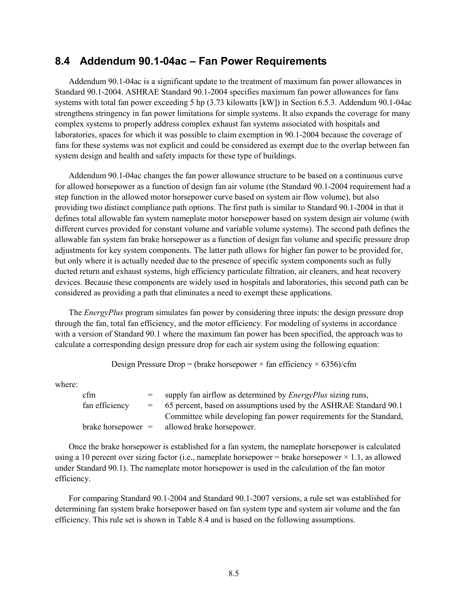#### **8.4 Addendum 90.1-04ac – Fan Power Requirements**

Addendum 90.1-04ac is a significant update to the treatment of maximum fan power allowances in Standard 90.1-2004. ASHRAE Standard 90.1-2004 specifies maximum fan power allowances for fans systems with total fan power exceeding 5 hp (3.73 kilowatts [kW]) in Section 6.5.3. Addendum 90.1-04ac strengthens stringency in fan power limitations for simple systems. It also expands the coverage for many complex systems to properly address complex exhaust fan systems associated with hospitals and laboratories, spaces for which it was possible to claim exemption in 90.1-2004 because the coverage of fans for these systems was not explicit and could be considered as exempt due to the overlap between fan system design and health and safety impacts for these type of buildings.

Addendum 90.1-04ac changes the fan power allowance structure to be based on a continuous curve for allowed horsepower as a function of design fan air volume (the Standard 90.1-2004 requirement had a step function in the allowed motor horsepower curve based on system air flow volume), but also providing two distinct compliance path options. The first path is similar to Standard 90.1-2004 in that it defines total allowable fan system nameplate motor horsepower based on system design air volume (with different curves provided for constant volume and variable volume systems). The second path defines the allowable fan system fan brake horsepower as a function of design fan volume and specific pressure drop adjustments for key system components. The latter path allows for higher fan power to be provided for, but only where it is actually needed due to the presence of specific system components such as fully ducted return and exhaust systems, high efficiency particulate filtration, air cleaners, and heat recovery devices. Because these components are widely used in hospitals and laboratories, this second path can be considered as providing a path that eliminates a need to exempt these applications.

The *EnergyPlus* program simulates fan power by considering three inputs: the design pressure drop through the fan, total fan efficiency, and the motor efficiency. For modeling of systems in accordance with a version of Standard 90.1 where the maximum fan power has been specified, the approach was to calculate a corresponding design pressure drop for each air system using the following equation:

Design Pressure Drop = (brake horsepower  $\times$  fan efficiency  $\times$  6356)/cfm

where:

| <sub>cfm</sub>                 |     | supply fan airflow as determined by <i>EnergyPlus</i> sizing runs,  |
|--------------------------------|-----|---------------------------------------------------------------------|
| fan efficiency                 | $=$ | 65 percent, based on assumptions used by the ASHRAE Standard 90.1   |
|                                |     | Committee while developing fan power requirements for the Standard, |
| $brake \, \text{horsepower} =$ |     | allowed brake horsepower.                                           |

Once the brake horsepower is established for a fan system, the nameplate horsepower is calculated using a 10 percent over sizing factor (i.e., nameplate horsepower = brake horsepower  $\times$  1.1, as allowed under Standard 90.1). The nameplate motor horsepower is used in the calculation of the fan motor efficiency.

For comparing Standard 90.1-2004 and Standard 90.1-2007 versions, a rule set was established for determining fan system brake horsepower based on fan system type and system air volume and the fan efficiency. This rule set is shown in [Table 8.4](#page-41-0) and is based on the following assumptions.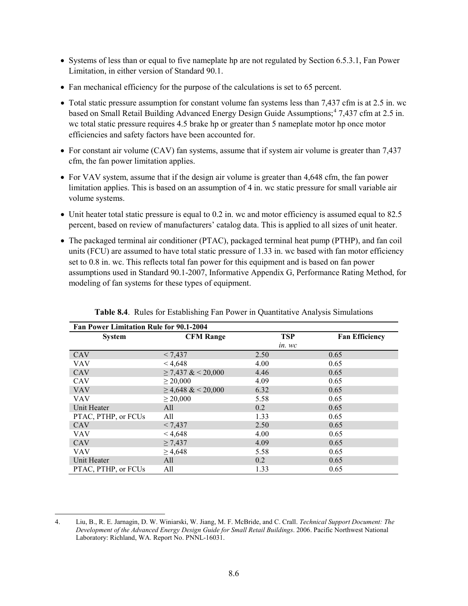- Systems of less than or equal to five nameplate hp are not regulated by Section 6.5.3.1, Fan Power Limitation, in either version of Standard 90.1.
- Fan mechanical efficiency for the purpose of the calculations is set to 65 percent.
- Total static pressure assumption for constant volume fan systems less than 7,437 cfm is at 2.5 in. wc based on Small Retail Building Advanced Energy Design Guide Assumptions; [4](#page-39-0) 7,437 cfm at 2.5 in. wc total static pressure requires 4.5 brake hp or greater than 5 nameplate motor hp once motor efficiencies and safety factors have been accounted for.
- For constant air volume (CAV) fan systems, assume that if system air volume is greater than 7,437 cfm, the fan power limitation applies.
- For VAV system, assume that if the design air volume is greater than 4,648 cfm, the fan power limitation applies. This is based on an assumption of 4 in. wc static pressure for small variable air volume systems.
- Unit heater total static pressure is equal to 0.2 in. wc and motor efficiency is assumed equal to 82.5 percent, based on review of manufacturers' catalog data. This is applied to all sizes of unit heater.
- The packaged terminal air conditioner (PTAC), packaged terminal heat pump (PTHP), and fan coil units (FCU) are assumed to have total static pressure of 1.33 in. wc based with fan motor efficiency set to 0.8 in. wc. This reflects total fan power for this equipment and is based on fan power assumptions used in Standard 90.1-2007, Informative Appendix G, Performance Rating Method, for modeling of fan systems for these types of equipment.

<span id="page-41-0"></span>

|                     | Fan Power Limitation Rule for 90.1-2004 |            |                       |  |  |  |  |  |  |  |  |  |
|---------------------|-----------------------------------------|------------|-----------------------|--|--|--|--|--|--|--|--|--|
| <b>System</b>       | <b>CFM Range</b>                        | <b>TSP</b> | <b>Fan Efficiency</b> |  |  |  |  |  |  |  |  |  |
|                     |                                         | in. wc     |                       |  |  |  |  |  |  |  |  |  |
| <b>CAV</b>          | < 7,437                                 | 2.50       | 0.65                  |  |  |  |  |  |  |  |  |  |
| <b>VAV</b>          | < 4,648                                 | 4.00       | 0.65                  |  |  |  |  |  |  |  |  |  |
| <b>CAV</b>          | $\geq$ 7,437 & < 20,000                 | 4.46       | 0.65                  |  |  |  |  |  |  |  |  |  |
| <b>CAV</b>          | $\geq 20,000$                           | 4.09       | 0.65                  |  |  |  |  |  |  |  |  |  |
| <b>VAV</b>          | $\geq$ 4,648 & < 20,000                 | 6.32       | 0.65                  |  |  |  |  |  |  |  |  |  |
| <b>VAV</b>          | $\geq 20,000$                           | 5.58       | 0.65                  |  |  |  |  |  |  |  |  |  |
| Unit Heater         | All                                     | 0.2        | 0.65                  |  |  |  |  |  |  |  |  |  |
| PTAC, PTHP, or FCUs | All                                     | 1.33       | 0.65                  |  |  |  |  |  |  |  |  |  |
| CAV                 | < 7,437                                 | 2.50       | 0.65                  |  |  |  |  |  |  |  |  |  |
| <b>VAV</b>          | < 4,648                                 | 4.00       | 0.65                  |  |  |  |  |  |  |  |  |  |
| <b>CAV</b>          | $\geq 7,437$                            | 4.09       | 0.65                  |  |  |  |  |  |  |  |  |  |
| <b>VAV</b>          | $\geq 4,648$                            | 5.58       | 0.65                  |  |  |  |  |  |  |  |  |  |
| Unit Heater         | All                                     | 0.2        | 0.65                  |  |  |  |  |  |  |  |  |  |
| PTAC, PTHP, or FCUs | All                                     | 1.33       | 0.65                  |  |  |  |  |  |  |  |  |  |

**Table 8.4**. Rules for Establishing Fan Power in Quantitative Analysis Simulations

<span id="page-41-1"></span> <sup>4.</sup> Liu, B., R. E. Jarnagin, D. W. Winiarski, W. Jiang, M. F. McBride, and C. Crall. *Technical Support Document: The Development of the Advanced Energy Design Guide for Small Retail Buildings*. 2006. Pacific Northwest National Laboratory: Richland, WA. Report No. PNNL-16031.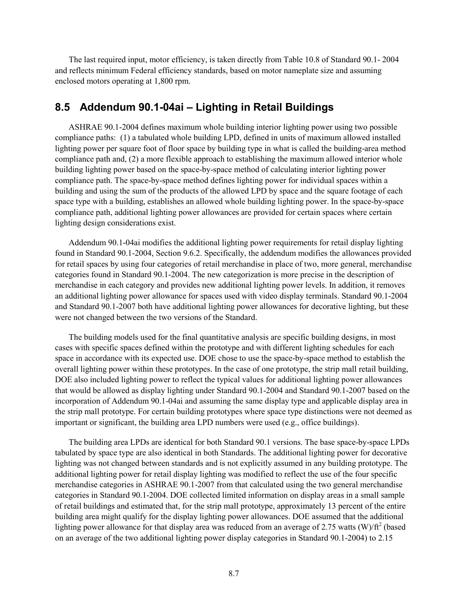The last required input, motor efficiency, is taken directly from Table 10.8 of Standard 90.1- 2004 and reflects minimum Federal efficiency standards, based on motor nameplate size and assuming enclosed motors operating at 1,800 rpm.

#### **8.5 Addendum 90.1-04ai – Lighting in Retail Buildings**

ASHRAE 90.1-2004 defines maximum whole building interior lighting power using two possible compliance paths: (1) a tabulated whole building LPD, defined in units of maximum allowed installed lighting power per square foot of floor space by building type in what is called the building-area method compliance path and, (2) a more flexible approach to establishing the maximum allowed interior whole building lighting power based on the space-by-space method of calculating interior lighting power compliance path. The space-by-space method defines lighting power for individual spaces within a building and using the sum of the products of the allowed LPD by space and the square footage of each space type with a building, establishes an allowed whole building lighting power. In the space-by-space compliance path, additional lighting power allowances are provided for certain spaces where certain lighting design considerations exist.

Addendum 90.1-04ai modifies the additional lighting power requirements for retail display lighting found in Standard 90.1-2004, Section 9.6.2. Specifically, the addendum modifies the allowances provided for retail spaces by using four categories of retail merchandise in place of two, more general, merchandise categories found in Standard 90.1-2004. The new categorization is more precise in the description of merchandise in each category and provides new additional lighting power levels. In addition, it removes an additional lighting power allowance for spaces used with video display terminals. Standard 90.1-2004 and Standard 90.1-2007 both have additional lighting power allowances for decorative lighting, but these were not changed between the two versions of the Standard.

The building models used for the final quantitative analysis are specific building designs, in most cases with specific spaces defined within the prototype and with different lighting schedules for each space in accordance with its expected use. DOE chose to use the space-by-space method to establish the overall lighting power within these prototypes. In the case of one prototype, the strip mall retail building, DOE also included lighting power to reflect the typical values for additional lighting power allowances that would be allowed as display lighting under Standard 90.1-2004 and Standard 90.1-2007 based on the incorporation of Addendum 90.1-04ai and assuming the same display type and applicable display area in the strip mall prototype. For certain building prototypes where space type distinctions were not deemed as important or significant, the building area LPD numbers were used (e.g., office buildings).

The building area LPDs are identical for both Standard 90.1 versions. The base space-by-space LPDs tabulated by space type are also identical in both Standards. The additional lighting power for decorative lighting was not changed between standards and is not explicitly assumed in any building prototype. The additional lighting power for retail display lighting was modified to reflect the use of the four specific merchandise categories in ASHRAE 90.1-2007 from that calculated using the two general merchandise categories in Standard 90.1-2004. DOE collected limited information on display areas in a small sample of retail buildings and estimated that, for the strip mall prototype, approximately 13 percent of the entire building area might qualify for the display lighting power allowances. DOE assumed that the additional lighting power allowance for that display area was reduced from an average of 2.75 watts (W)/ $\text{ft}^2$  (based on an average of the two additional lighting power display categories in Standard 90.1-2004) to 2.15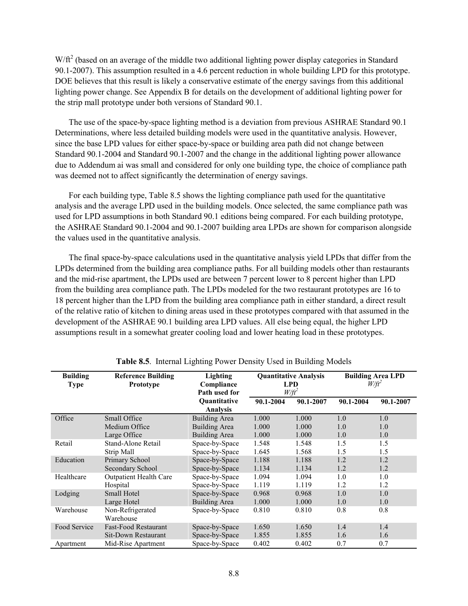$W/ft<sup>2</sup>$  (based on an average of the middle two additional lighting power display categories in Standard 90.1-2007). This assumption resulted in a 4.6 percent reduction in whole building LPD for this prototype. DOE believes that this result is likely a conservative estimate of the energy savings from this additional lighting power change. See Appendix B for details on the development of additional lighting power for the strip mall prototype under both versions of Standard 90.1.

The use of the space-by-space lighting method is a deviation from previous ASHRAE Standard 90.1 Determinations, where less detailed building models were used in the quantitative analysis. However, since the base LPD values for either space-by-space or building area path did not change between Standard 90.1-2004 and Standard 90.1-2007 and the change in the additional lighting power allowance due to Addendum ai was small and considered for only one building type, the choice of compliance path was deemed not to affect significantly the determination of energy savings.

For each building type, [Table 8.5](#page-43-0) shows the lighting compliance path used for the quantitative analysis and the average LPD used in the building models. Once selected, the same compliance path was used for LPD assumptions in both Standard 90.1 editions being compared. For each building prototype, the ASHRAE Standard 90.1-2004 and 90.1-2007 building area LPDs are shown for comparison alongside the values used in the quantitative analysis.

The final space-by-space calculations used in the quantitative analysis yield LPDs that differ from the LPDs determined from the building area compliance paths. For all building models other than restaurants and the mid-rise apartment, the LPDs used are between 7 percent lower to 8 percent higher than LPD from the building area compliance path. The LPDs modeled for the two restaurant prototypes are 16 to 18 percent higher than the LPD from the building area compliance path in either standard, a direct result of the relative ratio of kitchen to dining areas used in these prototypes compared with that assumed in the development of the ASHRAE 90.1 building area LPD values. All else being equal, the higher LPD assumptions result in a somewhat greater cooling load and lower heating load in these prototypes.

<span id="page-43-0"></span>

| <b>Building</b><br><b>Type</b> | <b>Reference Building</b><br>Prototype | Lighting<br>Compliance<br>Path used for | <b>Quantitative Analysis</b><br><b>LPD</b><br>$W/ft^2$ |           | <b>Building Area LPD</b><br>$W/ft^2$ |           |
|--------------------------------|----------------------------------------|-----------------------------------------|--------------------------------------------------------|-----------|--------------------------------------|-----------|
|                                |                                        | <b>Ouantitative</b><br><b>Analysis</b>  | 90.1-2004                                              | 90.1-2007 | 90.1-2004                            | 90.1-2007 |
| Office                         | Small Office                           | <b>Building Area</b>                    | 1.000                                                  | 1.000     | 1.0                                  | 1.0       |
|                                | Medium Office                          | <b>Building Area</b>                    | 1.000                                                  | 1.000     | 1.0                                  | 1.0       |
|                                | Large Office                           | <b>Building Area</b>                    | 1.000                                                  | 1.000     | 1.0                                  | 1.0       |
| Retail                         | Stand-Alone Retail                     | Space-by-Space                          | 1.548                                                  | 1.548     | 1.5                                  | 1.5       |
|                                | Strip Mall                             | Space-by-Space                          | 1.645                                                  | 1.568     | 1.5                                  | 1.5       |
| Education                      | Primary School                         | Space-by-Space                          | 1.188                                                  | 1.188     | 1.2                                  | 1.2       |
|                                | Secondary School                       | Space-by-Space                          | 1.134                                                  | 1.134     | 1.2                                  | 1.2       |
| Healthcare                     | <b>Outpatient Health Care</b>          | Space-by-Space                          | 1.094                                                  | 1.094     | 1.0                                  | 1.0       |
|                                | Hospital                               | Space-by-Space                          | 1.119                                                  | 1.119     | 1.2                                  | 1.2       |
| Lodging                        | <b>Small Hotel</b>                     | Space-by-Space                          | 0.968                                                  | 0.968     | 1.0                                  | 1.0       |
|                                | Large Hotel                            | <b>Building Area</b>                    | 1.000                                                  | 1.000     | 1.0                                  | 1.0       |
| Warehouse                      | Non-Refrigerated<br>Warehouse          | Space-by-Space                          | 0.810                                                  | 0.810     | 0.8                                  | 0.8       |
| Food Service                   | <b>Fast-Food Restaurant</b>            | Space-by-Space                          | 1.650                                                  | 1.650     | 1.4                                  | 1.4       |
|                                | Sit-Down Restaurant                    | Space-by-Space                          | 1.855                                                  | 1.855     | 1.6                                  | 1.6       |
| Apartment                      | Mid-Rise Apartment                     | Space-by-Space                          | 0.402                                                  | 0.402     | 0.7                                  | 0.7       |

**Table 8.5**. Internal Lighting Power Density Used in Building Models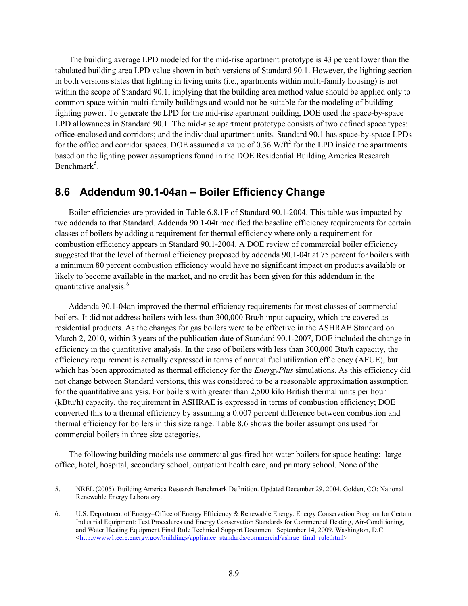The building average LPD modeled for the mid-rise apartment prototype is 43 percent lower than the tabulated building area LPD value shown in both versions of Standard 90.1. However, the lighting section in both versions states that lighting in living units (i.e., apartments within multi-family housing) is not within the scope of Standard 90.1, implying that the building area method value should be applied only to common space within multi-family buildings and would not be suitable for the modeling of building lighting power. To generate the LPD for the mid-rise apartment building, DOE used the space-by-space LPD allowances in Standard 90.1. The mid-rise apartment prototype consists of two defined space types: office-enclosed and corridors; and the individual apartment units. Standard 90.1 has space-by-space LPDs for the office and corridor spaces. DOE assumed a value of  $0.36 \text{ W}/\text{ft}^2$  for the LPD inside the apartments based on the lighting power assumptions found in the DOE Residential Building America Research Benchmark<sup>[5](#page-41-1)</sup>.

#### **8.6 Addendum 90.1-04an – Boiler Efficiency Change**

Boiler efficiencies are provided in Table 6.8.1F of Standard 90.1-2004. This table was impacted by two addenda to that Standard. Addenda 90.1-04t modified the baseline efficiency requirements for certain classes of boilers by adding a requirement for thermal efficiency where only a requirement for combustion efficiency appears in Standard 90.1-2004. A DOE review of commercial boiler efficiency suggested that the level of thermal efficiency proposed by addenda 90.1-04t at 75 percent for boilers with a minimum 80 percent combustion efficiency would have no significant impact on products available or likely to become available in the market, and no credit has been given for this addendum in the quantitative analysis.<sup>[6](#page-44-0)</sup>

Addenda 90.1-04an improved the thermal efficiency requirements for most classes of commercial boilers. It did not address boilers with less than 300,000 Btu/h input capacity, which are covered as residential products. As the changes for gas boilers were to be effective in the ASHRAE Standard on March 2, 2010, within 3 years of the publication date of Standard 90.1-2007, DOE included the change in efficiency in the quantitative analysis. In the case of boilers with less than 300,000 Btu/h capacity, the efficiency requirement is actually expressed in terms of annual fuel utilization efficiency (AFUE), but which has been approximated as thermal efficiency for the *EnergyPlus* simulations. As this efficiency did not change between Standard versions, this was considered to be a reasonable approximation assumption for the quantitative analysis. For boilers with greater than 2,500 kilo British thermal units per hour (kBtu/h) capacity, the requirement in ASHRAE is expressed in terms of combustion efficiency; DOE converted this to a thermal efficiency by assuming a 0.007 percent difference between combustion and thermal efficiency for boilers in this size range. [Table 8.6](#page-45-0) shows the boiler assumptions used for commercial boilers in three size categories.

The following building models use commercial gas-fired hot water boilers for space heating: large office, hotel, hospital, secondary school, outpatient health care, and primary school. None of the

 <sup>5.</sup> NREL (2005). Building America Research Benchmark Definition. Updated December 29, 2004. Golden, CO: National Renewable Energy Laboratory.

<span id="page-44-1"></span><span id="page-44-0"></span><sup>6.</sup> U.S. Department of Energy–Office of Energy Efficiency & Renewable Energy. Energy Conservation Program for Certain Industrial Equipment: Test Procedures and Energy Conservation Standards for Commercial Heating, Air-Conditioning, and Water Heating Equipment Final Rule Technical Support Document. September 14, 2009. Washington, D.C. [<http://www1.eere.energy.gov/buildings/appliance\\_standards/commercial/ashrae\\_final\\_rule.html>](http://www1.eere.energy.gov/buildings/appliance_standards/commercial/ashrae_final_rule.html)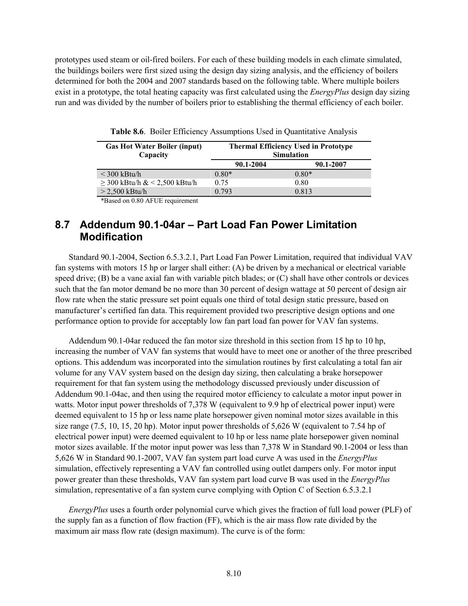<span id="page-45-0"></span>prototypes used steam or oil-fired boilers. For each of these building models in each climate simulated, the buildings boilers were first sized using the design day sizing analysis, and the efficiency of boilers determined for both the 2004 and 2007 standards based on the following table. Where multiple boilers exist in a prototype, the total heating capacity was first calculated using the *EnergyPlus* design day sizing run and was divided by the number of boilers prior to establishing the thermal efficiency of each boiler.

| <b>Gas Hot Water Boiler (input)</b><br>Capacity | <b>Thermal Efficiency Used in Prototype</b><br><b>Simulation</b> |           |  |  |  |  |
|-------------------------------------------------|------------------------------------------------------------------|-----------|--|--|--|--|
|                                                 | 90.1-2004                                                        | 90.1-2007 |  |  |  |  |
| $\leq$ 300 kBtu/h                               | $0.80*$                                                          | $0.80*$   |  |  |  |  |
| $\geq$ 300 kBtu/h & < 2,500 kBtu/h              | 0.75                                                             | 0.80      |  |  |  |  |
| $>$ 2,500 kBtu/h                                | 0.793                                                            | 0.813     |  |  |  |  |

**Table 8.6**. Boiler Efficiency Assumptions Used in Quantitative Analysis

\*Based on 0.80 AFUE requirement

### **8.7 Addendum 90.1-04ar – Part Load Fan Power Limitation Modification**

Standard 90.1-2004, Section 6.5.3.2.1, Part Load Fan Power Limitation, required that individual VAV fan systems with motors 15 hp or larger shall either: (A) be driven by a mechanical or electrical variable speed drive; (B) be a vane axial fan with variable pitch blades; or (C) shall have other controls or devices such that the fan motor demand be no more than 30 percent of design wattage at 50 percent of design air flow rate when the static pressure set point equals one third of total design static pressure, based on manufacturer's certified fan data. This requirement provided two prescriptive design options and one performance option to provide for acceptably low fan part load fan power for VAV fan systems.

Addendum 90.1-04ar reduced the fan motor size threshold in this section from 15 hp to 10 hp, increasing the number of VAV fan systems that would have to meet one or another of the three prescribed options. This addendum was incorporated into the simulation routines by first calculating a total fan air volume for any VAV system based on the design day sizing, then calculating a brake horsepower requirement for that fan system using the methodology discussed previously under discussion of Addendum 90.1-04ac, and then using the required motor efficiency to calculate a motor input power in watts. Motor input power thresholds of 7,378 W (equivalent to 9.9 hp of electrical power input) were deemed equivalent to 15 hp or less name plate horsepower given nominal motor sizes available in this size range (7.5, 10, 15, 20 hp). Motor input power thresholds of 5,626 W (equivalent to 7.54 hp of electrical power input) were deemed equivalent to 10 hp or less name plate horsepower given nominal motor sizes available. If the motor input power was less than 7,378 W in Standard 90.1-2004 or less than 5,626 W in Standard 90.1-2007, VAV fan system part load curve A was used in the *EnergyPlus* simulation, effectively representing a VAV fan controlled using outlet dampers only. For motor input power greater than these thresholds, VAV fan system part load curve B was used in the *EnergyPlus* simulation, representative of a fan system curve complying with Option C of Section 6.5.3.2.1

*EnergyPlus* uses a fourth order polynomial curve which gives the fraction of full load power (PLF) of the supply fan as a function of flow fraction (FF), which is the air mass flow rate divided by the maximum air mass flow rate (design maximum). The curve is of the form: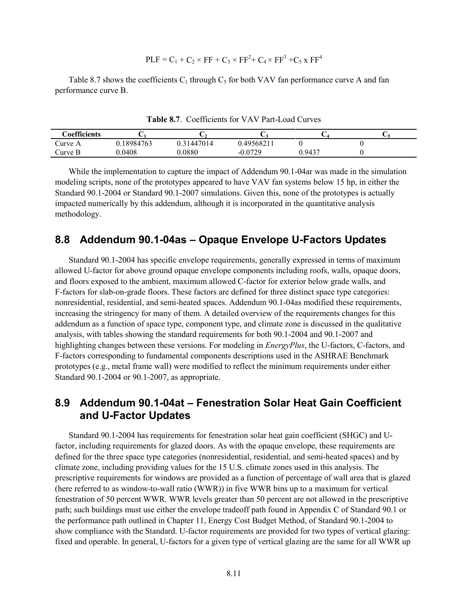$$
PLE = C1 + C2 \times FF + C3 \times FF2 + C4 \times FF3 + C5 x FF4
$$

<span id="page-46-0"></span>[Table 8.7](#page-46-0) shows the coefficients  $C_1$  through  $C_5$  for both VAV fan performance curve A and fan performance curve B.

| $\cap$ oefficients |            |         |                  | ◡      |  |
|--------------------|------------|---------|------------------|--------|--|
| Curve A            | 0.18984763 | 1447014 | 0.49568211       |        |  |
| Curve B            | 0.0408     | 0.0880  | በ በ729<br>$-U.U$ | 0.9437 |  |

**Table 8.7**. Coefficients for VAV Part-Load Curves

While the implementation to capture the impact of Addendum 90.1-04ar was made in the simulation modeling scripts, none of the prototypes appeared to have VAV fan systems below 15 hp, in either the Standard 90.1-2004 or Standard 90.1-2007 simulations. Given this, none of the prototypes is actually impacted numerically by this addendum, although it is incorporated in the quantitative analysis methodology.

#### **8.8 Addendum 90.1-04as – Opaque Envelope U-Factors Updates**

Standard 90.1-2004 has specific envelope requirements, generally expressed in terms of maximum allowed U-factor for above ground opaque envelope components including roofs, walls, opaque doors, and floors exposed to the ambient, maximum allowed C-factor for exterior below grade walls, and F-factors for slab-on-grade floors. These factors are defined for three distinct space type categories: nonresidential, residential, and semi-heated spaces. Addendum 90.1-04as modified these requirements, increasing the stringency for many of them. A detailed overview of the requirements changes for this addendum as a function of space type, component type, and climate zone is discussed in the qualitative analysis, with tables showing the standard requirements for both 90.1-2004 and 90.1-2007 and highlighting changes between these versions. For modeling in *EnergyPlus*, the U-factors, C-factors, and F-factors corresponding to fundamental components descriptions used in the ASHRAE Benchmark prototypes (e.g., metal frame wall) were modified to reflect the minimum requirements under either Standard 90.1-2004 or 90.1-2007, as appropriate.

#### **8.9 Addendum 90.1-04at – Fenestration Solar Heat Gain Coefficient and U-Factor Updates**

Standard 90.1-2004 has requirements for fenestration solar heat gain coefficient (SHGC) and Ufactor, including requirements for glazed doors. As with the opaque envelope, these requirements are defined for the three space type categories (nonresidential, residential, and semi-heated spaces) and by climate zone, including providing values for the 15 U.S. climate zones used in this analysis. The prescriptive requirements for windows are provided as a function of percentage of wall area that is glazed (here referred to as window-to-wall ratio (WWR)) in five WWR bins up to a maximum for vertical fenestration of 50 percent WWR. WWR levels greater than 50 percent are not allowed in the prescriptive path; such buildings must use either the envelope tradeoff path found in Appendix C of Standard 90.1 or the performance path outlined in Chapter 11, Energy Cost Budget Method, of Standard 90.1-2004 to show compliance with the Standard. U-factor requirements are provided for two types of vertical glazing: fixed and operable. In general, U-factors for a given type of vertical glazing are the same for all WWR up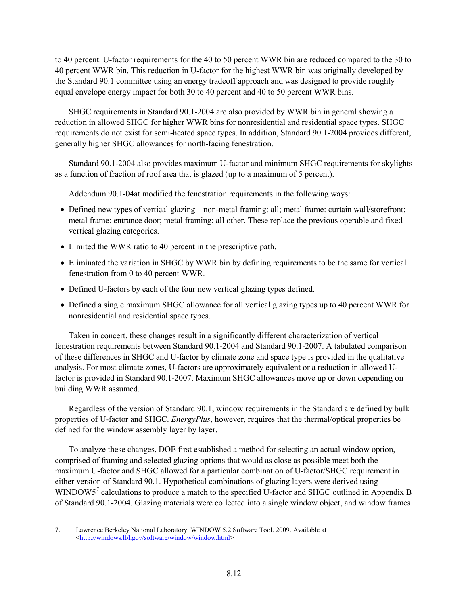to 40 percent. U-factor requirements for the 40 to 50 percent WWR bin are reduced compared to the 30 to 40 percent WWR bin. This reduction in U-factor for the highest WWR bin was originally developed by the Standard 90.1 committee using an energy tradeoff approach and was designed to provide roughly equal envelope energy impact for both 30 to 40 percent and 40 to 50 percent WWR bins.

SHGC requirements in Standard 90.1-2004 are also provided by WWR bin in general showing a reduction in allowed SHGC for higher WWR bins for nonresidential and residential space types. SHGC requirements do not exist for semi-heated space types. In addition, Standard 90.1-2004 provides different, generally higher SHGC allowances for north-facing fenestration.

Standard 90.1-2004 also provides maximum U-factor and minimum SHGC requirements for skylights as a function of fraction of roof area that is glazed (up to a maximum of 5 percent).

Addendum 90.1-04at modified the fenestration requirements in the following ways:

- Defined new types of vertical glazing—non-metal framing: all; metal frame: curtain wall/storefront; metal frame: entrance door; metal framing: all other. These replace the previous operable and fixed vertical glazing categories.
- Limited the WWR ratio to 40 percent in the prescriptive path.
- Eliminated the variation in SHGC by WWR bin by defining requirements to be the same for vertical fenestration from 0 to 40 percent WWR.
- Defined U-factors by each of the four new vertical glazing types defined.
- Defined a single maximum SHGC allowance for all vertical glazing types up to 40 percent WWR for nonresidential and residential space types.

Taken in concert, these changes result in a significantly different characterization of vertical fenestration requirements between Standard 90.1-2004 and Standard 90.1-2007. A tabulated comparison of these differences in SHGC and U-factor by climate zone and space type is provided in the qualitative analysis. For most climate zones, U-factors are approximately equivalent or a reduction in allowed Ufactor is provided in Standard 90.1-2007. Maximum SHGC allowances move up or down depending on building WWR assumed.

Regardless of the version of Standard 90.1, window requirements in the Standard are defined by bulk properties of U-factor and SHGC. *EnergyPlus*, however, requires that the thermal/optical properties be defined for the window assembly layer by layer.

To analyze these changes, DOE first established a method for selecting an actual window option, comprised of framing and selected glazing options that would as close as possible meet both the maximum U-factor and SHGC allowed for a particular combination of U-factor/SHGC requirement in either version of Standard 90.1. Hypothetical combinations of glazing layers were derived using WINDOW5<sup>[7](#page-44-1)</sup> calculations to produce a match to the specified U-factor and SHGC outlined in Appendix B of Standard 90.1-2004. Glazing materials were collected into a single window object, and window frames

<span id="page-47-0"></span> <sup>7.</sup> Lawrence Berkeley National Laboratory. WINDOW 5.2 Software Tool. 2009. Available at [<http://windows.lbl.gov/software/window/window.html>](http://windows.lbl.gov/software/window/window.html)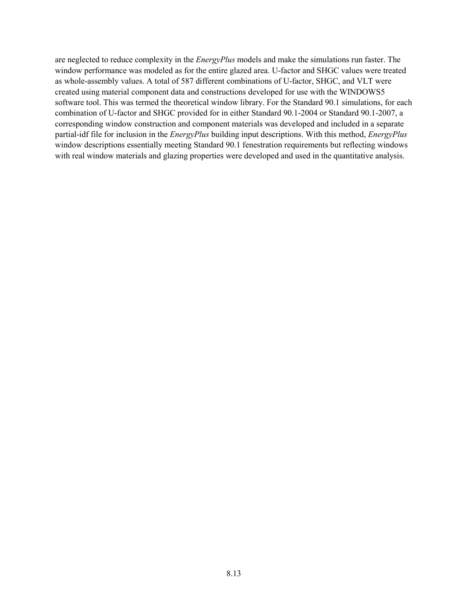are neglected to reduce complexity in the *EnergyPlus* models and make the simulations run faster. The window performance was modeled as for the entire glazed area. U-factor and SHGC values were treated as whole-assembly values. A total of 587 different combinations of U-factor, SHGC, and VLT were created using material component data and constructions developed for use with the WINDOWS5 software tool. This was termed the theoretical window library. For the Standard 90.1 simulations, for each combination of U-factor and SHGC provided for in either Standard 90.1-2004 or Standard 90.1-2007, a corresponding window construction and component materials was developed and included in a separate partial-idf file for inclusion in the *EnergyPlus* building input descriptions. With this method, *EnergyPlus* window descriptions essentially meeting Standard 90.1 fenestration requirements but reflecting windows with real window materials and glazing properties were developed and used in the quantitative analysis.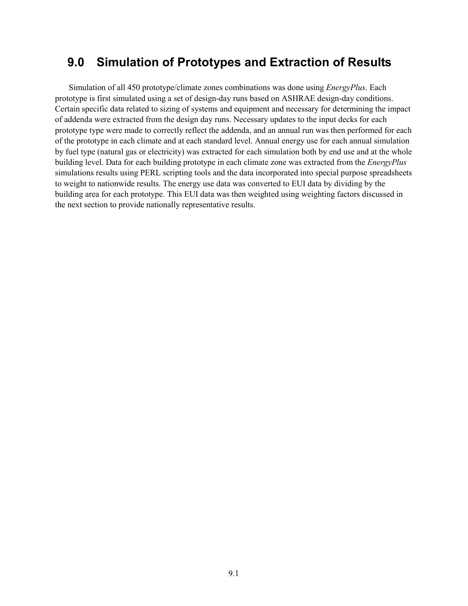# **9.0 Simulation of Prototypes and Extraction of Results**

Simulation of all 450 prototype/climate zones combinations was done using *EnergyPlus*. Each prototype is first simulated using a set of design-day runs based on ASHRAE design-day conditions. Certain specific data related to sizing of systems and equipment and necessary for determining the impact of addenda were extracted from the design day runs. Necessary updates to the input decks for each prototype type were made to correctly reflect the addenda, and an annual run was then performed for each of the prototype in each climate and at each standard level. Annual energy use for each annual simulation by fuel type (natural gas or electricity) was extracted for each simulation both by end use and at the whole building level. Data for each building prototype in each climate zone was extracted from the *EnergyPlus* simulations results using PERL scripting tools and the data incorporated into special purpose spreadsheets to weight to nationwide results. The energy use data was converted to EUI data by dividing by the building area for each prototype. This EUI data was then weighted using weighting factors discussed in the next section to provide nationally representative results.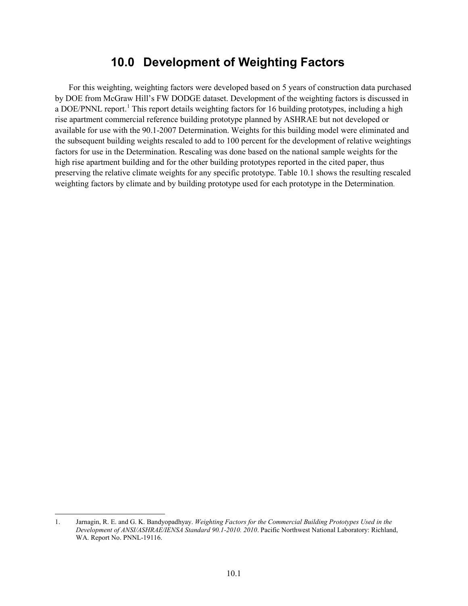### **10.0 Development of Weighting Factors**

For this weighting, weighting factors were developed based on 5 years of construction data purchased by DOE from McGraw Hill's FW DODGE dataset. Development of the weighting factors is discussed in a DOE/PNNL report.<sup>[1](#page-47-0)</sup> This report details weighting factors for 16 building prototypes, including a high rise apartment commercial reference building prototype planned by ASHRAE but not developed or available for use with the 90.1-2007 Determination. Weights for this building model were eliminated and the subsequent building weights rescaled to add to 100 percent for the development of relative weightings factors for use in the Determination. Rescaling was done based on the national sample weights for the high rise apartment building and for the other building prototypes reported in the cited paper, thus preserving the relative climate weights for any specific prototype. [Table 10.1](#page-53-0) shows the resulting rescaled weighting factors by climate and by building prototype used for each prototype in the Determination.

 <sup>1.</sup> Jarnagin, R. E. and G. K. Bandyopadhyay. *Weighting Factors for the Commercial Building Prototypes Used in the Development of ANSI/ASHRAE/IENSA Standard 90.1-2010. 2010*. Pacific Northwest National Laboratory: Richland, WA. Report No. PNNL-19116.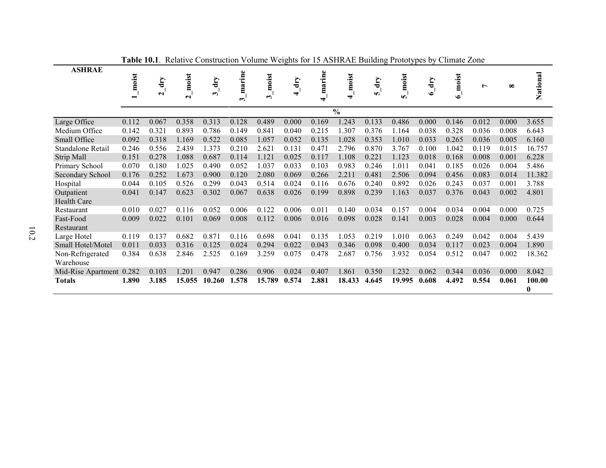<span id="page-53-0"></span>

| <b>ASHRAE</b>            |       |        |                 |                 |        |                   |       |        |               |              |                           |           |           |       |          |          |
|--------------------------|-------|--------|-----------------|-----------------|--------|-------------------|-------|--------|---------------|--------------|---------------------------|-----------|-----------|-------|----------|----------|
|                          | moist | dry    | moist           | $\mathbf{d}$ ry | marine | moist             | dry   | marine | moist         | dry          | moist                     | dry       | moist     | Ļ     | $\infty$ | National |
|                          |       | $\sim$ | $\mathbf{\sim}$ | ∞               |        | $\mathbf{\omega}$ | 4     |        | ↽             | $\mathbf{v}$ | $\boldsymbol{\mathsf{v}}$ | $\bullet$ | $\bullet$ |       |          |          |
|                          |       |        |                 |                 | ς      |                   |       | ↽      |               |              |                           |           |           |       |          |          |
|                          |       |        |                 |                 |        |                   |       |        | $\frac{0}{0}$ |              |                           |           |           |       |          |          |
| Large Office             | 0.112 | 0.067  | 0.358           | 0.313           | 0.128  | 0.489             | 0.000 | 0.169  | 1.243         | 0.133        | 0.486                     | 0.000     | 0.146     | 0.012 | 0.000    | 3.655    |
| Medium Office            | 0.142 | 0.321  | 0.893           | 0.786           | 0.149  | 0.841             | 0.040 | 0.215  | 1.307         | 0.376        | 1.164                     | 0.038     | 0.328     | 0.036 | 0.008    | 6.643    |
| Small Office             | 0.092 | 0.318  | 1.169           | 0.522           | 0.085  | 1.057             | 0.052 | 0.135  | 1.028         | 0.353        | 1.010                     | 0.033     | 0.265     | 0.036 | 0.005    | 6.160    |
| Standalone Retail        | 0.246 | 0.556  | 2.439           | 1.373           | 0.210  | 2.621             | 0.131 | 0.471  | 2.796         | 0.870        | 3.767                     | 0.100     | 1.042     | 0.119 | 0.015    | 16.757   |
| Strip Mall               | 0.151 | 0.278  | 1.088           | 0.687           | 0.114  | 1.121             | 0.025 | 0.117  | 1.108         | 0.221        | 1.123                     | 0.018     | 0.168     | 0.008 | 0.001    | 6.228    |
| Primary School           | 0.070 | 0.180  | 1.025           | 0.490           | 0.052  | 1.037             | 0.033 | 0.103  | 0.983         | 0.246        | 1.011                     | 0.041     | 0.185     | 0.026 | 0.004    | 5.486    |
| Secondary School         | 0.176 | 0.252  | 1.673           | 0.900           | 0.120  | 2.080             | 0.069 | 0.266  | 2.211         | 0.481        | 2.506                     | 0.094     | 0.456     | 0.083 | 0.014    | 11.382   |
| Hospital                 | 0.044 | 0.105  | 0.526           | 0.299           | 0.043  | 0.514             | 0.024 | 0.116  | 0.676         | 0.240        | 0.892                     | 0.026     | 0.243     | 0.037 | 0.001    | 3.788    |
| Outpatient               | 0.041 | 0.147  | 0.623           | 0.302           | 0.067  | 0.638             | 0.026 | 0.199  | 0.898         | 0.239        | 1.163                     | 0.037     | 0.376     | 0.043 | 0.002    | 4.801    |
| <b>Health Care</b>       |       |        |                 |                 |        |                   |       |        |               |              |                           |           |           |       |          |          |
| Restaurant               | 0.010 | 0.027  | 0.116           | 0.052           | 0.006  | 0.122             | 0.006 | 0.011  | 0.140         | 0.034        | 0.157                     | 0.004     | 0.034     | 0.004 | 0.000    | 0.725    |
| Fast-Food                | 0.009 | 0.022  | 0.101           | 0.069           | 0.008  | 0.112             | 0.006 | 0.016  | 0.098         | 0.028        | 0.141                     | 0.003     | 0.028     | 0.004 | 0.000    | 0.644    |
| Restaurant               |       |        |                 |                 |        |                   |       |        |               |              |                           |           |           |       |          |          |
| Large Hotel              | 0.119 | 0.137  | 0.682           | 0.871           | 0.116  | 0.698             | 0.041 | 0.135  | 1.053         | 0.219        | 1.010                     | 0.063     | 0.249     | 0.042 | 0.004    | 5.439    |
| Small Hotel/Motel        | 0.011 | 0.033  | 0.316           | 0.125           | 0.024  | 0.294             | 0.022 | 0.043  | 0.346         | 0.098        | 0.400                     | 0.034     | 0.117     | 0.023 | 0.004    | 1.890    |
| Non-Refrigerated         | 0.384 | 0.638  | 2.846           | 2.525           | 0.169  | 3.259             | 0.075 | 0.478  | 2.687         | 0.756        | 3.932                     | 0.054     | 0.512     | 0.047 | 0.002    | 18.362   |
| Warehouse                |       |        |                 |                 |        |                   |       |        |               |              |                           |           |           |       |          |          |
| Mid-Rise Apartment 0.282 |       | 0.103  | 1.201           | 0.947           | 0.286  | 0.906             | 0.024 | 0.407  | 1.861         | 0.350        | 1.232                     | 0.062     | 0.344     | 0.036 | 0.000    | 8.042    |
| <b>Totals</b>            | 1.890 | 3.185  | 15.055          | 10.260          | 1.578  | 15.789            | 0.574 | 2.881  | 18.433        | 4.645        | 19.995                    | 0.608     | 4.492     | 0.554 | 0.061    | 100.00   |
|                          |       |        |                 |                 |        |                   |       |        |               |              |                           |           |           |       |          | $\bf{0}$ |

**Table 10.1**. Relative Construction Volume Weights for 15 ASHRAE Building Prototypes by Climate Zone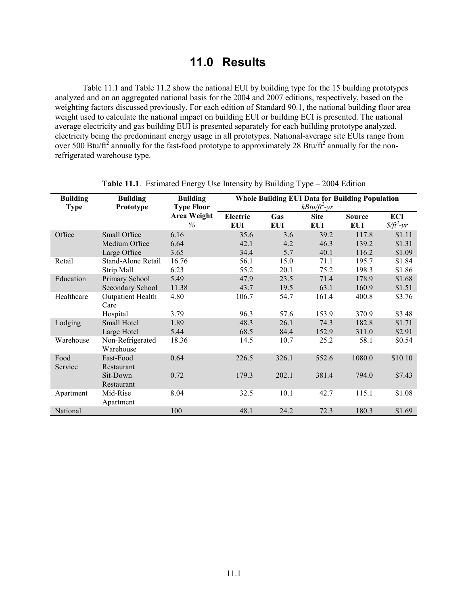# **11.0 Results**

[Table 11.1](#page-54-0) and [Table 11.2](#page-55-0) show the national EUI by building type for the 15 building prototypes analyzed and on an aggregated national basis for the 2004 and 2007 editions, respectively, based on the weighting factors discussed previously. For each edition of Standard 90.1, the national building floor area weight used to calculate the national impact on building EUI or building ECI is presented. The national average electricity and gas building EUI is presented separately for each building prototype analyzed, electricity being the predominant energy usage in all prototypes. National-average site EUIs range from over 500 Btu/ft<sup>2</sup> annually for the fast-food prototype to approximately 28 Btu/ft<sup>2</sup> annually for the nonrefrigerated warehouse type.

<span id="page-54-0"></span>

| <b>Building</b><br><b>Type</b> | <b>Building</b><br>Prototype     | <b>Building</b><br><b>Type Floor</b> | <b>Whole Building EUI Data for Building Population</b><br>$kBtu/ft^2-yr$ |                   |                           |                             |                                      |  |  |  |  |
|--------------------------------|----------------------------------|--------------------------------------|--------------------------------------------------------------------------|-------------------|---------------------------|-----------------------------|--------------------------------------|--|--|--|--|
|                                |                                  | <b>Area Weight</b><br>$\%$           | Electric<br><b>EUI</b>                                                   | Gas<br><b>EUI</b> | <b>Site</b><br><b>EUI</b> | <b>Source</b><br><b>EUI</b> | ECI<br>$\frac{\delta}{\delta^2}$ -yr |  |  |  |  |
| Office                         | Small Office                     | 6.16                                 | 35.6                                                                     | 3.6               | 39.2                      | 117.8                       | \$1.11                               |  |  |  |  |
|                                | Medium Office                    | 6.64                                 | 42.1                                                                     | 4.2               | 46.3                      | 139.2                       | \$1.31                               |  |  |  |  |
|                                | Large Office                     | 3.65                                 | 34.4                                                                     | 5.7               | 40.1                      | 116.2                       | \$1.09                               |  |  |  |  |
| Retail                         | Stand-Alone Retail               | 16.76                                | 56.1                                                                     | 15.0              | 71.1                      | 195.7                       | \$1.84                               |  |  |  |  |
|                                | Strip Mall                       | 6.23                                 | 55.2                                                                     | 20.1              | 75.2                      | 198.3                       | \$1.86                               |  |  |  |  |
| Education                      | Primary School                   | 5.49                                 | 47.9                                                                     | 23.5              | 71.4                      | 178.9                       | \$1.68                               |  |  |  |  |
|                                | Secondary School                 | 11.38                                | 43.7                                                                     | 19.5              | 63.1                      | 160.9                       | \$1.51                               |  |  |  |  |
| Healthcare                     | <b>Outpatient Health</b><br>Care | 4.80                                 | 106.7                                                                    | 54.7              | 161.4                     | 400.8                       | \$3.76                               |  |  |  |  |
|                                | Hospital                         | 3.79                                 | 96.3                                                                     | 57.6              | 153.9                     | 370.9                       | \$3.48                               |  |  |  |  |
| Lodging                        | Small Hotel                      | 1.89                                 | 48.3                                                                     | 26.1              | 74.3                      | 182.8                       | \$1.71                               |  |  |  |  |
|                                | Large Hotel                      | 5.44                                 | 68.5                                                                     | 84.4              | 152.9                     | 311.0                       | \$2.91                               |  |  |  |  |
| Warehouse                      | Non-Refrigerated<br>Warehouse    | 18.36                                | 14.5                                                                     | 10.7              | 25.2                      | 58.1                        | \$0.54                               |  |  |  |  |
| Food<br>Service                | Fast-Food<br>Restaurant          | 0.64                                 | 226.5                                                                    | 326.1             | 552.6                     | 1080.0                      | \$10.10                              |  |  |  |  |
|                                | Sit-Down<br>Restaurant           | 0.72                                 | 179.3                                                                    | 202.1             | 381.4                     | 794.0                       | \$7.43                               |  |  |  |  |
| Apartment                      | Mid-Rise<br>Apartment            | 8.04                                 | 32.5                                                                     | 10.1              | 42.7                      | 115.1                       | \$1.08                               |  |  |  |  |
| National                       |                                  | 100                                  | 48.1                                                                     | 24.2              | 72.3                      | 180.3                       | \$1.69                               |  |  |  |  |

**Table 11.1**. Estimated Energy Use Intensity by Building Type – 2004 Edition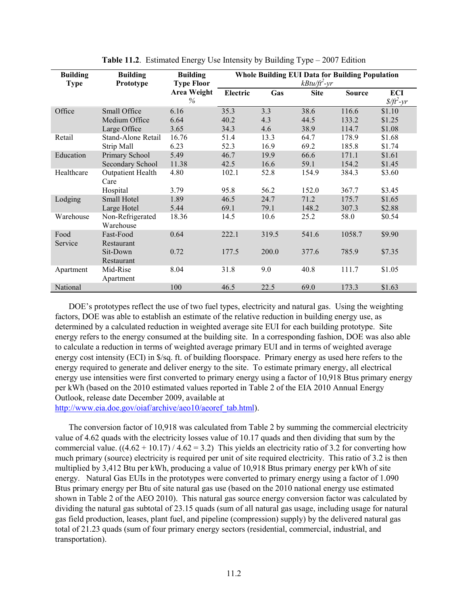<span id="page-55-0"></span>

| <b>Building</b><br><b>Type</b> | <b>Building</b><br>Prototype     | <b>Building</b><br><b>Type Floor</b> |          | <b>Whole Building EUI Data for Building Population</b> | $kB$ tu/ft <sup>2</sup> -yr |               |                      |
|--------------------------------|----------------------------------|--------------------------------------|----------|--------------------------------------------------------|-----------------------------|---------------|----------------------|
|                                |                                  | Area Weight<br>%                     | Electric | Gas                                                    | <b>Site</b>                 | <b>Source</b> | ECI<br>$\frac{f}{f}$ |
| Office                         | Small Office                     | 6.16                                 | 35.3     | 3.3                                                    | 38.6                        | 116.6         | \$1.10               |
|                                | Medium Office                    | 6.64                                 | 40.2     | 4.3                                                    | 44.5                        | 133.2         | \$1.25               |
|                                | Large Office                     | 3.65                                 | 34.3     | 4.6                                                    | 38.9                        | 114.7         | \$1.08               |
| Retail                         | Stand-Alone Retail               | 16.76                                | 51.4     | 13.3                                                   | 64.7                        | 178.9         | \$1.68               |
|                                | Strip Mall                       | 6.23                                 | 52.3     | 16.9                                                   | 69.2                        | 185.8         | \$1.74               |
| Education                      | Primary School                   | 5.49                                 | 46.7     | 19.9                                                   | 66.6                        | 171.1         | \$1.61               |
|                                | Secondary School                 | 11.38                                | 42.5     | 16.6                                                   | 59.1                        | 154.2         | \$1.45               |
| Healthcare                     | <b>Outpatient Health</b><br>Care | 4.80                                 | 102.1    | 52.8                                                   | 154.9                       | 384.3         | \$3.60               |
|                                | Hospital                         | 3.79                                 | 95.8     | 56.2                                                   | 152.0                       | 367.7         | \$3.45               |
| Lodging                        | Small Hotel                      | 1.89                                 | 46.5     | 24.7                                                   | 71.2                        | 175.7         | \$1.65               |
|                                | Large Hotel                      | 5.44                                 | 69.1     | 79.1                                                   | 148.2                       | 307.3         | \$2.88               |
| Warehouse                      | Non-Refrigerated<br>Warehouse    | 18.36                                | 14.5     | 10.6                                                   | 25.2                        | 58.0          | \$0.54               |
| Food<br>Service                | Fast-Food<br>Restaurant          | 0.64                                 | 222.1    | 319.5                                                  | 541.6                       | 1058.7        | \$9.90               |
|                                | Sit-Down<br>Restaurant           | 0.72                                 | 177.5    | 200.0                                                  | 377.6                       | 785.9         | \$7.35               |
| Apartment                      | Mid-Rise<br>Apartment            | 8.04                                 | 31.8     | 9.0                                                    | 40.8                        | 111.7         | \$1.05               |
| National                       |                                  | 100                                  | 46.5     | 22.5                                                   | 69.0                        | 173.3         | \$1.63               |

**Table 11.2**. Estimated Energy Use Intensity by Building Type – 2007 Edition

DOE's prototypes reflect the use of two fuel types, electricity and natural gas. Using the weighting factors, DOE was able to establish an estimate of the relative reduction in building energy use, as determined by a calculated reduction in weighted average site EUI for each building prototype. Site energy refers to the energy consumed at the building site. In a corresponding fashion, DOE was also able to calculate a reduction in terms of weighted average primary EUI and in terms of weighted average energy cost intensity (ECI) in \$/sq. ft. of building floorspace. Primary energy as used here refers to the energy required to generate and deliver energy to the site. To estimate primary energy, all electrical energy use intensities were first converted to primary energy using a factor of 10,918 Btus primary energy per kWh (based on the 2010 estimated values reported in Table 2 of the EIA 2010 Annual Energy Outlook, release date December 2009, available at

[http://www.eia.doe.gov/oiaf/archive/aeo10/aeoref\\_tab.html\)](http://www.eia.doe.gov/oiaf/archive/aeo10/aeoref_tab.html).

The conversion factor of 10,918 was calculated from Table 2 by summing the commercial electricity value of 4.62 quads with the electricity losses value of 10.17 quads and then dividing that sum by the commercial value.  $((4.62 + 10.17) / 4.62 = 3.2)$  This yields an electricity ratio of 3.2 for converting how much primary (source) electricity is required per unit of site required electricity. This ratio of 3.2 is then multiplied by 3,412 Btu per kWh, producing a value of 10,918 Btus primary energy per kWh of site energy. Natural Gas EUIs in the prototypes were converted to primary energy using a factor of 1.090 Btus primary energy per Btu of site natural gas use (based on the 2010 national energy use estimated shown in Table 2 of the AEO 2010). This natural gas source energy conversion factor was calculated by dividing the natural gas subtotal of 23.15 quads (sum of all natural gas usage, including usage for natural gas field production, leases, plant fuel, and pipeline (compression) supply) by the delivered natural gas total of 21.23 quads (sum of four primary energy sectors (residential, commercial, industrial, and transportation).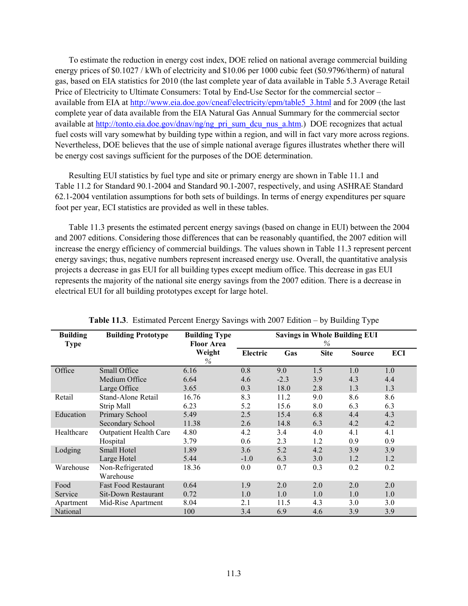To estimate the reduction in energy cost index, DOE relied on national average commercial building energy prices of \$0.1027 / kWh of electricity and \$10.06 per 1000 cubic feet (\$0.9796/therm) of natural gas, based on EIA statistics for 2010 (the last complete year of data available in Table 5.3 Average Retail Price of Electricity to Ultimate Consumers: Total by End-Use Sector for the commercial sector – available from EIA at [http://www.eia.doe.gov/cneaf/electricity/epm/table5\\_3.html](http://www.eia.doe.gov/cneaf/electricity/epm/table5_3.html) and for 2009 (the last complete year of data available from the EIA Natural Gas Annual Summary for the commercial sector available at [http://tonto.eia.doe.gov/dnav/ng/ng\\_pri\\_sum\\_dcu\\_nus\\_a.htm.](http://tonto.eia.doe.gov/dnav/ng/ng_pri_sum_dcu_nus_a.htm)) DOE recognizes that actual fuel costs will vary somewhat by building type within a region, and will in fact vary more across regions. Nevertheless, DOE believes that the use of simple national average figures illustrates whether there will be energy cost savings sufficient for the purposes of the DOE determination.

Resulting EUI statistics by fuel type and site or primary energy are shown i[n Table 11.1](#page-54-0) and [Table](#page-55-0) 11.2 for Standard 90.1-2004 and Standard 90.1-2007, respectively, and using ASHRAE Standard 62.1-2004 ventilation assumptions for both sets of buildings. In terms of energy expenditures per square foot per year, ECI statistics are provided as well in these tables.

[Table 11.3](#page-56-0) presents the estimated percent energy savings (based on change in EUI) between the 2004 and 2007 editions. Considering those differences that can be reasonably quantified, the 2007 edition will increase the energy efficiency of commercial buildings. The values shown in [Table 11.3](#page-56-0) represent percent energy savings; thus, negative numbers represent increased energy use. Overall, the quantitative analysis projects a decrease in gas EUI for all building types except medium office. This decrease in gas EUI represents the majority of the national site energy savings from the 2007 edition. There is a decrease in electrical EUI for all building prototypes except for large hotel.

<span id="page-56-0"></span>

| <b>Building</b><br><b>Type</b> | <b>Building Prototype</b>     | <b>Building Type</b><br><b>Floor Area</b> | <b>Savings in Whole Building EUI</b><br>$\%$ |        |             |               |     |
|--------------------------------|-------------------------------|-------------------------------------------|----------------------------------------------|--------|-------------|---------------|-----|
|                                |                               | Weight<br>$\%$                            | Electric                                     | Gas    | <b>Site</b> | <b>Source</b> | ECI |
| Office                         | Small Office                  | 6.16                                      | 0.8                                          | 9.0    | 1.5         | 1.0           | 1.0 |
|                                | Medium Office                 | 6.64                                      | 4.6                                          | $-2.3$ | 3.9         | 4.3           | 4.4 |
|                                | Large Office                  | 3.65                                      | 0.3                                          | 18.0   | 2.8         | 1.3           | 1.3 |
| Retail                         | Stand-Alone Retail            | 16.76                                     | 8.3                                          | 11.2   | 9.0         | 8.6           | 8.6 |
|                                | Strip Mall                    | 6.23                                      | 5.2                                          | 15.6   | 8.0         | 6.3           | 6.3 |
| Education                      | Primary School                | 5.49                                      | 2.5                                          | 15.4   | 6.8         | 4.4           | 4.3 |
|                                | <b>Secondary School</b>       | 11.38                                     | 2.6                                          | 14.8   | 6.3         | 4.2           | 4.2 |
| Healthcare                     | <b>Outpatient Health Care</b> | 4.80                                      | 4.2                                          | 3.4    | 4.0         | 4.1           | 4.1 |
|                                | Hospital                      | 3.79                                      | 0.6                                          | 2.3    | 1.2         | 0.9           | 0.9 |
| Lodging                        | Small Hotel                   | 1.89                                      | 3.6                                          | 5.2    | 4.2         | 3.9           | 3.9 |
|                                | Large Hotel                   | 5.44                                      | $-1.0$                                       | 6.3    | 3.0         | 1.2           | 1.2 |
| Warehouse                      | Non-Refrigerated              | 18.36                                     | 0.0                                          | 0.7    | 0.3         | 0.2           | 0.2 |
|                                | Warehouse                     |                                           |                                              |        |             |               |     |
| Food                           | <b>Fast Food Restaurant</b>   | 0.64                                      | 1.9                                          | 2.0    | 2.0         | 2.0           | 2.0 |
| Service                        | <b>Sit-Down Restaurant</b>    | 0.72                                      | 1.0                                          | 1.0    | 1.0         | 1.0           | 1.0 |
| Apartment                      | Mid-Rise Apartment            | 8.04                                      | 2.1                                          | 11.5   | 4.3         | 3.0           | 3.0 |
| National                       |                               | 100                                       | 3.4                                          | 6.9    | 4.6         | 3.9           | 3.9 |

**Table 11.3**. Estimated Percent Energy Savings with 2007 Edition – by Building Type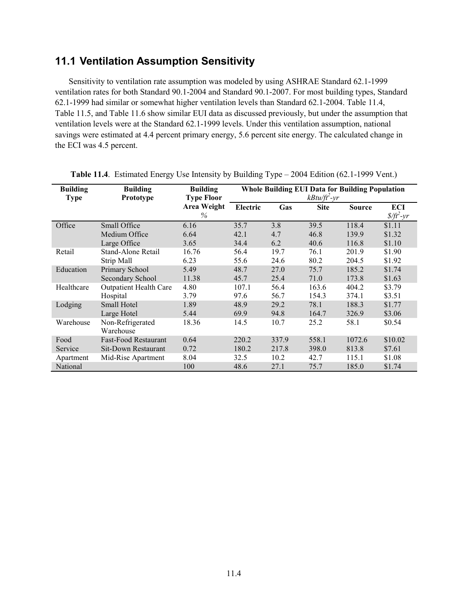#### **11.1 Ventilation Assumption Sensitivity**

Sensitivity to ventilation rate assumption was modeled by using ASHRAE Standard 62.1-1999 ventilation rates for both Standard 90.1-2004 and Standard 90.1-2007. For most building types, Standard 62.1-1999 had similar or somewhat higher ventilation levels than Standard 62.1-2004. [Table 11.4,](#page-57-0) [Table](#page-58-0) 11.5, and [Table 11.6](#page-58-1) show similar EUI data as discussed previously, but under the assumption that ventilation levels were at the Standard 62.1-1999 levels. Under this ventilation assumption, national savings were estimated at 4.4 percent primary energy, 5.6 percent site energy. The calculated change in the ECI was 4.5 percent.

| <b>Building</b><br><b>Type</b> | <b>Building</b><br>Prototype  | <b>Building</b><br><b>Type Floor</b> | <b>Whole Building EUI Data for Building Population</b><br>$kBtu/ft^2-yr$ |       |             |               |                      |  |  |
|--------------------------------|-------------------------------|--------------------------------------|--------------------------------------------------------------------------|-------|-------------|---------------|----------------------|--|--|
|                                |                               | <b>Area Weight</b><br>$\%$           | Electric                                                                 | Gas   | <b>Site</b> | <b>Source</b> | ECI<br>$\frac{f}{f}$ |  |  |
| Office                         | Small Office                  | 6.16                                 | 35.7                                                                     | 3.8   | 39.5        | 118.4         | \$1.11               |  |  |
|                                | Medium Office                 | 6.64                                 | 42.1                                                                     | 4.7   | 46.8        | 139.9         | \$1.32               |  |  |
|                                | Large Office                  | 3.65                                 | 34.4                                                                     | 6.2   | 40.6        | 116.8         | \$1.10               |  |  |
| Retail                         | Stand-Alone Retail            | 16.76                                | 56.4                                                                     | 19.7  | 76.1        | 201.9         | \$1.90               |  |  |
|                                | Strip Mall                    | 6.23                                 | 55.6                                                                     | 24.6  | 80.2        | 204.5         | \$1.92               |  |  |
| Education                      | Primary School                | 5.49                                 | 48.7                                                                     | 27.0  | 75.7        | 185.2         | \$1.74               |  |  |
|                                | Secondary School              | 11.38                                | 45.7                                                                     | 25.4  | 71.0        | 173.8         | \$1.63               |  |  |
| Healthcare                     | <b>Outpatient Health Care</b> | 4.80                                 | 107.1                                                                    | 56.4  | 163.6       | 404.2         | \$3.79               |  |  |
|                                | Hospital                      | 3.79                                 | 97.6                                                                     | 56.7  | 154.3       | 374.1         | \$3.51               |  |  |
| Lodging                        | <b>Small Hotel</b>            | 1.89                                 | 48.9                                                                     | 29.2  | 78.1        | 188.3         | \$1.77               |  |  |
|                                | Large Hotel                   | 5.44                                 | 69.9                                                                     | 94.8  | 164.7       | 326.9         | \$3.06               |  |  |
| Warehouse                      | Non-Refrigerated<br>Warehouse | 18.36                                | 14.5                                                                     | 10.7  | 25.2        | 58.1          | \$0.54               |  |  |
| Food                           | <b>Fast-Food Restaurant</b>   | 0.64                                 | 220.2                                                                    | 337.9 | 558.1       | 1072.6        | \$10.02              |  |  |
| Service                        | Sit-Down Restaurant           | 0.72                                 | 180.2                                                                    | 217.8 | 398.0       | 813.8         | \$7.61               |  |  |
| Apartment                      | Mid-Rise Apartment            | 8.04                                 | 32.5                                                                     | 10.2  | 42.7        | 115.1         | \$1.08               |  |  |
| National                       |                               | 100                                  | 48.6                                                                     | 27.1  | 75.7        | 185.0         | \$1.74               |  |  |

<span id="page-57-0"></span>**Table 11.4**. Estimated Energy Use Intensity by Building Type – 2004 Edition (62.1-1999 Vent.)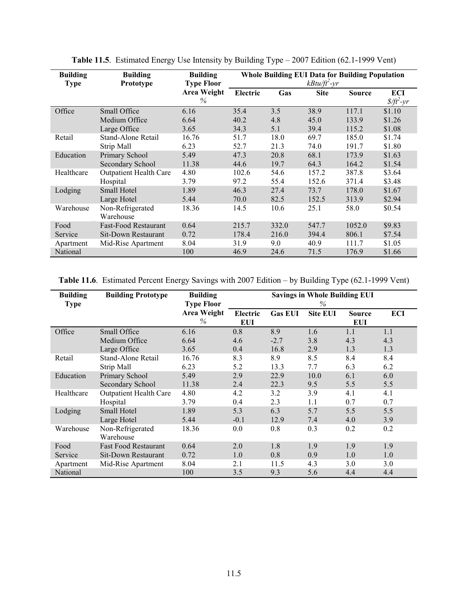<span id="page-58-0"></span>

| <b>Building</b> | <b>Building</b>               | <b>Building</b>                          | <b>Whole Building EUI Data for Building Population</b> |       |                                            |               |                                                     |  |  |  |
|-----------------|-------------------------------|------------------------------------------|--------------------------------------------------------|-------|--------------------------------------------|---------------|-----------------------------------------------------|--|--|--|
| <b>Type</b>     | <b>Prototype</b>              | <b>Type Floor</b><br>Area Weight<br>$\%$ | Electric                                               | Gas   | $kB$ tu/ft <sup>2</sup> -yr<br><b>Site</b> | <b>Source</b> | ECI<br>$\frac{\mathcal{S}}{\mathcal{H}^2-\gamma r}$ |  |  |  |
| Office          | Small Office                  | 6.16                                     | 35.4                                                   | 3.5   | 38.9                                       | 117.1         | \$1.10                                              |  |  |  |
|                 | Medium Office                 | 6.64                                     | 40.2                                                   | 4.8   | 45.0                                       | 133.9         | \$1.26                                              |  |  |  |
|                 | Large Office                  | 3.65                                     | 34.3                                                   | 5.1   | 39.4                                       | 115.2         | \$1.08                                              |  |  |  |
| Retail          | Stand-Alone Retail            | 16.76                                    | 51.7                                                   | 18.0  | 69.7                                       | 185.0         | \$1.74                                              |  |  |  |
|                 | Strip Mall                    | 6.23                                     | 52.7                                                   | 21.3  | 74.0                                       | 191.7         | \$1.80                                              |  |  |  |
| Education       | Primary School                | 5.49                                     | 47.3                                                   | 20.8  | 68.1                                       | 173.9         | \$1.63                                              |  |  |  |
|                 | Secondary School              | 11.38                                    | 44.6                                                   | 19.7  | 64.3                                       | 164.2         | \$1.54                                              |  |  |  |
| Healthcare      | <b>Outpatient Health Care</b> | 4.80                                     | 102.6                                                  | 54.6  | 157.2                                      | 387.8         | \$3.64                                              |  |  |  |
|                 | Hospital                      | 3.79                                     | 97.2                                                   | 55.4  | 152.6                                      | 371.4         | \$3.48                                              |  |  |  |
| Lodging         | Small Hotel                   | 1.89                                     | 46.3                                                   | 27.4  | 73.7                                       | 178.0         | \$1.67                                              |  |  |  |
|                 | Large Hotel                   | 5.44                                     | 70.0                                                   | 82.5  | 152.5                                      | 313.9         | \$2.94                                              |  |  |  |
| Warehouse       | Non-Refrigerated<br>Warehouse | 18.36                                    | 14.5                                                   | 10.6  | 25.1                                       | 58.0          | \$0.54                                              |  |  |  |
| Food            | <b>Fast-Food Restaurant</b>   | 0.64                                     | 215.7                                                  | 332.0 | 547.7                                      | 1052.0        | \$9.83                                              |  |  |  |
| Service         | Sit-Down Restaurant           | 0.72                                     | 178.4                                                  | 216.0 | 394.4                                      | 806.1         | \$7.54                                              |  |  |  |
| Apartment       | Mid-Rise Apartment            | 8.04                                     | 31.9                                                   | 9.0   | 40.9                                       | 111.7         | \$1.05                                              |  |  |  |
| National        |                               | 100                                      | 46.9                                                   | 24.6  | 71.5                                       | 176.9         | \$1.66                                              |  |  |  |

**Table 11.5**. Estimated Energy Use Intensity by Building Type – 2007 Edition (62.1-1999 Vent)

<span id="page-58-1"></span>**Table 11.6**. Estimated Percent Energy Savings with 2007 Edition – by Building Type (62.1-1999 Vent)

| <b>Building</b><br><b>Type</b> | <b>Building Prototype</b>     | <b>Building</b><br><b>Type Floor</b> | <b>Savings in Whole Building EUI</b><br>$\%$ |                |                 |                      |            |  |
|--------------------------------|-------------------------------|--------------------------------------|----------------------------------------------|----------------|-----------------|----------------------|------------|--|
|                                |                               | <b>Area Weight</b><br>$\%$           | Electric<br>EUI                              | <b>Gas EUI</b> | <b>Site EUI</b> | <b>Source</b><br>EUI | <b>ECI</b> |  |
| Office                         | Small Office                  | 6.16                                 | 0.8                                          | 8.9            | 1.6             | 1.1                  | 1.1        |  |
|                                | Medium Office                 | 6.64                                 | 4.6                                          | $-2.7$         | 3.8             | 4.3                  | 4.3        |  |
|                                | Large Office                  | 3.65                                 | 0.4                                          | 16.8           | 2.9             | 1.3                  | 1.3        |  |
| Retail                         | Stand-Alone Retail            | 16.76                                | 8.3                                          | 8.9            | 8.5             | 8.4                  | 8.4        |  |
|                                | Strip Mall                    | 6.23                                 | 5.2                                          | 13.3           | 7.7             | 6.3                  | 6.2        |  |
| Education                      | Primary School                | 5.49                                 | 2.9                                          | 22.9           | 10.0            | 6.1                  | 6.0        |  |
|                                | Secondary School              | 11.38                                | 2.4                                          | 22.3           | 9.5             | 5.5                  | 5.5        |  |
| Healthcare                     | <b>Outpatient Health Care</b> | 4.80                                 | 4.2                                          | 3.2            | 3.9             | 4.1                  | 4.1        |  |
|                                | Hospital                      | 3.79                                 | 0.4                                          | 2.3            | 1.1             | 0.7                  | 0.7        |  |
| Lodging                        | Small Hotel                   | 1.89                                 | 5.3                                          | 6.3            | 5.7             | 5.5                  | 5.5        |  |
|                                | Large Hotel                   | 5.44                                 | $-0.1$                                       | 12.9           | 7.4             | 4.0                  | 3.9        |  |
| Warehouse                      | Non-Refrigerated<br>Warehouse | 18.36                                | 0.0                                          | 0.8            | 0.3             | 0.2                  | 0.2        |  |
| Food                           | <b>Fast Food Restaurant</b>   | 0.64                                 | 2.0                                          | 1.8            | 1.9             | 1.9                  | 1.9        |  |
| Service                        | Sit-Down Restaurant           | 0.72                                 | 1.0                                          | 0.8            | 0.9             | 1.0                  | 1.0        |  |
| Apartment                      | Mid-Rise Apartment            | 8.04                                 | 2.1                                          | 11.5           | 4.3             | 3.0                  | 3.0        |  |
| National                       |                               | 100                                  | 3.5                                          | 9.3            | 5.6             | 4.4                  | 4.4        |  |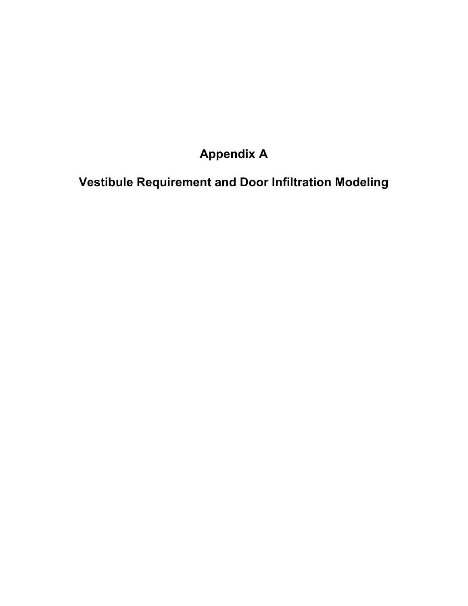# **Appendix A**

**Vestibule Requirement and Door Infiltration Modeling**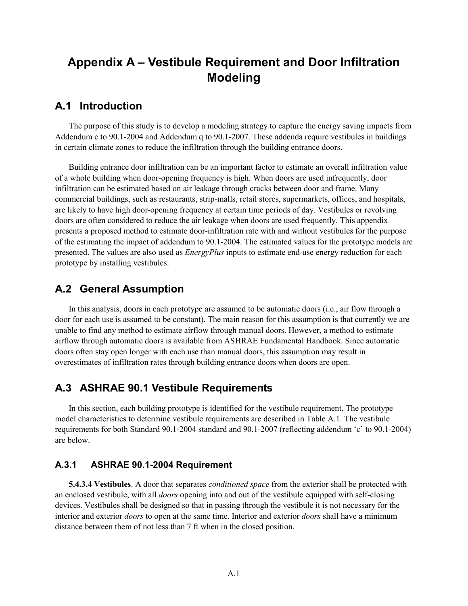# **Appendix A – Vestibule Requirement and Door Infiltration Modeling**

#### **A.1 Introduction**

The purpose of this study is to develop a modeling strategy to capture the energy saving impacts from Addendum c to 90.1-2004 and Addendum q to 90.1-2007. These addenda require vestibules in buildings in certain climate zones to reduce the infiltration through the building entrance doors.

Building entrance door infiltration can be an important factor to estimate an overall infiltration value of a whole building when door-opening frequency is high. When doors are used infrequently, door infiltration can be estimated based on air leakage through cracks between door and frame. Many commercial buildings, such as restaurants, strip-malls, retail stores, supermarkets, offices, and hospitals, are likely to have high door-opening frequency at certain time periods of day. Vestibules or revolving doors are often considered to reduce the air leakage when doors are used frequently. This appendix presents a proposed method to estimate door-infiltration rate with and without vestibules for the purpose of the estimating the impact of addendum to 90.1-2004. The estimated values for the prototype models are presented. The values are also used as *EnergyPlus* inputs to estimate end-use energy reduction for each prototype by installing vestibules.

### **A.2 General Assumption**

In this analysis, doors in each prototype are assumed to be automatic doors (i.e., air flow through a door for each use is assumed to be constant). The main reason for this assumption is that currently we are unable to find any method to estimate airflow through manual doors. However, a method to estimate airflow through automatic doors is available from ASHRAE Fundamental Handbook. Since automatic doors often stay open longer with each use than manual doors, this assumption may result in overestimates of infiltration rates through building entrance doors when doors are open.

### **A.3 ASHRAE 90.1 Vestibule Requirements**

In this section, each building prototype is identified for the vestibule requirement. The prototype model characteristics to determine vestibule requirements are described in Table A.1. The vestibule requirements for both Standard 90.1-2004 standard and 90.1-2007 (reflecting addendum 'c' to 90.1-2004) are below.

#### **A.3.1 ASHRAE 90.1-2004 Requirement**

**5.4.3.4 Vestibules**. A door that separates *conditioned space* from the exterior shall be protected with an enclosed vestibule, with all *doors* opening into and out of the vestibule equipped with self-closing devices. Vestibules shall be designed so that in passing through the vestibule it is not necessary for the interior and exterior *doors* to open at the same time. Interior and exterior *doors* shall have a minimum distance between them of not less than 7 ft when in the closed position.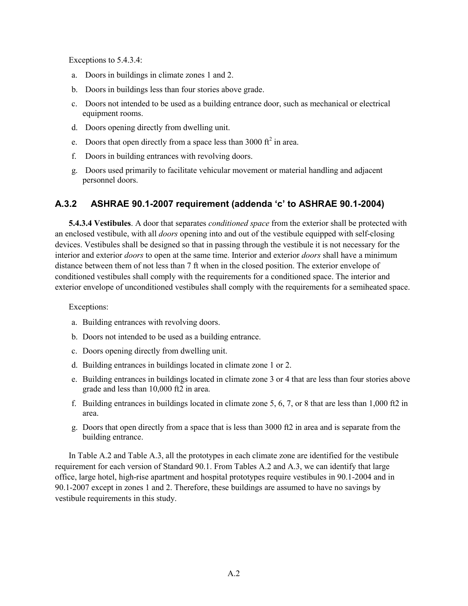Exceptions to 5.4.3.4:

- a. Doors in buildings in climate zones 1 and 2.
- b. Doors in buildings less than four stories above grade.
- c. Doors not intended to be used as a building entrance door, such as mechanical or electrical equipment rooms.
- d. Doors opening directly from dwelling unit.
- e. Doors that open directly from a space less than 3000  $\text{ft}^2$  in area.
- f. Doors in building entrances with revolving doors.
- g. Doors used primarily to facilitate vehicular movement or material handling and adjacent personnel doors.

#### **A.3.2 ASHRAE 90.1-2007 requirement (addenda 'c' to ASHRAE 90.1-2004)**

**5.4.3.4 Vestibules**. A door that separates *conditioned space* from the exterior shall be protected with an enclosed vestibule, with all *doors* opening into and out of the vestibule equipped with self-closing devices. Vestibules shall be designed so that in passing through the vestibule it is not necessary for the interior and exterior *doors* to open at the same time. Interior and exterior *doors* shall have a minimum distance between them of not less than 7 ft when in the closed position. The exterior envelope of conditioned vestibules shall comply with the requirements for a conditioned space. The interior and exterior envelope of unconditioned vestibules shall comply with the requirements for a semiheated space.

Exceptions:

- a. Building entrances with revolving doors.
- b. Doors not intended to be used as a building entrance.
- c. Doors opening directly from dwelling unit.
- d. Building entrances in buildings located in climate zone 1 or 2.
- e. Building entrances in buildings located in climate zone 3 or 4 that are less than four stories above grade and less than 10,000 ft2 in area.
- f. Building entrances in buildings located in climate zone 5, 6, 7, or 8 that are less than 1,000 ft2 in area.
- g. Doors that open directly from a space that is less than 3000 ft2 in area and is separate from the building entrance.

In Table A.2 and Table A.3, all the prototypes in each climate zone are identified for the vestibule requirement for each version of Standard 90.1. From Tables A.2 and A.3, we can identify that large office, large hotel, high-rise apartment and hospital prototypes require vestibules in 90.1-2004 and in 90.1-2007 except in zones 1 and 2. Therefore, these buildings are assumed to have no savings by vestibule requirements in this study.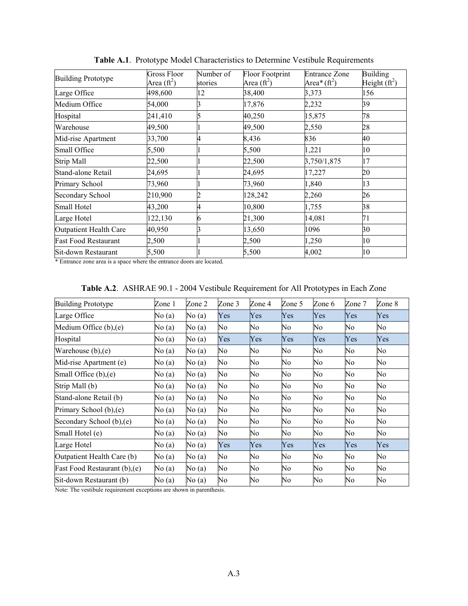| <b>Building Prototype</b>   | <b>Gross Floor</b><br>Area $(\text{ft}^2)$ | Number of<br>stories | <b>Floor Footprint</b><br>Area $(\text{ft}^2)$ | <b>Entrance Zone</b><br>Area* $({\rm ft}^2)$ | <b>Building</b><br>Height $(\text{ft}^2)$ |
|-----------------------------|--------------------------------------------|----------------------|------------------------------------------------|----------------------------------------------|-------------------------------------------|
| Large Office                | 498,600                                    | 12                   | 38,400                                         | 3,373                                        | 156                                       |
| Medium Office               | 54,000                                     |                      | 17,876                                         | 2,232                                        | 39                                        |
| Hospital                    | 241,410                                    |                      | 40,250                                         | 15,875                                       | 78                                        |
| Warehouse                   | 49,500                                     |                      | 49,500                                         | 2,550                                        | 28                                        |
| Mid-rise Apartment          | 33,700                                     |                      | 8,436                                          | 836                                          | 40                                        |
| Small Office                | 5,500                                      |                      | 5,500                                          | 1,221                                        | 10                                        |
| Strip Mall                  | 22,500                                     |                      | 22,500                                         | 3,750/1,875                                  | 17                                        |
| Stand-alone Retail          | 24,695                                     |                      | 24,695                                         | 17,227                                       | 20                                        |
| Primary School              | 73,960                                     |                      | 73,960                                         | 1,840                                        | 13                                        |
| <b>Secondary School</b>     | 210,900                                    |                      | 128,242                                        | 2,260                                        | 26                                        |
| Small Hotel                 | 43,200                                     |                      | 10,800                                         | 1,755                                        | 38                                        |
| Large Hotel                 | 122,130                                    |                      | 21,300                                         | 14,081                                       | 71                                        |
| Outpatient Health Care      | 40,950                                     |                      | 13,650                                         | 1096                                         | 30                                        |
| <b>Fast Food Restaurant</b> | 2,500                                      |                      | 2,500                                          | 1,250                                        | 10                                        |
| Sit-down Restaurant         | 5,500                                      |                      | 5,500                                          | 4,002                                        | 10                                        |

**Table A.1**. Prototype Model Characteristics to Determine Vestibule Requirements

\* Entrance zone area is a space where the entrance doors are located.

| <b>Building Prototype</b>     | Zone 1 | Zone 2   | Zone 3 | Zone 4 | Zone 5 | Zone 6 | Zone 7 | Zone 8 |
|-------------------------------|--------|----------|--------|--------|--------|--------|--------|--------|
| Large Office                  | No (a) | No(a)    | Yes    | Yes    | Yes    | Yes    | Yes    | Yes    |
| Medium Office (b),(e)         | No(a)  | No(a)    | No     | No     | No     | No     | No     | No     |
| Hospital                      | No(a)  | No(a)    | Yes    | Yes    | Yes    | Yes    | Yes    | Yes    |
| Warehouse $(b)$ , $(e)$       | No(a)  | No $(a)$ | No     | No     | No     | No     | No     | No     |
| Mid-rise Apartment (e)        | No(a)  | No(a)    | No     | No     | No     | No     | No     | No     |
| Small Office (b), (e)         | No(a)  | No(a)    | No     | No     | No     | No     | No     | No     |
| Strip Mall (b)                | No(a)  | No(a)    | No     | No     | No     | No     | No     | No     |
| Stand-alone Retail (b)        | No(a)  | No(a)    | No     | No     | No     | No     | No     | No     |
| Primary School (b), (e)       | No (a) | No(a)    | No     | No     | No     | No     | No     | No     |
| Secondary School (b), (e)     | No(a)  | No(a)    | No     | No     | No     | No     | No     | No     |
| Small Hotel (e)               | No (a) | No(a)    | No     | No     | No     | No     | No     | No     |
| Large Hotel                   | No(a)  | No(a)    | Yes    | Yes    | Yes    | Yes    | Yes    | Yes    |
| Outpatient Health Care (b)    | No(a)  | No(a)    | No     | No     | No     | No     | No     | No     |
| Fast Food Restaurant (b), (e) | No(a)  | No(a)    | No     | No     | No     | No     | No     | No     |
| Sit-down Restaurant (b)       | No(a)  | No(a)    | No     | No     | No     | No     | No     | No     |

| Table A.2. ASHRAE 90.1 - 2004 Vestibule Requirement for All Prototypes in Each Zone |  |  |  |
|-------------------------------------------------------------------------------------|--|--|--|
|                                                                                     |  |  |  |

Note: The vestibule requirement exceptions are shown in parenthesis.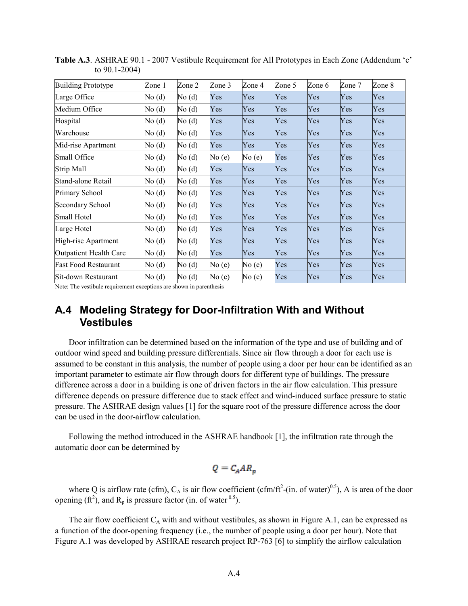| <b>Building Prototype</b>   | Zone 1 | Zone 2 | Zone 3 | Zone 4     | Zone 5     | Zone 6 | Zone 7 | Zone 8 |
|-----------------------------|--------|--------|--------|------------|------------|--------|--------|--------|
| Large Office                | No (d) | No (d) | Yes    | Yes        | Yes        | Yes    | Yes    | Yes    |
| Medium Office               | No(d)  | No(d)  | Yes    | Yes        | <b>Yes</b> | Yes    | Yes    | Yes    |
| Hospital                    | No(d)  | No(d)  | Yes    | Yes        | Yes        | Yes    | Yes    | Yes    |
| Warehouse                   | No(d)  | No(d)  | Yes    | Yes        | Yes        | Yes    | Yes    | Yes    |
| Mid-rise Apartment          | No (d) | No(d)  | Yes    | Yes        | Yes        | Yes    | Yes    | Yes    |
| Small Office                | No (d) | No(d)  | No(e)  | No (e)     | Yes        | Yes    | Yes    | Yes    |
| Strip Mall                  | No(d)  | No(d)  | Yes    | Yes        | Yes        | Yes    | Yes    | Yes    |
| Stand-alone Retail          | No(d)  | No(d)  | Yes    | <b>Yes</b> | Yes        | Yes    | Yes    | Yes    |
| Primary School              | No (d) | No(d)  | Yes    | Yes        | Yes        | Yes    | Yes    | Yes    |
| Secondary School            | No (d) | No(d)  | Yes    | Yes        | Yes        | Yes    | Yes    | Yes    |
| Small Hotel                 | No (d) | No(d)  | Yes    | Yes        | Yes        | Yes    | Yes    | Yes    |
| Large Hotel                 | No (d) | No(d)  | Yes    | Yes        | Yes        | Yes    | Yes    | Yes    |
| High-rise Apartment         | No(d)  | No(d)  | Yes    | Yes        | Yes        | Yes    | Yes    | Yes    |
| Outpatient Health Care      | No(d)  | No(d)  | Yes    | Yes        | Yes        | Yes    | Yes    | Yes    |
| <b>Fast Food Restaurant</b> | No (d) | No(d)  | No(e)  | No (e)     | Yes        | Yes    | Yes    | Yes    |
| Sit-down Restaurant         | No(d)  | No(d)  | No(e)  | No (e)     | Yes        | Yes    | Yes    | Yes    |

**Table A.3**. ASHRAE 90.1 - 2007 Vestibule Requirement for All Prototypes in Each Zone (Addendum 'c' to 90.1-2004)

Note: The vestibule requirement exceptions are shown in parenthesis

#### **A.4 Modeling Strategy for Door-Infiltration With and Without Vestibules**

Door infiltration can be determined based on the information of the type and use of building and of outdoor wind speed and building pressure differentials. Since air flow through a door for each use is assumed to be constant in this analysis, the number of people using a door per hour can be identified as an important parameter to estimate air flow through doors for different type of buildings. The pressure difference across a door in a building is one of driven factors in the air flow calculation. This pressure difference depends on pressure difference due to stack effect and wind-induced surface pressure to static pressure. The ASHRAE design values [1] for the square root of the pressure difference across the door can be used in the door-airflow calculation.

Following the method introduced in the ASHRAE handbook [1], the infiltration rate through the automatic door can be determined by

$$
Q = C_A AR_p
$$

where Q is airflow rate (cfm),  $C_A$  is air flow coefficient (cfm/ft<sup>2</sup>-(in. of water)<sup>0.5</sup>), A is area of the door opening (ft<sup>2</sup>), and  $R_p$  is pressure factor (in. of water <sup>0.5</sup>).

The air flow coefficient  $C_A$  with and without vestibules, as shown in Figure A.1, can be expressed as a function of the door-opening frequency (i.e., the number of people using a door per hour). Note that Figure A.1 was developed by ASHRAE research project RP-763 [6] to simplify the airflow calculation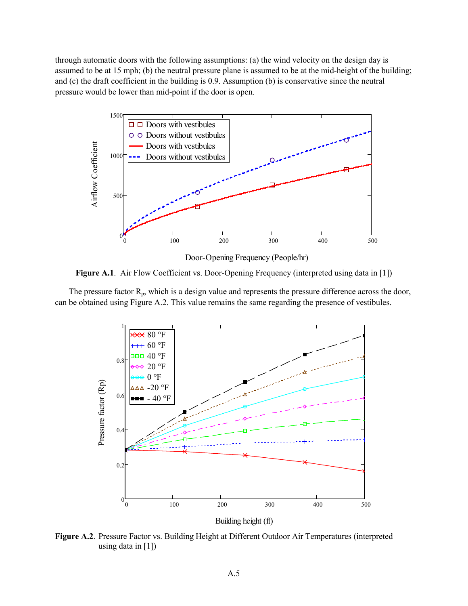through automatic doors with the following assumptions: (a) the wind velocity on the design day is assumed to be at 15 mph; (b) the neutral pressure plane is assumed to be at the mid-height of the building; and (c) the draft coefficient in the building is 0.9. Assumption (b) is conservative since the neutral pressure would be lower than mid-point if the door is open.



**Figure A.1**. Air Flow Coefficient vs. Door-Opening Frequency (interpreted using data in [1])

The pressure factor  $R_p$ , which is a design value and represents the pressure difference across the door,

can be obtained using Figure A.2. This value remains the same regarding the presence of vestibules.



**Figure A.2**. Pressure Factor vs. Building Height at Different Outdoor Air Temperatures (interpreted using data in  $[1]$ )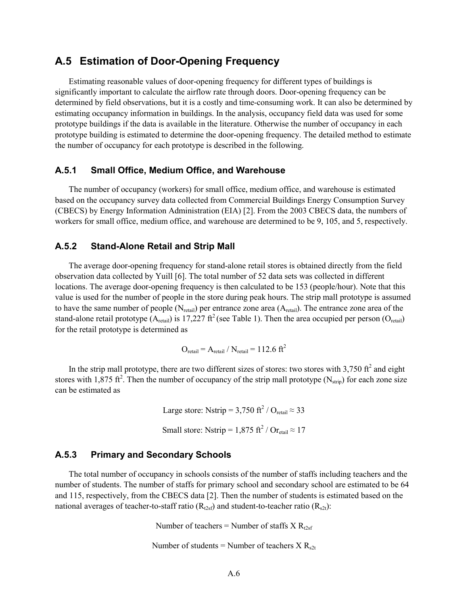#### **A.5 Estimation of Door-Opening Frequency**

Estimating reasonable values of door-opening frequency for different types of buildings is significantly important to calculate the airflow rate through doors. Door-opening frequency can be determined by field observations, but it is a costly and time-consuming work. It can also be determined by estimating occupancy information in buildings. In the analysis, occupancy field data was used for some prototype buildings if the data is available in the literature. Otherwise the number of occupancy in each prototype building is estimated to determine the door-opening frequency. The detailed method to estimate the number of occupancy for each prototype is described in the following.

#### **A.5.1 Small Office, Medium Office, and Warehouse**

The number of occupancy (workers) for small office, medium office, and warehouse is estimated based on the occupancy survey data collected from Commercial Buildings Energy Consumption Survey (CBECS) by Energy Information Administration (EIA) [2]. From the 2003 CBECS data, the numbers of workers for small office, medium office, and warehouse are determined to be 9, 105, and 5, respectively.

#### **A.5.2 Stand-Alone Retail and Strip Mall**

The average door-opening frequency for stand-alone retail stores is obtained directly from the field observation data collected by Yuill [6]. The total number of 52 data sets was collected in different locations. The average door-opening frequency is then calculated to be 153 (people/hour). Note that this value is used for the number of people in the store during peak hours. The strip mall prototype is assumed to have the same number of people  $(N_{\text{retail}})$  per entrance zone area  $(A_{\text{retail}})$ . The entrance zone area of the stand-alone retail prototype (A<sub>retail</sub>) is 17,227 ft<sup>2</sup> (see Table 1). Then the area occupied per person (O<sub>retail</sub>) for the retail prototype is determined as

$$
O_{\text{retail}} = A_{\text{retail}} / N_{\text{retail}} = 112.6 \text{ ft}^2
$$

In the strip mall prototype, there are two different sizes of stores: two stores with  $3,750 \text{ ft}^2$  and eight stores with 1,875 ft<sup>2</sup>. Then the number of occupancy of the strip mall prototype ( $N_{strip}$ ) for each zone size can be estimated as

> Large store: Nstrip =  $3,750$  ft<sup>2</sup> / O<sub>retail</sub>  $\approx 33$ Small store: Nstrip =  $1,875$  ft<sup>2</sup> / Or<sub>etail</sub>  $\approx 17$

#### **A.5.3 Primary and Secondary Schools**

The total number of occupancy in schools consists of the number of staffs including teachers and the number of students. The number of staffs for primary school and secondary school are estimated to be 64 and 115, respectively, from the CBECS data [2]. Then the number of students is estimated based on the national averages of teacher-to-staff ratio ( $R_{t2sf}$ ) and student-to-teacher ratio ( $R_{s2t}$ ):

Number of teachers = Number of staffs  $X R_{t2sf}$ 

Number of students = Number of teachers  $X R_{s2t}$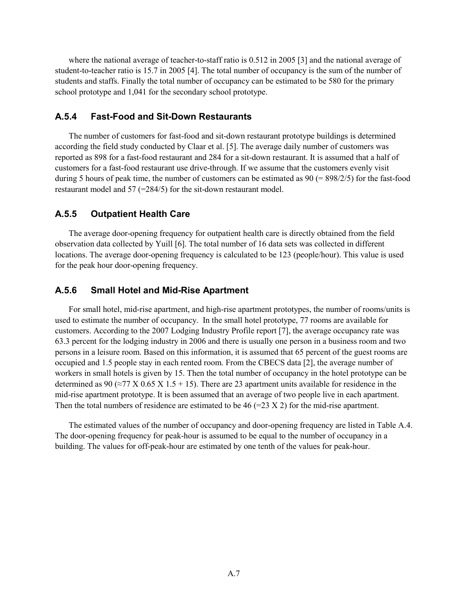where the national average of teacher-to-staff ratio is 0.512 in 2005 [3] and the national average of student-to-teacher ratio is 15.7 in 2005 [4]. The total number of occupancy is the sum of the number of students and staffs. Finally the total number of occupancy can be estimated to be 580 for the primary school prototype and 1,041 for the secondary school prototype.

#### **A.5.4 Fast-Food and Sit-Down Restaurants**

The number of customers for fast-food and sit-down restaurant prototype buildings is determined according the field study conducted by Claar et al. [5]. The average daily number of customers was reported as 898 for a fast-food restaurant and 284 for a sit-down restaurant. It is assumed that a half of customers for a fast-food restaurant use drive-through. If we assume that the customers evenly visit during 5 hours of peak time, the number of customers can be estimated as  $90 (= 898/2/5)$  for the fast-food restaurant model and 57 (=284/5) for the sit-down restaurant model.

#### **A.5.5 Outpatient Health Care**

The average door-opening frequency for outpatient health care is directly obtained from the field observation data collected by Yuill [6]. The total number of 16 data sets was collected in different locations. The average door-opening frequency is calculated to be 123 (people/hour). This value is used for the peak hour door-opening frequency.

#### **A.5.6 Small Hotel and Mid-Rise Apartment**

For small hotel, mid-rise apartment, and high-rise apartment prototypes, the number of rooms/units is used to estimate the number of occupancy. In the small hotel prototype, 77 rooms are available for customers. According to the 2007 Lodging Industry Profile report [7], the average occupancy rate was 63.3 percent for the lodging industry in 2006 and there is usually one person in a business room and two persons in a leisure room. Based on this information, it is assumed that 65 percent of the guest rooms are occupied and 1.5 people stay in each rented room. From the CBECS data [2], the average number of workers in small hotels is given by 15. Then the total number of occupancy in the hotel prototype can be determined as 90 ( $\approx$ 77 X 0.65 X 1.5 + 15). There are 23 apartment units available for residence in the mid-rise apartment prototype. It is been assumed that an average of two people live in each apartment. Then the total numbers of residence are estimated to be 46 (=23 X 2) for the mid-rise apartment.

The estimated values of the number of occupancy and door-opening frequency are listed in Table A.4. The door-opening frequency for peak-hour is assumed to be equal to the number of occupancy in a building. The values for off-peak-hour are estimated by one tenth of the values for peak-hour.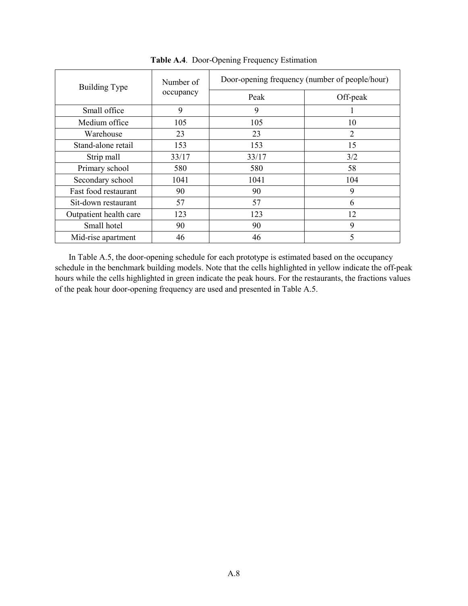| <b>Building Type</b>   | Number of | Door-opening frequency (number of people/hour) |                |  |  |  |  |
|------------------------|-----------|------------------------------------------------|----------------|--|--|--|--|
|                        | occupancy | Peak                                           | Off-peak       |  |  |  |  |
| Small office           | 9         | 9                                              |                |  |  |  |  |
| Medium office          | 105       | 105                                            | 10             |  |  |  |  |
| Warehouse              | 23        | 23                                             | $\overline{2}$ |  |  |  |  |
| Stand-alone retail     | 153       | 153                                            | 15             |  |  |  |  |
| Strip mall             | 33/17     | 33/17                                          | 3/2            |  |  |  |  |
| Primary school         | 580       | 580                                            | 58             |  |  |  |  |
| Secondary school       | 1041      | 1041                                           | 104            |  |  |  |  |
| Fast food restaurant   | 90        | 90                                             | 9              |  |  |  |  |
| Sit-down restaurant    | 57        | 57                                             | 6              |  |  |  |  |
| Outpatient health care | 123       | 123                                            | 12             |  |  |  |  |
| Small hotel            | 90        | 90                                             | 9              |  |  |  |  |
| Mid-rise apartment     | 46        | 46                                             | 5              |  |  |  |  |

**Table A.4**. Door-Opening Frequency Estimation

In Table A.5, the door-opening schedule for each prototype is estimated based on the occupancy schedule in the benchmark building models. Note that the cells highlighted in yellow indicate the off-peak hours while the cells highlighted in green indicate the peak hours. For the restaurants, the fractions values of the peak hour door-opening frequency are used and presented in Table A.5.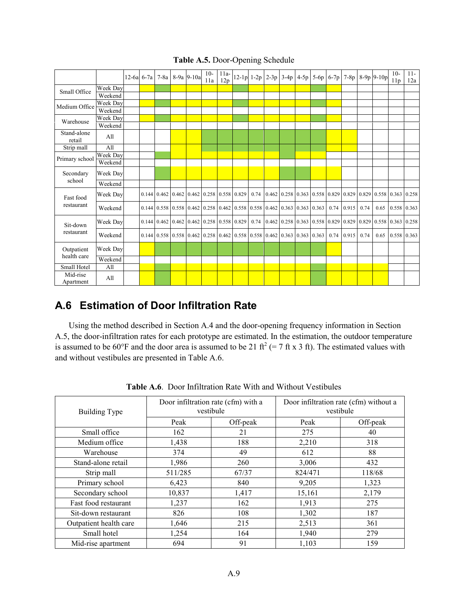|                       |                     | $12-6a$ 6-7a | $7-8a$ |                                           | 8-9a 9-10a | $10-$<br>11a | $11a-$<br>12p |                                                                                                                                  |      | $12-1p$ 1-2p 2-3p | $3-4p$ | $4-5p$ | $5-6p$ 6-7p |      | $7-8p$ 8-9p 9-10p                                                                                             |      |      | $10-$<br>11p | $11 -$<br>12a |
|-----------------------|---------------------|--------------|--------|-------------------------------------------|------------|--------------|---------------|----------------------------------------------------------------------------------------------------------------------------------|------|-------------------|--------|--------|-------------|------|---------------------------------------------------------------------------------------------------------------|------|------|--------------|---------------|
| Small Office          | Week Day            |              |        |                                           |            |              |               |                                                                                                                                  |      |                   |        |        |             |      |                                                                                                               |      |      |              |               |
|                       | Weekend             |              |        |                                           |            |              |               |                                                                                                                                  |      |                   |        |        |             |      |                                                                                                               |      |      |              |               |
| Medium Office         | Week Dav<br>Weekend |              |        |                                           |            |              |               |                                                                                                                                  |      |                   |        |        |             |      |                                                                                                               |      |      |              |               |
|                       | Week Dav            |              |        |                                           |            |              |               |                                                                                                                                  |      |                   |        |        |             |      |                                                                                                               |      |      |              |               |
| Warehouse             | Weekend             |              |        |                                           |            |              |               |                                                                                                                                  |      |                   |        |        |             |      |                                                                                                               |      |      |              |               |
| Stand-alone<br>retail | All                 |              |        |                                           |            |              |               |                                                                                                                                  |      |                   |        |        |             |      |                                                                                                               |      |      |              |               |
| Strip mall            | All                 |              |        |                                           |            |              |               |                                                                                                                                  |      |                   |        |        |             |      |                                                                                                               |      |      |              |               |
| Primary school        | Week Day            |              |        |                                           |            |              |               |                                                                                                                                  |      |                   |        |        |             |      |                                                                                                               |      |      |              |               |
|                       | Weekend             |              |        |                                           |            |              |               |                                                                                                                                  |      |                   |        |        |             |      |                                                                                                               |      |      |              |               |
| Secondary             | Week Day            |              |        |                                           |            |              |               |                                                                                                                                  |      |                   |        |        |             |      |                                                                                                               |      |      |              |               |
| school                | Weekend             |              |        |                                           |            |              |               |                                                                                                                                  |      |                   |        |        |             |      |                                                                                                               |      |      |              |               |
| Fast food             | Week Day            |              |        | 0.144 0.462 0.462 0.462 0.258 0.558 0.829 |            |              |               |                                                                                                                                  | 0.74 |                   |        |        |             |      | $\vert 0.462 \vert 0.258 \vert 0.363 \vert 0.558 \vert 0.829 \vert 0.829 \vert 0.829 \vert 0.558 \vert 0.363$ |      |      |              | 0.258         |
| restaurant            | Weekend             |              |        |                                           |            |              |               | $0.144 \mid 0.558 \mid 0.558 \mid 0.462 \mid 0.258 \mid 0.462 \mid 0.558 \mid 0.558 \mid 0.462 \mid 0.363 \mid 0.363 \mid 0.363$ |      |                   |        |        |             | 0.74 | 0.915                                                                                                         | 0.74 | 0.65 | 0.558 0.363  |               |
| Sit-down              | Week Day            |              |        | 0.144 0.462 0.462 0.462 0.258 0.558 0.829 |            |              |               |                                                                                                                                  | 0.74 |                   |        |        |             |      | $0.462$ $0.258$ $0.363$ $0.558$ $0.829$ $0.829$ $0.829$ $0.558$ $0.363$                                       |      |      |              | 0.258         |
| restaurant            | Weekend             |              |        |                                           |            |              |               | $0.144 \mid 0.558 \mid 0.558 \mid 0.462 \mid 0.258 \mid 0.462 \mid 0.558 \mid 0.558 \mid 0.462 \mid 0.363 \mid 0.363 \mid 0.363$ |      |                   |        |        |             | 0.74 | 0.915                                                                                                         | 0.74 | 0.65 | 0.558 0.363  |               |
| Outpatient            | Week Day            |              |        |                                           |            |              |               |                                                                                                                                  |      |                   |        |        |             |      |                                                                                                               |      |      |              |               |
| health care           | Weekend             |              |        |                                           |            |              |               |                                                                                                                                  |      |                   |        |        |             |      |                                                                                                               |      |      |              |               |
| Small Hotel           | All                 |              |        |                                           |            |              |               |                                                                                                                                  |      |                   |        |        |             |      |                                                                                                               |      |      |              |               |
| Mid-rise<br>Apartment | All                 |              |        |                                           |            |              |               |                                                                                                                                  |      |                   |        |        |             |      |                                                                                                               |      |      |              |               |

**Table A.5.** Door-Opening Schedule

### **A.6 Estimation of Door Infiltration Rate**

Using the method described in Section A.4 and the door-opening frequency information in Section A.5, the door-infiltration rates for each prototype are estimated. In the estimation, the outdoor temperature is assumed to be 60°F and the door area is assumed to be 21 ft<sup>2</sup> (= 7 ft x 3 ft). The estimated values with and without vestibules are presented in Table A.6.

| Building Type          |         | Door infiltration rate (cfm) with a<br>vestibule | Door infiltration rate (cfm) without a<br>vestibule |          |  |  |
|------------------------|---------|--------------------------------------------------|-----------------------------------------------------|----------|--|--|
|                        | Peak    | Off-peak                                         | Peak                                                | Off-peak |  |  |
| Small office           | 162     | 21                                               | 275                                                 | 40       |  |  |
| Medium office          | 1,438   | 188                                              | 2,210                                               | 318      |  |  |
| Warehouse              | 374     | 49                                               | 612                                                 | 88       |  |  |
| Stand-alone retail     | 1,986   | 260                                              | 3,006                                               | 432      |  |  |
| Strip mall             | 511/285 | 67/37                                            | 824/471                                             | 118/68   |  |  |
| Primary school         | 6,423   | 840                                              | 9,205                                               | 1,323    |  |  |
| Secondary school       | 10,837  | 1,417                                            | 15,161                                              | 2,179    |  |  |
| Fast food restaurant   | 1,237   | 162                                              | 1,913                                               | 275      |  |  |
| Sit-down restaurant    | 826     | 108                                              | 1,302                                               | 187      |  |  |
| Outpatient health care | 1,646   | 215                                              | 2,513                                               | 361      |  |  |
| Small hotel            | 1,254   | 164                                              | 1,940                                               | 279      |  |  |
| Mid-rise apartment     | 694     | 91                                               | 1,103                                               | 159      |  |  |

**Table A.6**. Door Infiltration Rate With and Without Vestibules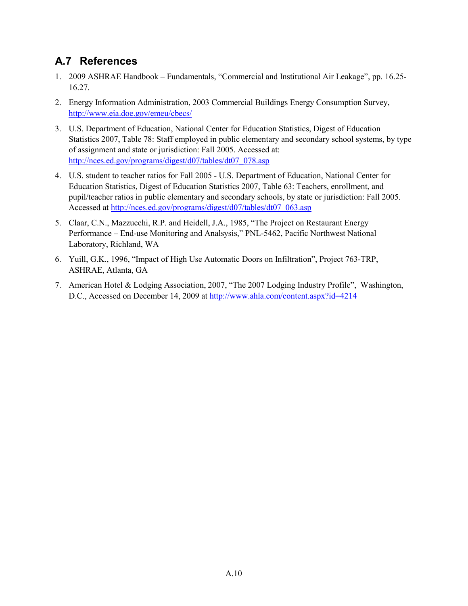# **A.7 References**

- 1. 2009 ASHRAE Handbook Fundamentals, "Commercial and Institutional Air Leakage", pp. 16.25- 16.27.
- 2. Energy Information Administration, 2003 Commercial Buildings Energy Consumption Survey, <http://www.eia.doe.gov/emeu/cbecs/>
- 3. U.S. Department of Education, National Center for Education Statistics, Digest of Education Statistics 2007, Table 78: Staff employed in public elementary and secondary school systems, by type of assignment and state or jurisdiction: Fall 2005. Accessed at: [http://nces.ed.gov/programs/digest/d07/tables/dt07\\_078.asp](http://nces.ed.gov/programs/digest/d07/tables/dt07_078.asp)
- 4. U.S. student to teacher ratios for Fall 2005 U.S. Department of Education, National Center for Education Statistics, Digest of Education Statistics 2007, Table 63: Teachers, enrollment, and pupil/teacher ratios in public elementary and secondary schools, by state or jurisdiction: Fall 2005. Accessed at [http://nces.ed.gov/programs/digest/d07/tables/dt07\\_063.asp](http://nces.ed.gov/programs/digest/d07/tables/dt07_063.asp)
- 5. Claar, C.N., Mazzucchi, R.P. and Heidell, J.A., 1985, "The Project on Restaurant Energy Performance – End-use Monitoring and Analsysis," PNL-5462, Pacific Northwest National Laboratory, Richland, WA
- 6. Yuill, G.K., 1996, "Impact of High Use Automatic Doors on Infiltration", Project 763-TRP, ASHRAE, Atlanta, GA
- 7. American Hotel & Lodging Association, 2007, "The 2007 Lodging Industry Profile", Washington, D.C., Accessed on December 14, 2009 at<http://www.ahla.com/content.aspx?id=4214>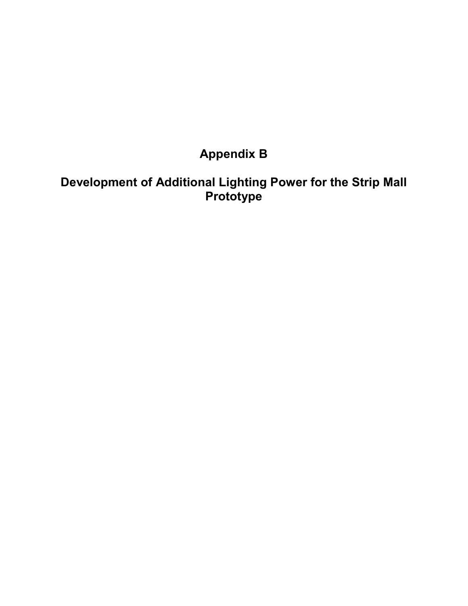# **Appendix B**

### **Development of Additional Lighting Power for the Strip Mall Prototype**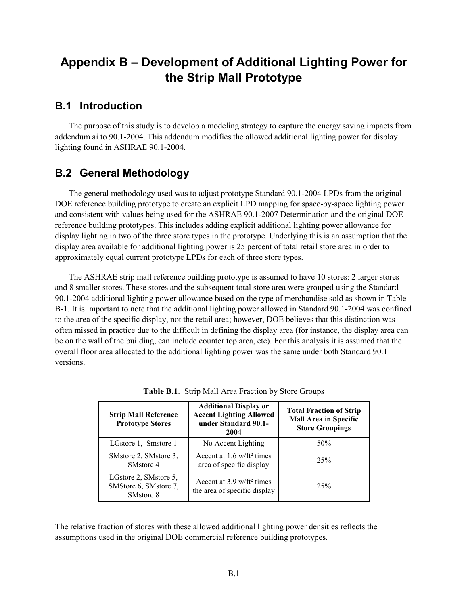## **Appendix B – Development of Additional Lighting Power for the Strip Mall Prototype**

#### **B.1 Introduction**

The purpose of this study is to develop a modeling strategy to capture the energy saving impacts from addendum ai to 90.1-2004. This addendum modifies the allowed additional lighting power for display lighting found in ASHRAE 90.1-2004.

#### **B.2 General Methodology**

The general methodology used was to adjust prototype Standard 90.1-2004 LPDs from the original DOE reference building prototype to create an explicit LPD mapping for space-by-space lighting power and consistent with values being used for the ASHRAE 90.1-2007 Determination and the original DOE reference building prototypes. This includes adding explicit additional lighting power allowance for display lighting in two of the three store types in the prototype. Underlying this is an assumption that the display area available for additional lighting power is 25 percent of total retail store area in order to approximately equal current prototype LPDs for each of three store types.

The ASHRAE strip mall reference building prototype is assumed to have 10 stores: 2 larger stores and 8 smaller stores. These stores and the subsequent total store area were grouped using the Standard 90.1-2004 additional lighting power allowance based on the type of merchandise sold as shown in Table B-1. It is important to note that the additional lighting power allowed in Standard 90.1-2004 was confined to the area of the specific display, not the retail area; however, DOE believes that this distinction was often missed in practice due to the difficult in defining the display area (for instance, the display area can be on the wall of the building, can include counter top area, etc). For this analysis it is assumed that the overall floor area allocated to the additional lighting power was the same under both Standard 90.1 versions.

| <b>Strip Mall Reference</b><br><b>Prototype Stores</b>                  | <b>Additional Display or</b><br><b>Accent Lighting Allowed</b><br>under Standard 90.1-<br>2004 | <b>Total Fraction of Strip</b><br><b>Mall Area in Specific</b><br><b>Store Groupings</b> |  |  |  |
|-------------------------------------------------------------------------|------------------------------------------------------------------------------------------------|------------------------------------------------------------------------------------------|--|--|--|
| LGstore 1, Smstore 1                                                    | No Accent Lighting                                                                             | 50%                                                                                      |  |  |  |
| SMstore 2, SMstore 3,<br>SM <sub>store</sub> 4                          | Accent at $1.6 \text{ w/ft}^2$ times<br>area of specific display                               | 25%                                                                                      |  |  |  |
| LGstore 2, SMstore 5,<br>SMStore 6, SMstore 7,<br>SM <sub>store</sub> 8 | Accent at $3.9 \text{ w/ft}^2$ times<br>the area of specific display                           | 25%                                                                                      |  |  |  |

**Table B.1**. Strip Mall Area Fraction by Store Groups

The relative fraction of stores with these allowed additional lighting power densities reflects the assumptions used in the original DOE commercial reference building prototypes.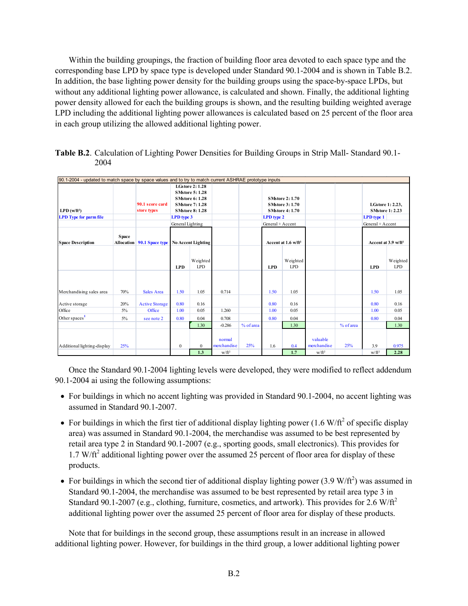Within the building groupings, the fraction of building floor area devoted to each space type and the corresponding base LPD by space type is developed under Standard 90.1-2004 and is shown in Table B.2. In addition, the base lighting power density for the building groups using the space-by-space LPDs, but without any additional lighting power allowance, is calculated and shown. Finally, the additional lighting power density allowed for each the building groups is shown, and the resulting building weighted average LPD including the additional lighting power allowances is calculated based on 25 percent of the floor area in each group utilizing the allowed additional lighting power.

| 90.1-2004 - updated to match space by space values and to try to match current ASHRAE prototype inputs |                                   |                       |                                                                                                                                                             |                        |                       |           |                                                                                                           |                        |                         |           |                                                                                     |                                 |
|--------------------------------------------------------------------------------------------------------|-----------------------------------|-----------------------|-------------------------------------------------------------------------------------------------------------------------------------------------------------|------------------------|-----------------------|-----------|-----------------------------------------------------------------------------------------------------------|------------------------|-------------------------|-----------|-------------------------------------------------------------------------------------|---------------------------------|
| $LPD(w/ft^2)$<br><b>LPD</b> Type for parm file                                                         | 90.1 score card<br>store types    |                       | <b>LGstore 2:1.28</b><br><b>SMstore 5:1.28</b><br><b>SMstore 6:1.28</b><br><b>SMstore 7:1.28</b><br><b>SMstore 8:1.28</b><br>LPD type 3<br>General Lighting |                        |                       |           | <b>SMstore 2:1.70</b><br><b>SMstore 3:1.70</b><br><b>SMstore 4:1.70</b><br>LPD type 2<br>General + Accent |                        |                         |           | LGstore 1: 2.23,<br><b>SMstore 1: 2.23</b><br><b>LPD</b> type 1<br>General + Accent |                                 |
| <b>Space Description</b>                                                                               | <b>Space</b><br><b>Allocation</b> | 90.1 Space type       | <b>No Accent Lighting</b>                                                                                                                                   |                        |                       |           | Accent at 1.6 w/ft <sup>2</sup>                                                                           |                        |                         |           |                                                                                     | Accent at 3.9 w/ft <sup>2</sup> |
|                                                                                                        |                                   |                       | <b>LPD</b>                                                                                                                                                  | Weighted<br><b>LPD</b> |                       |           | <b>LPD</b>                                                                                                | Weighted<br><b>LPD</b> |                         |           | <b>LPD</b>                                                                          | Weighted<br><b>LPD</b>          |
| Merchandising sales area                                                                               | 70%                               | Sales Area            | 1.50                                                                                                                                                        | 1.05                   | 0.714                 |           | 1.50                                                                                                      | 1.05                   |                         |           | 1.50                                                                                | 1.05                            |
| Active storage                                                                                         | 20%                               | <b>Active Storage</b> | 0.80                                                                                                                                                        | 0.16                   |                       |           | 0.80                                                                                                      | 0.16                   |                         |           | 0.80                                                                                | 0.16                            |
| Office                                                                                                 | $5\%$                             | Office                | 1.00                                                                                                                                                        | 0.05                   | 1.260                 |           | 1.00                                                                                                      | 0.05                   |                         |           | 1.00                                                                                | 0.05                            |
| Other spaces <sup>1</sup>                                                                              | $5\%$                             | see note 2            | 0.80                                                                                                                                                        | 0.04                   | 0.708                 |           | 0.80                                                                                                      | 0.04                   |                         |           | 0.80                                                                                | 0.04                            |
|                                                                                                        |                                   |                       |                                                                                                                                                             | 1.30                   | $-0.286$              | % of area |                                                                                                           | 1.30                   |                         | % of area |                                                                                     | 1.30                            |
| Additional lighting-display                                                                            | 25%                               |                       | $\mathbf{0}$                                                                                                                                                | $\mathbf{0}$           | normal<br>merchandise | 25%       | 1.6                                                                                                       | 0.4                    | valuable<br>merchandise | 25%       | 3.9                                                                                 | 0.975                           |
|                                                                                                        |                                   |                       |                                                                                                                                                             | 1.3                    | $W/\hat{\Pi}^2$       |           |                                                                                                           | 1.7                    | $W/\hat{\Pi}^2$         |           | $W/\hat{\Pi}^2$                                                                     | 2.28                            |

**Table B.2**. Calculation of Lighting Power Densities for Building Groups in Strip Mall- Standard 90.1- 2004

Once the Standard 90.1-2004 lighting levels were developed, they were modified to reflect addendum 90.1-2004 ai using the following assumptions:

- For buildings in which no accent lighting was provided in Standard 90.1-2004, no accent lighting was assumed in Standard 90.1-2007.
- For buildings in which the first tier of additional display lighting power (1.6 W/ft<sup>2</sup> of specific display area) was assumed in Standard 90.1-2004, the merchandise was assumed to be best represented by retail area type 2 in Standard 90.1-2007 (e.g., sporting goods, small electronics). This provides for  $1.7$  W/ft<sup>2</sup> additional lighting power over the assumed 25 percent of floor area for display of these products.
- For buildings in which the second tier of additional display lighting power  $(3.9 \text{ W/ft}^2)$  was assumed in Standard 90.1-2004, the merchandise was assumed to be best represented by retail area type 3 in Standard 90.1-2007 (e.g., clothing, furniture, cosmetics, and artwork). This provides for 2.6 W/ft<sup>2</sup> additional lighting power over the assumed 25 percent of floor area for display of these products.

Note that for buildings in the second group, these assumptions result in an increase in allowed additional lighting power. However, for buildings in the third group, a lower additional lighting power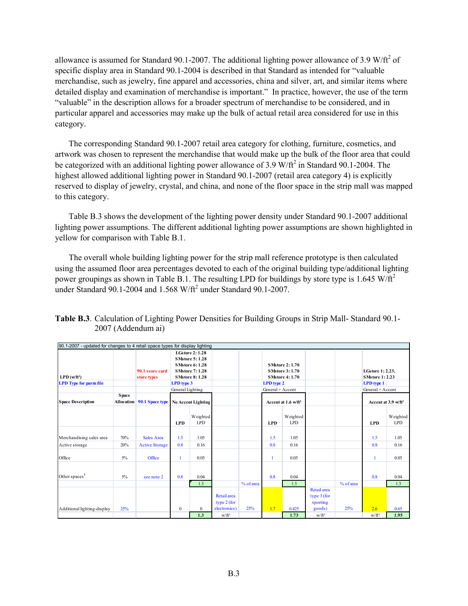allowance is assumed for Standard 90.1-2007. The additional lighting power allowance of 3.9 W/ft<sup>2</sup> of specific display area in Standard 90.1-2004 is described in that Standard as intended for "valuable merchandise, such as jewelry, fine apparel and accessories, china and silver, art, and similar items where detailed display and examination of merchandise is important." In practice, however, the use of the term "valuable" in the description allows for a broader spectrum of merchandise to be considered, and in particular apparel and accessories may make up the bulk of actual retail area considered for use in this category.

The corresponding Standard 90.1-2007 retail area category for clothing, furniture, cosmetics, and artwork was chosen to represent the merchandise that would make up the bulk of the floor area that could be categorized with an additional lighting power allowance of  $3.9 \text{ W/ft}^2$  in Standard 90.1-2004. The highest allowed additional lighting power in Standard 90.1-2007 (retail area category 4) is explicitly reserved to display of jewelry, crystal, and china, and none of the floor space in the strip mall was mapped to this category.

Table B.3 shows the development of the lighting power density under Standard 90.1-2007 additional lighting power assumptions. The different additional lighting power assumptions are shown highlighted in yellow for comparison with Table B.1.

The overall whole building lighting power for the strip mall reference prototype is then calculated using the assumed floor area percentages devoted to each of the original building type/additional lighting power groupings as shown in Table B.1. The resulting LPD for buildings by store type is 1.645 W/ft<sup>2</sup> under Standard 90.1-2004 and  $1.568$  W/ $\text{ft}^2$  under Standard 90.1-2007.

| <b>Table B.3</b> . Calculation of Lighting Power Densities for Building Groups in Strip Mall-Standard 90.1- |
|-------------------------------------------------------------------------------------------------------------|
| 2007 (Addendum ai)                                                                                          |
|                                                                                                             |

| 90.1-2007 - updated for changes to 4 retail space types for display lighting |                            |                                                   |                                                                                                                                                                                           |                        |                            |           |                                                                                                                                              |                        |                                          |           |                                                                 |                                 |
|------------------------------------------------------------------------------|----------------------------|---------------------------------------------------|-------------------------------------------------------------------------------------------------------------------------------------------------------------------------------------------|------------------------|----------------------------|-----------|----------------------------------------------------------------------------------------------------------------------------------------------|------------------------|------------------------------------------|-----------|-----------------------------------------------------------------|---------------------------------|
| $LPD(w/ft^2)$<br><b>LPD Type for parm file</b>                               | <b>Space</b><br>Allocation | 90.1 score card<br>store types<br>90.1 Space type | <b>LGstore 2: 1.28</b><br><b>SMstore 5:1.28</b><br><b>SMstore 6:1.28</b><br><b>SMstore 7:1.28</b><br><b>SMstore 8:1.28</b><br>LPD type 3<br>General Lighting<br><b>No Accent Lighting</b> |                        |                            |           | <b>SMstore 2:1.70</b><br><b>SMstore 3:1.70</b><br><b>SMstore 4:1.70</b><br>LPD type 2<br>General + Accent<br>Accent at 1.6 w/ft <sup>2</sup> |                        |                                          |           | LGstore 1: 2.23,<br><b>SMstore 1: 2.23</b><br><b>LPD</b> type 1 |                                 |
| <b>Space Description</b>                                                     |                            |                                                   |                                                                                                                                                                                           |                        |                            |           |                                                                                                                                              |                        |                                          |           | General + Accent                                                | Accent at 3.9 w/ft <sup>2</sup> |
|                                                                              |                            |                                                   | <b>LPD</b>                                                                                                                                                                                | Weighted<br><b>LPD</b> |                            |           | <b>LPD</b>                                                                                                                                   | Weighted<br><b>LPD</b> |                                          |           | <b>LPD</b>                                                      | Weighted<br><b>LPD</b>          |
| Merchandising sales area                                                     | 70%                        | <b>Sales Area</b>                                 | 1.5                                                                                                                                                                                       | 1.05                   |                            |           | 1.5                                                                                                                                          | 1.05                   |                                          |           | 1.5                                                             | 1.05                            |
| Active storage                                                               | 20%                        | <b>Active Storage</b>                             | 0.8                                                                                                                                                                                       | 0.16                   |                            |           | 0.8                                                                                                                                          | 0.16                   |                                          |           | 0.8                                                             | 0.16                            |
| Office                                                                       | 5%                         | Office                                            |                                                                                                                                                                                           | 0.05                   |                            |           | 1                                                                                                                                            | 0.05                   |                                          |           |                                                                 | 0.05                            |
| Other spaces <sup>1</sup>                                                    | $5\%$                      | see note 2                                        | 0.8                                                                                                                                                                                       | 0.04                   |                            |           | 0.8                                                                                                                                          | 0.04                   |                                          |           | 0.8                                                             | 0.04                            |
|                                                                              |                            |                                                   |                                                                                                                                                                                           | 1.3                    |                            | % of area |                                                                                                                                              | 1.3                    |                                          | % of area |                                                                 | 1.3                             |
|                                                                              |                            |                                                   |                                                                                                                                                                                           |                        | Retail area<br>type 2 (for |           |                                                                                                                                              |                        | Retail area<br>type $3$ (for<br>sporting |           |                                                                 |                                 |
| Additional lighting-display                                                  | 25%                        |                                                   | $\boldsymbol{0}$                                                                                                                                                                          | $\mathbf{0}$           | electronics)               | 25%       | 1.7                                                                                                                                          | 0.425                  | goods)                                   | 25%       | 2.6                                                             | 0.65                            |
|                                                                              |                            |                                                   |                                                                                                                                                                                           | 1.3                    | $W/\hat{\Pi}^2$            |           |                                                                                                                                              | 1.73                   | $W/\hat{\Pi}^2$                          |           | $W/\hat{\Pi}^2$                                                 | 1.95                            |